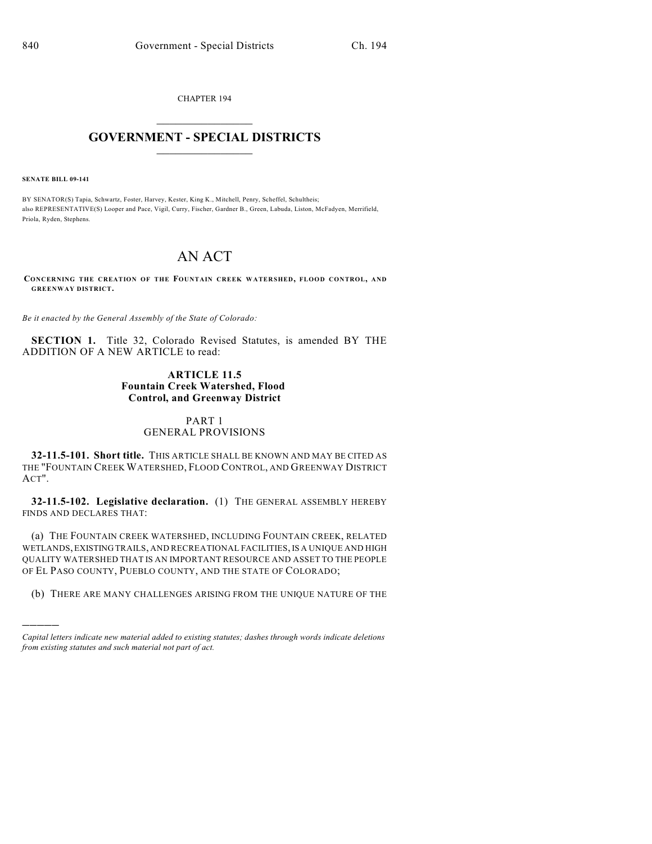CHAPTER 194

## $\overline{\phantom{a}}$  . The set of the set of the set of the set of the set of the set of the set of the set of the set of the set of the set of the set of the set of the set of the set of the set of the set of the set of the set o **GOVERNMENT - SPECIAL DISTRICTS**  $\_$   $\_$

**SENATE BILL 09-141**

)))))

BY SENATOR(S) Tapia, Schwartz, Foster, Harvey, Kester, King K., Mitchell, Penry, Scheffel, Schultheis; also REPRESENTATIVE(S) Looper and Pace, Vigil, Curry, Fischer, Gardner B., Green, Labuda, Liston, McFadyen, Merrifield, Priola, Ryden, Stephens.

# AN ACT

**CONCERNING THE CREATION OF THE FOUNTAIN CREEK WATERSHED, FLOOD CONTROL, AND GREENWAY DISTRICT.**

*Be it enacted by the General Assembly of the State of Colorado:*

**SECTION 1.** Title 32, Colorado Revised Statutes, is amended BY THE ADDITION OF A NEW ARTICLE to read:

## **ARTICLE 11.5 Fountain Creek Watershed, Flood Control, and Greenway District**

#### PART 1 GENERAL PROVISIONS

**32-11.5-101. Short title.** THIS ARTICLE SHALL BE KNOWN AND MAY BE CITED AS THE "FOUNTAIN CREEK WATERSHED, FLOOD CONTROL, AND GREENWAY DISTRICT ACT".

**32-11.5-102. Legislative declaration.** (1) THE GENERAL ASSEMBLY HEREBY FINDS AND DECLARES THAT:

(a) THE FOUNTAIN CREEK WATERSHED, INCLUDING FOUNTAIN CREEK, RELATED WETLANDS, EXISTING TRAILS, AND RECREATIONAL FACILITIES, IS A UNIQUE AND HIGH QUALITY WATERSHED THAT IS AN IMPORTANT RESOURCE AND ASSET TO THE PEOPLE OF EL PASO COUNTY, PUEBLO COUNTY, AND THE STATE OF COLORADO;

(b) THERE ARE MANY CHALLENGES ARISING FROM THE UNIQUE NATURE OF THE

*Capital letters indicate new material added to existing statutes; dashes through words indicate deletions from existing statutes and such material not part of act.*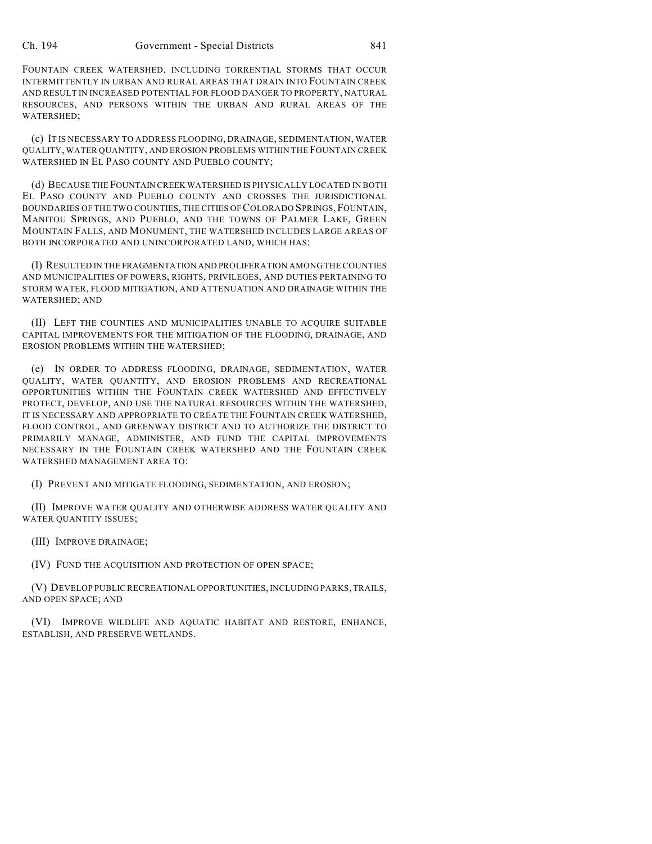FOUNTAIN CREEK WATERSHED, INCLUDING TORRENTIAL STORMS THAT OCCUR INTERMITTENTLY IN URBAN AND RURAL AREAS THAT DRAIN INTO FOUNTAIN CREEK AND RESULT IN INCREASED POTENTIAL FOR FLOOD DANGER TO PROPERTY, NATURAL RESOURCES, AND PERSONS WITHIN THE URBAN AND RURAL AREAS OF THE WATERSHED;

(c) IT IS NECESSARY TO ADDRESS FLOODING, DRAINAGE, SEDIMENTATION, WATER QUALITY, WATER QUANTITY, AND EROSION PROBLEMS WITHIN THE FOUNTAIN CREEK WATERSHED IN EL PASO COUNTY AND PUEBLO COUNTY;

(d) BECAUSE THE FOUNTAIN CREEK WATERSHED IS PHYSICALLY LOCATED IN BOTH EL PASO COUNTY AND PUEBLO COUNTY AND CROSSES THE JURISDICTIONAL BOUNDARIES OF THE TWO COUNTIES, THE CITIES OF COLORADO SPRINGS, FOUNTAIN, MANITOU SPRINGS, AND PUEBLO, AND THE TOWNS OF PALMER LAKE, GREEN MOUNTAIN FALLS, AND MONUMENT, THE WATERSHED INCLUDES LARGE AREAS OF BOTH INCORPORATED AND UNINCORPORATED LAND, WHICH HAS:

(I) RESULTED IN THE FRAGMENTATION AND PROLIFERATION AMONG THE COUNTIES AND MUNICIPALITIES OF POWERS, RIGHTS, PRIVILEGES, AND DUTIES PERTAINING TO STORM WATER, FLOOD MITIGATION, AND ATTENUATION AND DRAINAGE WITHIN THE WATERSHED; AND

(II) LEFT THE COUNTIES AND MUNICIPALITIES UNABLE TO ACQUIRE SUITABLE CAPITAL IMPROVEMENTS FOR THE MITIGATION OF THE FLOODING, DRAINAGE, AND EROSION PROBLEMS WITHIN THE WATERSHED;

(e) IN ORDER TO ADDRESS FLOODING, DRAINAGE, SEDIMENTATION, WATER QUALITY, WATER QUANTITY, AND EROSION PROBLEMS AND RECREATIONAL OPPORTUNITIES WITHIN THE FOUNTAIN CREEK WATERSHED AND EFFECTIVELY PROTECT, DEVELOP, AND USE THE NATURAL RESOURCES WITHIN THE WATERSHED, IT IS NECESSARY AND APPROPRIATE TO CREATE THE FOUNTAIN CREEK WATERSHED, FLOOD CONTROL, AND GREENWAY DISTRICT AND TO AUTHORIZE THE DISTRICT TO PRIMARILY MANAGE, ADMINISTER, AND FUND THE CAPITAL IMPROVEMENTS NECESSARY IN THE FOUNTAIN CREEK WATERSHED AND THE FOUNTAIN CREEK WATERSHED MANAGEMENT AREA TO:

(I) PREVENT AND MITIGATE FLOODING, SEDIMENTATION, AND EROSION;

(II) IMPROVE WATER QUALITY AND OTHERWISE ADDRESS WATER QUALITY AND WATER QUANTITY ISSUES;

(III) IMPROVE DRAINAGE;

(IV) FUND THE ACQUISITION AND PROTECTION OF OPEN SPACE;

(V) DEVELOP PUBLIC RECREATIONAL OPPORTUNITIES, INCLUDING PARKS, TRAILS, AND OPEN SPACE; AND

(VI) IMPROVE WILDLIFE AND AQUATIC HABITAT AND RESTORE, ENHANCE, ESTABLISH, AND PRESERVE WETLANDS.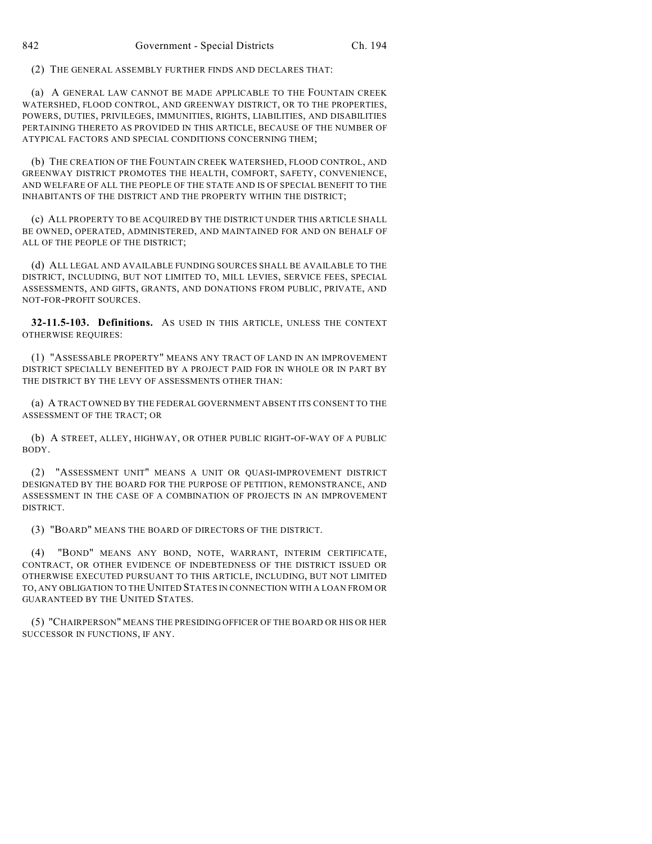(2) THE GENERAL ASSEMBLY FURTHER FINDS AND DECLARES THAT:

(a) A GENERAL LAW CANNOT BE MADE APPLICABLE TO THE FOUNTAIN CREEK WATERSHED, FLOOD CONTROL, AND GREENWAY DISTRICT, OR TO THE PROPERTIES, POWERS, DUTIES, PRIVILEGES, IMMUNITIES, RIGHTS, LIABILITIES, AND DISABILITIES PERTAINING THERETO AS PROVIDED IN THIS ARTICLE, BECAUSE OF THE NUMBER OF ATYPICAL FACTORS AND SPECIAL CONDITIONS CONCERNING THEM;

(b) THE CREATION OF THE FOUNTAIN CREEK WATERSHED, FLOOD CONTROL, AND GREENWAY DISTRICT PROMOTES THE HEALTH, COMFORT, SAFETY, CONVENIENCE, AND WELFARE OF ALL THE PEOPLE OF THE STATE AND IS OF SPECIAL BENEFIT TO THE INHABITANTS OF THE DISTRICT AND THE PROPERTY WITHIN THE DISTRICT;

(c) ALL PROPERTY TO BE ACQUIRED BY THE DISTRICT UNDER THIS ARTICLE SHALL BE OWNED, OPERATED, ADMINISTERED, AND MAINTAINED FOR AND ON BEHALF OF ALL OF THE PEOPLE OF THE DISTRICT;

(d) ALL LEGAL AND AVAILABLE FUNDING SOURCES SHALL BE AVAILABLE TO THE DISTRICT, INCLUDING, BUT NOT LIMITED TO, MILL LEVIES, SERVICE FEES, SPECIAL ASSESSMENTS, AND GIFTS, GRANTS, AND DONATIONS FROM PUBLIC, PRIVATE, AND NOT-FOR-PROFIT SOURCES.

**32-11.5-103. Definitions.** AS USED IN THIS ARTICLE, UNLESS THE CONTEXT OTHERWISE REQUIRES:

(1) "ASSESSABLE PROPERTY" MEANS ANY TRACT OF LAND IN AN IMPROVEMENT DISTRICT SPECIALLY BENEFITED BY A PROJECT PAID FOR IN WHOLE OR IN PART BY THE DISTRICT BY THE LEVY OF ASSESSMENTS OTHER THAN:

(a) A TRACT OWNED BY THE FEDERAL GOVERNMENT ABSENT ITS CONSENT TO THE ASSESSMENT OF THE TRACT; OR

(b) A STREET, ALLEY, HIGHWAY, OR OTHER PUBLIC RIGHT-OF-WAY OF A PUBLIC BODY.

(2) "ASSESSMENT UNIT" MEANS A UNIT OR QUASI-IMPROVEMENT DISTRICT DESIGNATED BY THE BOARD FOR THE PURPOSE OF PETITION, REMONSTRANCE, AND ASSESSMENT IN THE CASE OF A COMBINATION OF PROJECTS IN AN IMPROVEMENT DISTRICT.

(3) "BOARD" MEANS THE BOARD OF DIRECTORS OF THE DISTRICT.

(4) "BOND" MEANS ANY BOND, NOTE, WARRANT, INTERIM CERTIFICATE, CONTRACT, OR OTHER EVIDENCE OF INDEBTEDNESS OF THE DISTRICT ISSUED OR OTHERWISE EXECUTED PURSUANT TO THIS ARTICLE, INCLUDING, BUT NOT LIMITED TO, ANY OBLIGATION TO THE UNITED STATES IN CONNECTION WITH A LOAN FROM OR GUARANTEED BY THE UNITED STATES.

(5) "CHAIRPERSON" MEANS THE PRESIDING OFFICER OF THE BOARD OR HIS OR HER SUCCESSOR IN FUNCTIONS, IF ANY.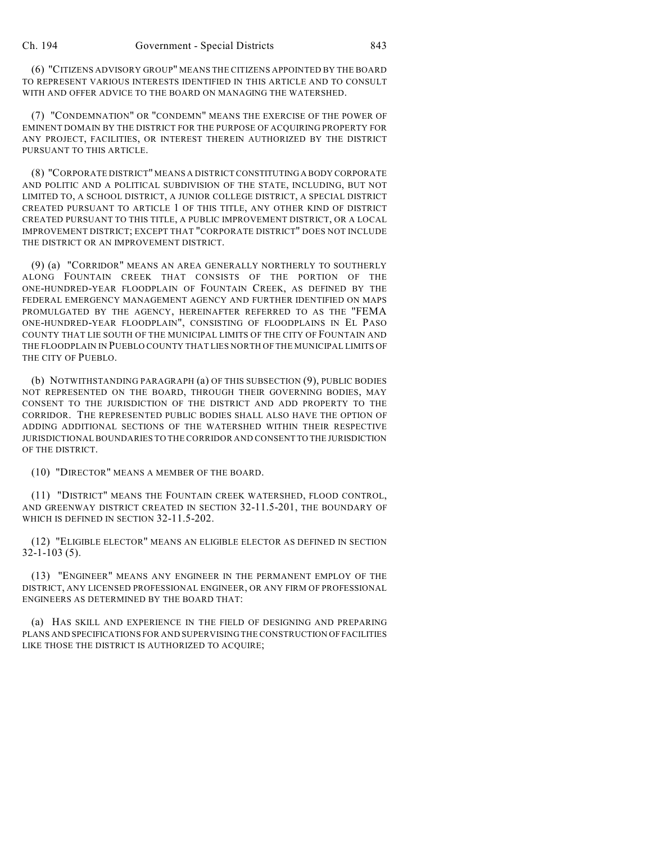(6) "CITIZENS ADVISORY GROUP" MEANS THE CITIZENS APPOINTED BY THE BOARD TO REPRESENT VARIOUS INTERESTS IDENTIFIED IN THIS ARTICLE AND TO CONSULT WITH AND OFFER ADVICE TO THE BOARD ON MANAGING THE WATERSHED.

(7) "CONDEMNATION" OR "CONDEMN" MEANS THE EXERCISE OF THE POWER OF EMINENT DOMAIN BY THE DISTRICT FOR THE PURPOSE OF ACQUIRING PROPERTY FOR ANY PROJECT, FACILITIES, OR INTEREST THEREIN AUTHORIZED BY THE DISTRICT PURSUANT TO THIS ARTICLE.

(8) "CORPORATE DISTRICT" MEANS A DISTRICT CONSTITUTING A BODY CORPORATE AND POLITIC AND A POLITICAL SUBDIVISION OF THE STATE, INCLUDING, BUT NOT LIMITED TO, A SCHOOL DISTRICT, A JUNIOR COLLEGE DISTRICT, A SPECIAL DISTRICT CREATED PURSUANT TO ARTICLE 1 OF THIS TITLE, ANY OTHER KIND OF DISTRICT CREATED PURSUANT TO THIS TITLE, A PUBLIC IMPROVEMENT DISTRICT, OR A LOCAL IMPROVEMENT DISTRICT; EXCEPT THAT "CORPORATE DISTRICT" DOES NOT INCLUDE THE DISTRICT OR AN IMPROVEMENT DISTRICT.

(9) (a) "CORRIDOR" MEANS AN AREA GENERALLY NORTHERLY TO SOUTHERLY ALONG FOUNTAIN CREEK THAT CONSISTS OF THE PORTION OF THE ONE-HUNDRED-YEAR FLOODPLAIN OF FOUNTAIN CREEK, AS DEFINED BY THE FEDERAL EMERGENCY MANAGEMENT AGENCY AND FURTHER IDENTIFIED ON MAPS PROMULGATED BY THE AGENCY, HEREINAFTER REFERRED TO AS THE "FEMA ONE-HUNDRED-YEAR FLOODPLAIN", CONSISTING OF FLOODPLAINS IN EL PASO COUNTY THAT LIE SOUTH OF THE MUNICIPAL LIMITS OF THE CITY OF FOUNTAIN AND THE FLOODPLAIN IN PUEBLO COUNTY THAT LIES NORTH OF THE MUNICIPAL LIMITS OF THE CITY OF PUEBLO.

(b) NOTWITHSTANDING PARAGRAPH (a) OF THIS SUBSECTION (9), PUBLIC BODIES NOT REPRESENTED ON THE BOARD, THROUGH THEIR GOVERNING BODIES, MAY CONSENT TO THE JURISDICTION OF THE DISTRICT AND ADD PROPERTY TO THE CORRIDOR. THE REPRESENTED PUBLIC BODIES SHALL ALSO HAVE THE OPTION OF ADDING ADDITIONAL SECTIONS OF THE WATERSHED WITHIN THEIR RESPECTIVE JURISDICTIONAL BOUNDARIES TO THE CORRIDOR AND CONSENT TO THE JURISDICTION OF THE DISTRICT.

(10) "DIRECTOR" MEANS A MEMBER OF THE BOARD.

(11) "DISTRICT" MEANS THE FOUNTAIN CREEK WATERSHED, FLOOD CONTROL, AND GREENWAY DISTRICT CREATED IN SECTION 32-11.5-201, THE BOUNDARY OF WHICH IS DEFINED IN SECTION 32-11.5-202.

(12) "ELIGIBLE ELECTOR" MEANS AN ELIGIBLE ELECTOR AS DEFINED IN SECTION 32-1-103 (5).

(13) "ENGINEER" MEANS ANY ENGINEER IN THE PERMANENT EMPLOY OF THE DISTRICT, ANY LICENSED PROFESSIONAL ENGINEER, OR ANY FIRM OF PROFESSIONAL ENGINEERS AS DETERMINED BY THE BOARD THAT:

(a) HAS SKILL AND EXPERIENCE IN THE FIELD OF DESIGNING AND PREPARING PLANS AND SPECIFICATIONS FOR AND SUPERVISING THE CONSTRUCTION OF FACILITIES LIKE THOSE THE DISTRICT IS AUTHORIZED TO ACQUIRE;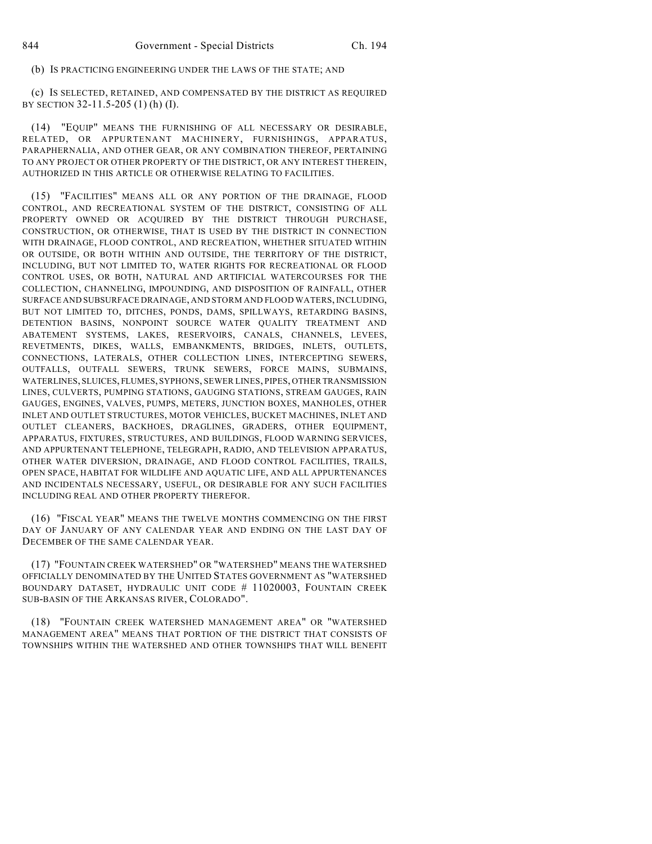(b) IS PRACTICING ENGINEERING UNDER THE LAWS OF THE STATE; AND

(c) IS SELECTED, RETAINED, AND COMPENSATED BY THE DISTRICT AS REQUIRED BY SECTION 32-11.5-205 (1) (h) (I).

(14) "EQUIP" MEANS THE FURNISHING OF ALL NECESSARY OR DESIRABLE, RELATED, OR APPURTENANT MACHINERY, FURNISHINGS, APPARATUS, PARAPHERNALIA, AND OTHER GEAR, OR ANY COMBINATION THEREOF, PERTAINING TO ANY PROJECT OR OTHER PROPERTY OF THE DISTRICT, OR ANY INTEREST THEREIN, AUTHORIZED IN THIS ARTICLE OR OTHERWISE RELATING TO FACILITIES.

(15) "FACILITIES" MEANS ALL OR ANY PORTION OF THE DRAINAGE, FLOOD CONTROL, AND RECREATIONAL SYSTEM OF THE DISTRICT, CONSISTING OF ALL PROPERTY OWNED OR ACQUIRED BY THE DISTRICT THROUGH PURCHASE, CONSTRUCTION, OR OTHERWISE, THAT IS USED BY THE DISTRICT IN CONNECTION WITH DRAINAGE, FLOOD CONTROL, AND RECREATION, WHETHER SITUATED WITHIN OR OUTSIDE, OR BOTH WITHIN AND OUTSIDE, THE TERRITORY OF THE DISTRICT, INCLUDING, BUT NOT LIMITED TO, WATER RIGHTS FOR RECREATIONAL OR FLOOD CONTROL USES, OR BOTH, NATURAL AND ARTIFICIAL WATERCOURSES FOR THE COLLECTION, CHANNELING, IMPOUNDING, AND DISPOSITION OF RAINFALL, OTHER SURFACE AND SUBSURFACE DRAINAGE, AND STORM AND FLOOD WATERS, INCLUDING, BUT NOT LIMITED TO, DITCHES, PONDS, DAMS, SPILLWAYS, RETARDING BASINS, DETENTION BASINS, NONPOINT SOURCE WATER QUALITY TREATMENT AND ABATEMENT SYSTEMS, LAKES, RESERVOIRS, CANALS, CHANNELS, LEVEES, REVETMENTS, DIKES, WALLS, EMBANKMENTS, BRIDGES, INLETS, OUTLETS, CONNECTIONS, LATERALS, OTHER COLLECTION LINES, INTERCEPTING SEWERS, OUTFALLS, OUTFALL SEWERS, TRUNK SEWERS, FORCE MAINS, SUBMAINS, WATERLINES, SLUICES, FLUMES, SYPHONS, SEWER LINES, PIPES, OTHER TRANSMISSION LINES, CULVERTS, PUMPING STATIONS, GAUGING STATIONS, STREAM GAUGES, RAIN GAUGES, ENGINES, VALVES, PUMPS, METERS, JUNCTION BOXES, MANHOLES, OTHER INLET AND OUTLET STRUCTURES, MOTOR VEHICLES, BUCKET MACHINES, INLET AND OUTLET CLEANERS, BACKHOES, DRAGLINES, GRADERS, OTHER EQUIPMENT, APPARATUS, FIXTURES, STRUCTURES, AND BUILDINGS, FLOOD WARNING SERVICES, AND APPURTENANT TELEPHONE, TELEGRAPH, RADIO, AND TELEVISION APPARATUS, OTHER WATER DIVERSION, DRAINAGE, AND FLOOD CONTROL FACILITIES, TRAILS, OPEN SPACE, HABITAT FOR WILDLIFE AND AQUATIC LIFE, AND ALL APPURTENANCES AND INCIDENTALS NECESSARY, USEFUL, OR DESIRABLE FOR ANY SUCH FACILITIES INCLUDING REAL AND OTHER PROPERTY THEREFOR.

(16) "FISCAL YEAR" MEANS THE TWELVE MONTHS COMMENCING ON THE FIRST DAY OF JANUARY OF ANY CALENDAR YEAR AND ENDING ON THE LAST DAY OF DECEMBER OF THE SAME CALENDAR YEAR.

(17) "FOUNTAIN CREEK WATERSHED" OR "WATERSHED" MEANS THE WATERSHED OFFICIALLY DENOMINATED BY THE UNITED STATES GOVERNMENT AS "WATERSHED BOUNDARY DATASET, HYDRAULIC UNIT CODE # 11020003, FOUNTAIN CREEK SUB-BASIN OF THE ARKANSAS RIVER, COLORADO".

(18) "FOUNTAIN CREEK WATERSHED MANAGEMENT AREA" OR "WATERSHED MANAGEMENT AREA" MEANS THAT PORTION OF THE DISTRICT THAT CONSISTS OF TOWNSHIPS WITHIN THE WATERSHED AND OTHER TOWNSHIPS THAT WILL BENEFIT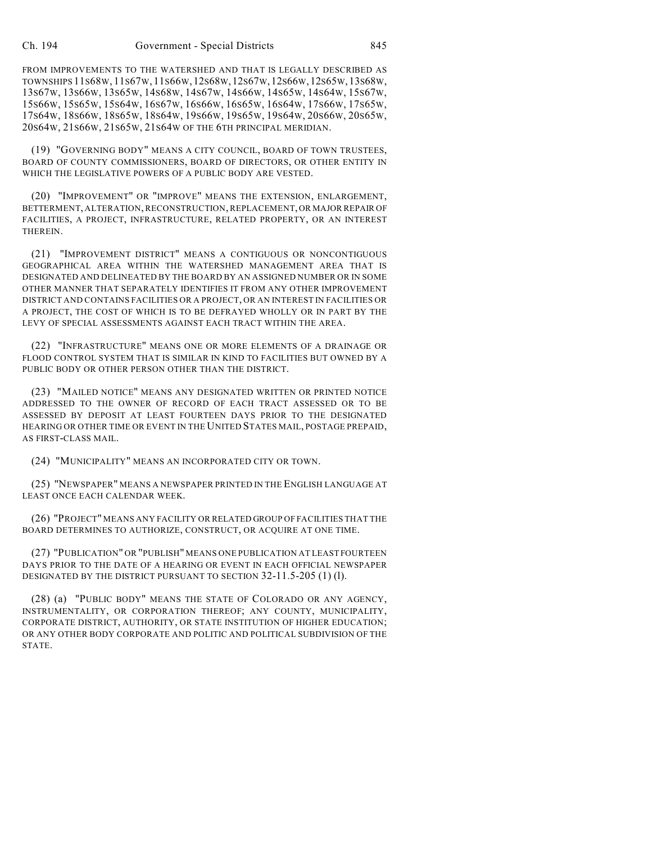FROM IMPROVEMENTS TO THE WATERSHED AND THAT IS LEGALLY DESCRIBED AS TOWNSHIPS 11S68W, 11S67W, 11S66W,12S68W,12S67W,12S66W,12S65W,13S68W, S67W, 13S66W, 13S65W, 14S68W, 14S67W, 14S66W, 14S65W, 14S64W, 15S67W, S66W, 15S65W, 15S64W, 16S67W, 16S66W, 16S65W, 16S64W, 17S66W, 17S65W, S64W, 18S66W, 18S65W, 18S64W, 19S66W, 19S65W, 19S64W, 20S66W, 20S65W, S64W, 21S66W, 21S65W, 21S64W OF THE 6TH PRINCIPAL MERIDIAN.

(19) "GOVERNING BODY" MEANS A CITY COUNCIL, BOARD OF TOWN TRUSTEES, BOARD OF COUNTY COMMISSIONERS, BOARD OF DIRECTORS, OR OTHER ENTITY IN WHICH THE LEGISLATIVE POWERS OF A PUBLIC BODY ARE VESTED.

(20) "IMPROVEMENT" OR "IMPROVE" MEANS THE EXTENSION, ENLARGEMENT, BETTERMENT, ALTERATION, RECONSTRUCTION, REPLACEMENT, OR MAJOR REPAIR OF FACILITIES, A PROJECT, INFRASTRUCTURE, RELATED PROPERTY, OR AN INTEREST THEREIN.

(21) "IMPROVEMENT DISTRICT" MEANS A CONTIGUOUS OR NONCONTIGUOUS GEOGRAPHICAL AREA WITHIN THE WATERSHED MANAGEMENT AREA THAT IS DESIGNATED AND DELINEATED BY THE BOARD BY AN ASSIGNED NUMBER OR IN SOME OTHER MANNER THAT SEPARATELY IDENTIFIES IT FROM ANY OTHER IMPROVEMENT DISTRICT AND CONTAINS FACILITIES OR A PROJECT, OR AN INTEREST IN FACILITIES OR A PROJECT, THE COST OF WHICH IS TO BE DEFRAYED WHOLLY OR IN PART BY THE LEVY OF SPECIAL ASSESSMENTS AGAINST EACH TRACT WITHIN THE AREA.

(22) "INFRASTRUCTURE" MEANS ONE OR MORE ELEMENTS OF A DRAINAGE OR FLOOD CONTROL SYSTEM THAT IS SIMILAR IN KIND TO FACILITIES BUT OWNED BY A PUBLIC BODY OR OTHER PERSON OTHER THAN THE DISTRICT.

(23) "MAILED NOTICE" MEANS ANY DESIGNATED WRITTEN OR PRINTED NOTICE ADDRESSED TO THE OWNER OF RECORD OF EACH TRACT ASSESSED OR TO BE ASSESSED BY DEPOSIT AT LEAST FOURTEEN DAYS PRIOR TO THE DESIGNATED HEARING OR OTHER TIME OR EVENT IN THE UNITED STATES MAIL, POSTAGE PREPAID, AS FIRST-CLASS MAIL.

(24) "MUNICIPALITY" MEANS AN INCORPORATED CITY OR TOWN.

(25) "NEWSPAPER" MEANS A NEWSPAPER PRINTED IN THE ENGLISH LANGUAGE AT LEAST ONCE EACH CALENDAR WEEK.

(26) "PROJECT" MEANS ANY FACILITY OR RELATED GROUP OF FACILITIES THAT THE BOARD DETERMINES TO AUTHORIZE, CONSTRUCT, OR ACQUIRE AT ONE TIME.

(27) "PUBLICATION" OR "PUBLISH" MEANS ONE PUBLICATION AT LEAST FOURTEEN DAYS PRIOR TO THE DATE OF A HEARING OR EVENT IN EACH OFFICIAL NEWSPAPER DESIGNATED BY THE DISTRICT PURSUANT TO SECTION 32-11.5-205 (1) (l).

(28) (a) "PUBLIC BODY" MEANS THE STATE OF COLORADO OR ANY AGENCY, INSTRUMENTALITY, OR CORPORATION THEREOF; ANY COUNTY, MUNICIPALITY, CORPORATE DISTRICT, AUTHORITY, OR STATE INSTITUTION OF HIGHER EDUCATION; OR ANY OTHER BODY CORPORATE AND POLITIC AND POLITICAL SUBDIVISION OF THE STATE.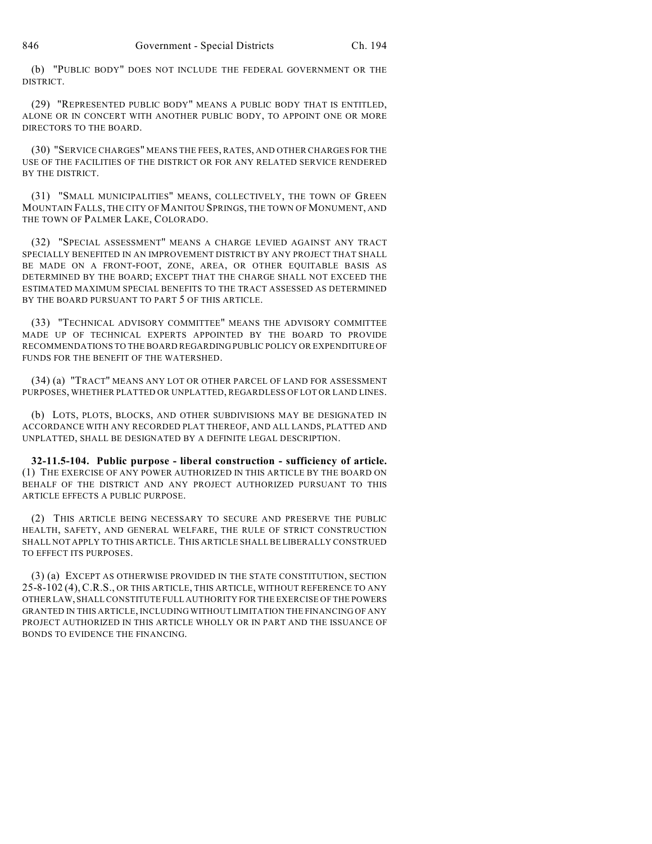(b) "PUBLIC BODY" DOES NOT INCLUDE THE FEDERAL GOVERNMENT OR THE DISTRICT.

(29) "REPRESENTED PUBLIC BODY" MEANS A PUBLIC BODY THAT IS ENTITLED, ALONE OR IN CONCERT WITH ANOTHER PUBLIC BODY, TO APPOINT ONE OR MORE DIRECTORS TO THE BOARD.

(30) "SERVICE CHARGES" MEANS THE FEES, RATES, AND OTHER CHARGES FOR THE USE OF THE FACILITIES OF THE DISTRICT OR FOR ANY RELATED SERVICE RENDERED BY THE DISTRICT.

(31) "SMALL MUNICIPALITIES" MEANS, COLLECTIVELY, THE TOWN OF GREEN MOUNTAIN FALLS, THE CITY OF MANITOU SPRINGS, THE TOWN OF MONUMENT, AND THE TOWN OF PALMER LAKE, COLORADO.

(32) "SPECIAL ASSESSMENT" MEANS A CHARGE LEVIED AGAINST ANY TRACT SPECIALLY BENEFITED IN AN IMPROVEMENT DISTRICT BY ANY PROJECT THAT SHALL BE MADE ON A FRONT-FOOT, ZONE, AREA, OR OTHER EQUITABLE BASIS AS DETERMINED BY THE BOARD; EXCEPT THAT THE CHARGE SHALL NOT EXCEED THE ESTIMATED MAXIMUM SPECIAL BENEFITS TO THE TRACT ASSESSED AS DETERMINED BY THE BOARD PURSUANT TO PART 5 OF THIS ARTICLE.

(33) "TECHNICAL ADVISORY COMMITTEE" MEANS THE ADVISORY COMMITTEE MADE UP OF TECHNICAL EXPERTS APPOINTED BY THE BOARD TO PROVIDE RECOMMENDATIONS TO THE BOARD REGARDING PUBLIC POLICY OR EXPENDITURE OF FUNDS FOR THE BENEFIT OF THE WATERSHED.

(34) (a) "TRACT" MEANS ANY LOT OR OTHER PARCEL OF LAND FOR ASSESSMENT PURPOSES, WHETHER PLATTED OR UNPLATTED, REGARDLESS OF LOT OR LAND LINES.

(b) LOTS, PLOTS, BLOCKS, AND OTHER SUBDIVISIONS MAY BE DESIGNATED IN ACCORDANCE WITH ANY RECORDED PLAT THEREOF, AND ALL LANDS, PLATTED AND UNPLATTED, SHALL BE DESIGNATED BY A DEFINITE LEGAL DESCRIPTION.

**32-11.5-104. Public purpose - liberal construction - sufficiency of article.** (1) THE EXERCISE OF ANY POWER AUTHORIZED IN THIS ARTICLE BY THE BOARD ON BEHALF OF THE DISTRICT AND ANY PROJECT AUTHORIZED PURSUANT TO THIS ARTICLE EFFECTS A PUBLIC PURPOSE.

(2) THIS ARTICLE BEING NECESSARY TO SECURE AND PRESERVE THE PUBLIC HEALTH, SAFETY, AND GENERAL WELFARE, THE RULE OF STRICT CONSTRUCTION SHALL NOT APPLY TO THIS ARTICLE. THIS ARTICLE SHALL BE LIBERALLY CONSTRUED TO EFFECT ITS PURPOSES.

(3) (a) EXCEPT AS OTHERWISE PROVIDED IN THE STATE CONSTITUTION, SECTION 25-8-102 (4), C.R.S., OR THIS ARTICLE, THIS ARTICLE, WITHOUT REFERENCE TO ANY OTHER LAW, SHALL CONSTITUTE FULL AUTHORITY FOR THE EXERCISE OF THE POWERS GRANTED IN THIS ARTICLE, INCLUDING WITHOUT LIMITATION THE FINANCING OF ANY PROJECT AUTHORIZED IN THIS ARTICLE WHOLLY OR IN PART AND THE ISSUANCE OF BONDS TO EVIDENCE THE FINANCING.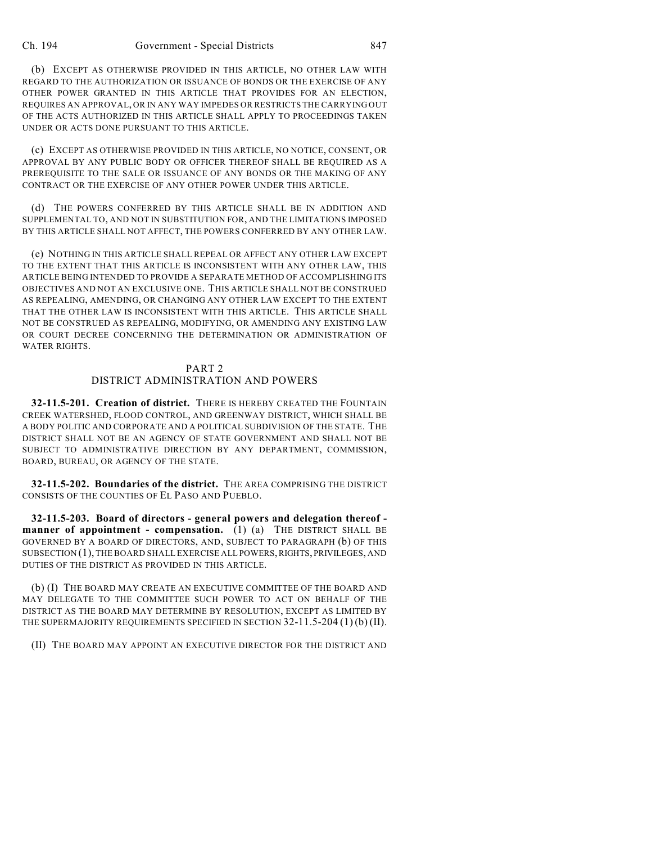(b) EXCEPT AS OTHERWISE PROVIDED IN THIS ARTICLE, NO OTHER LAW WITH REGARD TO THE AUTHORIZATION OR ISSUANCE OF BONDS OR THE EXERCISE OF ANY OTHER POWER GRANTED IN THIS ARTICLE THAT PROVIDES FOR AN ELECTION, REQUIRES AN APPROVAL, OR IN ANY WAY IMPEDES OR RESTRICTS THE CARRYING OUT OF THE ACTS AUTHORIZED IN THIS ARTICLE SHALL APPLY TO PROCEEDINGS TAKEN UNDER OR ACTS DONE PURSUANT TO THIS ARTICLE.

(c) EXCEPT AS OTHERWISE PROVIDED IN THIS ARTICLE, NO NOTICE, CONSENT, OR APPROVAL BY ANY PUBLIC BODY OR OFFICER THEREOF SHALL BE REQUIRED AS A PREREQUISITE TO THE SALE OR ISSUANCE OF ANY BONDS OR THE MAKING OF ANY CONTRACT OR THE EXERCISE OF ANY OTHER POWER UNDER THIS ARTICLE.

(d) THE POWERS CONFERRED BY THIS ARTICLE SHALL BE IN ADDITION AND SUPPLEMENTAL TO, AND NOT IN SUBSTITUTION FOR, AND THE LIMITATIONS IMPOSED BY THIS ARTICLE SHALL NOT AFFECT, THE POWERS CONFERRED BY ANY OTHER LAW.

(e) NOTHING IN THIS ARTICLE SHALL REPEAL OR AFFECT ANY OTHER LAW EXCEPT TO THE EXTENT THAT THIS ARTICLE IS INCONSISTENT WITH ANY OTHER LAW, THIS ARTICLE BEING INTENDED TO PROVIDE A SEPARATE METHOD OF ACCOMPLISHING ITS OBJECTIVES AND NOT AN EXCLUSIVE ONE. THIS ARTICLE SHALL NOT BE CONSTRUED AS REPEALING, AMENDING, OR CHANGING ANY OTHER LAW EXCEPT TO THE EXTENT THAT THE OTHER LAW IS INCONSISTENT WITH THIS ARTICLE. THIS ARTICLE SHALL NOT BE CONSTRUED AS REPEALING, MODIFYING, OR AMENDING ANY EXISTING LAW OR COURT DECREE CONCERNING THE DETERMINATION OR ADMINISTRATION OF WATER RIGHTS.

#### PART 2 DISTRICT ADMINISTRATION AND POWERS

**32-11.5-201. Creation of district.** THERE IS HEREBY CREATED THE FOUNTAIN CREEK WATERSHED, FLOOD CONTROL, AND GREENWAY DISTRICT, WHICH SHALL BE A BODY POLITIC AND CORPORATE AND A POLITICAL SUBDIVISION OF THE STATE. THE DISTRICT SHALL NOT BE AN AGENCY OF STATE GOVERNMENT AND SHALL NOT BE SUBJECT TO ADMINISTRATIVE DIRECTION BY ANY DEPARTMENT, COMMISSION, BOARD, BUREAU, OR AGENCY OF THE STATE.

**32-11.5-202. Boundaries of the district.** THE AREA COMPRISING THE DISTRICT CONSISTS OF THE COUNTIES OF EL PASO AND PUEBLO.

**32-11.5-203. Board of directors - general powers and delegation thereof manner of appointment - compensation.** (1) (a) THE DISTRICT SHALL BE GOVERNED BY A BOARD OF DIRECTORS, AND, SUBJECT TO PARAGRAPH (b) OF THIS SUBSECTION (1), THE BOARD SHALL EXERCISE ALL POWERS, RIGHTS, PRIVILEGES, AND DUTIES OF THE DISTRICT AS PROVIDED IN THIS ARTICLE.

(b) (I) THE BOARD MAY CREATE AN EXECUTIVE COMMITTEE OF THE BOARD AND MAY DELEGATE TO THE COMMITTEE SUCH POWER TO ACT ON BEHALF OF THE DISTRICT AS THE BOARD MAY DETERMINE BY RESOLUTION, EXCEPT AS LIMITED BY THE SUPERMAJORITY REQUIREMENTS SPECIFIED IN SECTION 32-11.5-204 (1) (b) (II).

(II) THE BOARD MAY APPOINT AN EXECUTIVE DIRECTOR FOR THE DISTRICT AND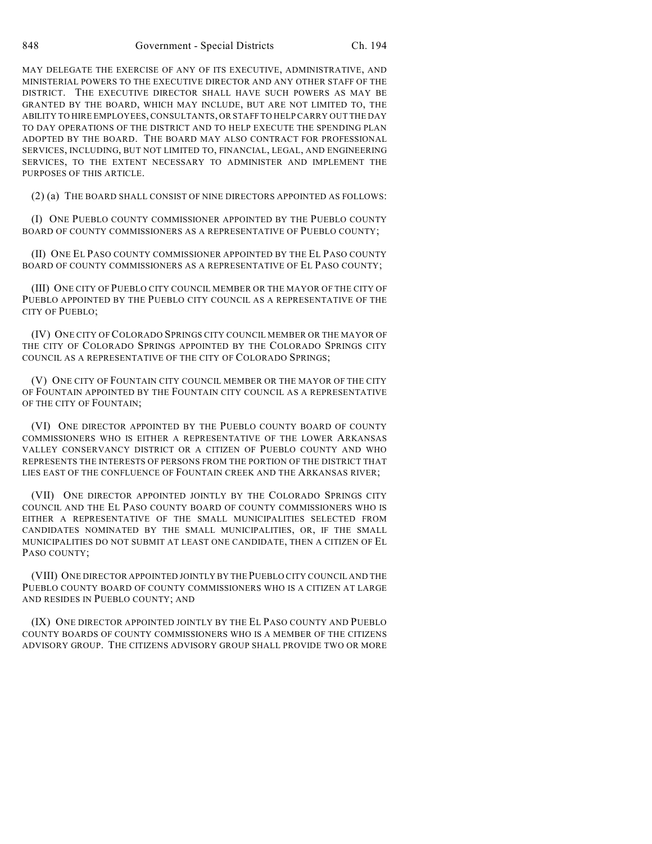MAY DELEGATE THE EXERCISE OF ANY OF ITS EXECUTIVE, ADMINISTRATIVE, AND MINISTERIAL POWERS TO THE EXECUTIVE DIRECTOR AND ANY OTHER STAFF OF THE DISTRICT. THE EXECUTIVE DIRECTOR SHALL HAVE SUCH POWERS AS MAY BE GRANTED BY THE BOARD, WHICH MAY INCLUDE, BUT ARE NOT LIMITED TO, THE ABILITY TO HIRE EMPLOYEES, CONSULTANTS, OR STAFF TO HELP CARRY OUT THE DAY TO DAY OPERATIONS OF THE DISTRICT AND TO HELP EXECUTE THE SPENDING PLAN ADOPTED BY THE BOARD. THE BOARD MAY ALSO CONTRACT FOR PROFESSIONAL SERVICES, INCLUDING, BUT NOT LIMITED TO, FINANCIAL, LEGAL, AND ENGINEERING SERVICES, TO THE EXTENT NECESSARY TO ADMINISTER AND IMPLEMENT THE PURPOSES OF THIS ARTICLE.

(2) (a) THE BOARD SHALL CONSIST OF NINE DIRECTORS APPOINTED AS FOLLOWS:

(I) ONE PUEBLO COUNTY COMMISSIONER APPOINTED BY THE PUEBLO COUNTY BOARD OF COUNTY COMMISSIONERS AS A REPRESENTATIVE OF PUEBLO COUNTY;

(II) ONE EL PASO COUNTY COMMISSIONER APPOINTED BY THE EL PASO COUNTY BOARD OF COUNTY COMMISSIONERS AS A REPRESENTATIVE OF EL PASO COUNTY;

(III) ONE CITY OF PUEBLO CITY COUNCIL MEMBER OR THE MAYOR OF THE CITY OF PUEBLO APPOINTED BY THE PUEBLO CITY COUNCIL AS A REPRESENTATIVE OF THE CITY OF PUEBLO;

(IV) ONE CITY OF COLORADO SPRINGS CITY COUNCIL MEMBER OR THE MAYOR OF THE CITY OF COLORADO SPRINGS APPOINTED BY THE COLORADO SPRINGS CITY COUNCIL AS A REPRESENTATIVE OF THE CITY OF COLORADO SPRINGS;

(V) ONE CITY OF FOUNTAIN CITY COUNCIL MEMBER OR THE MAYOR OF THE CITY OF FOUNTAIN APPOINTED BY THE FOUNTAIN CITY COUNCIL AS A REPRESENTATIVE OF THE CITY OF FOUNTAIN;

(VI) ONE DIRECTOR APPOINTED BY THE PUEBLO COUNTY BOARD OF COUNTY COMMISSIONERS WHO IS EITHER A REPRESENTATIVE OF THE LOWER ARKANSAS VALLEY CONSERVANCY DISTRICT OR A CITIZEN OF PUEBLO COUNTY AND WHO REPRESENTS THE INTERESTS OF PERSONS FROM THE PORTION OF THE DISTRICT THAT LIES EAST OF THE CONFLUENCE OF FOUNTAIN CREEK AND THE ARKANSAS RIVER;

(VII) ONE DIRECTOR APPOINTED JOINTLY BY THE COLORADO SPRINGS CITY COUNCIL AND THE EL PASO COUNTY BOARD OF COUNTY COMMISSIONERS WHO IS EITHER A REPRESENTATIVE OF THE SMALL MUNICIPALITIES SELECTED FROM CANDIDATES NOMINATED BY THE SMALL MUNICIPALITIES, OR, IF THE SMALL MUNICIPALITIES DO NOT SUBMIT AT LEAST ONE CANDIDATE, THEN A CITIZEN OF EL PASO COUNTY;

(VIII) ONE DIRECTOR APPOINTED JOINTLY BY THE PUEBLO CITY COUNCIL AND THE PUEBLO COUNTY BOARD OF COUNTY COMMISSIONERS WHO IS A CITIZEN AT LARGE AND RESIDES IN PUEBLO COUNTY; AND

(IX) ONE DIRECTOR APPOINTED JOINTLY BY THE EL PASO COUNTY AND PUEBLO COUNTY BOARDS OF COUNTY COMMISSIONERS WHO IS A MEMBER OF THE CITIZENS ADVISORY GROUP. THE CITIZENS ADVISORY GROUP SHALL PROVIDE TWO OR MORE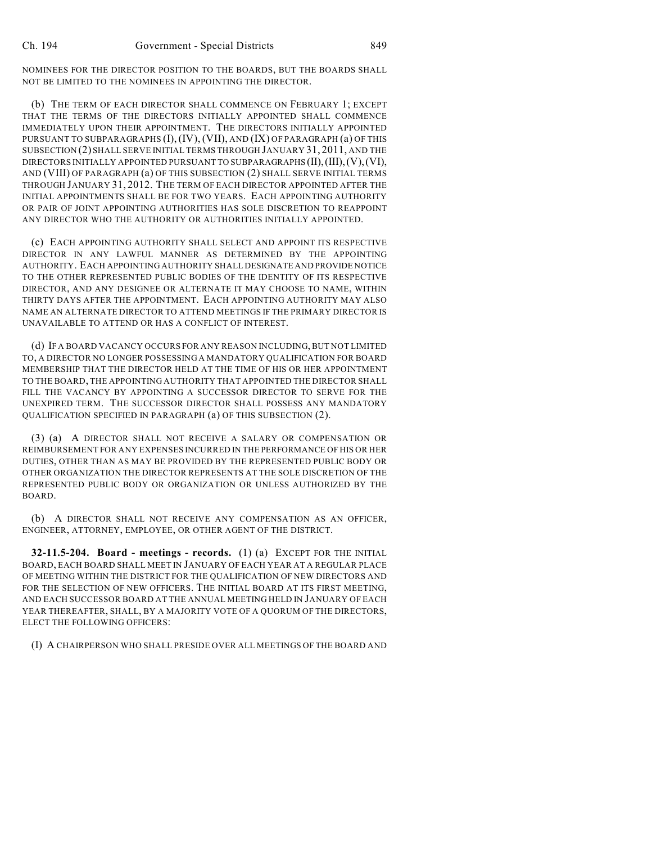NOMINEES FOR THE DIRECTOR POSITION TO THE BOARDS, BUT THE BOARDS SHALL NOT BE LIMITED TO THE NOMINEES IN APPOINTING THE DIRECTOR.

(b) THE TERM OF EACH DIRECTOR SHALL COMMENCE ON FEBRUARY 1; EXCEPT THAT THE TERMS OF THE DIRECTORS INITIALLY APPOINTED SHALL COMMENCE IMMEDIATELY UPON THEIR APPOINTMENT. THE DIRECTORS INITIALLY APPOINTED PURSUANT TO SUBPARAGRAPHS  $(I)$ ,  $(IV)$ ,  $(VII)$ , and  $(IX)$  of paragraph  $(a)$  of this SUBSECTION (2) SHALL SERVE INITIAL TERMS THROUGH JANUARY 31, 2011, AND THE DIRECTORS INITIALLY APPOINTED PURSUANT TO SUBPARAGRAPHS  $(II), (III), (V), (VI),$ AND (VIII) OF PARAGRAPH (a) OF THIS SUBSECTION (2) SHALL SERVE INITIAL TERMS THROUGH JANUARY 31, 2012. THE TERM OF EACH DIRECTOR APPOINTED AFTER THE INITIAL APPOINTMENTS SHALL BE FOR TWO YEARS. EACH APPOINTING AUTHORITY OR PAIR OF JOINT APPOINTING AUTHORITIES HAS SOLE DISCRETION TO REAPPOINT ANY DIRECTOR WHO THE AUTHORITY OR AUTHORITIES INITIALLY APPOINTED.

(c) EACH APPOINTING AUTHORITY SHALL SELECT AND APPOINT ITS RESPECTIVE DIRECTOR IN ANY LAWFUL MANNER AS DETERMINED BY THE APPOINTING AUTHORITY. EACH APPOINTING AUTHORITY SHALL DESIGNATE AND PROVIDE NOTICE TO THE OTHER REPRESENTED PUBLIC BODIES OF THE IDENTITY OF ITS RESPECTIVE DIRECTOR, AND ANY DESIGNEE OR ALTERNATE IT MAY CHOOSE TO NAME, WITHIN THIRTY DAYS AFTER THE APPOINTMENT. EACH APPOINTING AUTHORITY MAY ALSO NAME AN ALTERNATE DIRECTOR TO ATTEND MEETINGS IF THE PRIMARY DIRECTOR IS UNAVAILABLE TO ATTEND OR HAS A CONFLICT OF INTEREST.

(d) IF A BOARD VACANCY OCCURS FOR ANY REASON INCLUDING, BUT NOT LIMITED TO, A DIRECTOR NO LONGER POSSESSING A MANDATORY QUALIFICATION FOR BOARD MEMBERSHIP THAT THE DIRECTOR HELD AT THE TIME OF HIS OR HER APPOINTMENT TO THE BOARD, THE APPOINTING AUTHORITY THAT APPOINTED THE DIRECTOR SHALL FILL THE VACANCY BY APPOINTING A SUCCESSOR DIRECTOR TO SERVE FOR THE UNEXPIRED TERM. THE SUCCESSOR DIRECTOR SHALL POSSESS ANY MANDATORY QUALIFICATION SPECIFIED IN PARAGRAPH (a) OF THIS SUBSECTION (2).

(3) (a) A DIRECTOR SHALL NOT RECEIVE A SALARY OR COMPENSATION OR REIMBURSEMENT FOR ANY EXPENSES INCURRED IN THE PERFORMANCE OF HIS OR HER DUTIES, OTHER THAN AS MAY BE PROVIDED BY THE REPRESENTED PUBLIC BODY OR OTHER ORGANIZATION THE DIRECTOR REPRESENTS AT THE SOLE DISCRETION OF THE REPRESENTED PUBLIC BODY OR ORGANIZATION OR UNLESS AUTHORIZED BY THE BOARD.

(b) A DIRECTOR SHALL NOT RECEIVE ANY COMPENSATION AS AN OFFICER, ENGINEER, ATTORNEY, EMPLOYEE, OR OTHER AGENT OF THE DISTRICT.

**32-11.5-204. Board - meetings - records.** (1) (a) EXCEPT FOR THE INITIAL BOARD, EACH BOARD SHALL MEET IN JANUARY OF EACH YEAR AT A REGULAR PLACE OF MEETING WITHIN THE DISTRICT FOR THE QUALIFICATION OF NEW DIRECTORS AND FOR THE SELECTION OF NEW OFFICERS. THE INITIAL BOARD AT ITS FIRST MEETING, AND EACH SUCCESSOR BOARD AT THE ANNUAL MEETING HELD IN JANUARY OF EACH YEAR THEREAFTER, SHALL, BY A MAJORITY VOTE OF A QUORUM OF THE DIRECTORS, ELECT THE FOLLOWING OFFICERS:

(I) A CHAIRPERSON WHO SHALL PRESIDE OVER ALL MEETINGS OF THE BOARD AND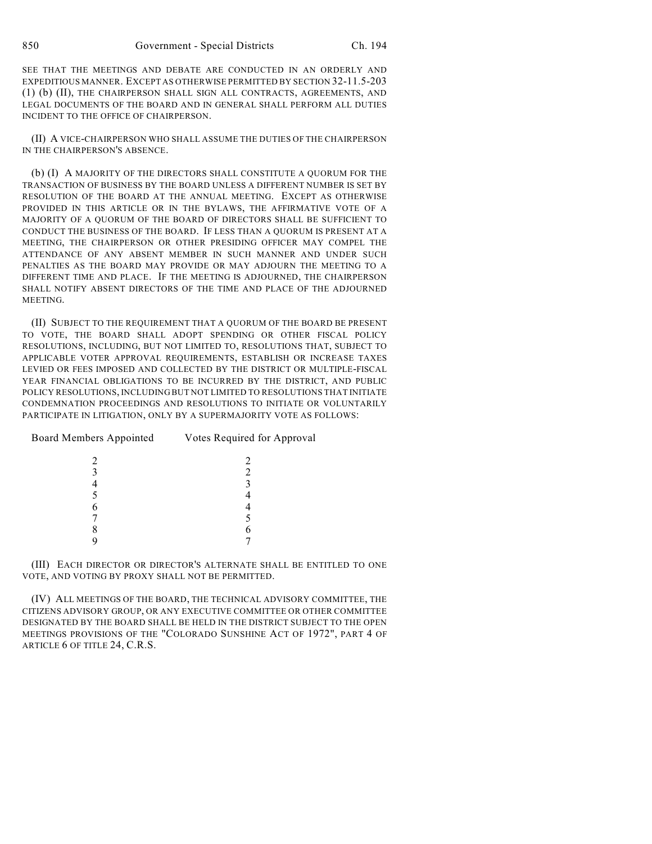SEE THAT THE MEETINGS AND DEBATE ARE CONDUCTED IN AN ORDERLY AND EXPEDITIOUS MANNER. EXCEPT AS OTHERWISE PERMITTED BY SECTION 32-11.5-203 (1) (b) (II), THE CHAIRPERSON SHALL SIGN ALL CONTRACTS, AGREEMENTS, AND LEGAL DOCUMENTS OF THE BOARD AND IN GENERAL SHALL PERFORM ALL DUTIES INCIDENT TO THE OFFICE OF CHAIRPERSON.

(II) A VICE-CHAIRPERSON WHO SHALL ASSUME THE DUTIES OF THE CHAIRPERSON IN THE CHAIRPERSON'S ABSENCE.

(b) (I) A MAJORITY OF THE DIRECTORS SHALL CONSTITUTE A QUORUM FOR THE TRANSACTION OF BUSINESS BY THE BOARD UNLESS A DIFFERENT NUMBER IS SET BY RESOLUTION OF THE BOARD AT THE ANNUAL MEETING. EXCEPT AS OTHERWISE PROVIDED IN THIS ARTICLE OR IN THE BYLAWS, THE AFFIRMATIVE VOTE OF A MAJORITY OF A QUORUM OF THE BOARD OF DIRECTORS SHALL BE SUFFICIENT TO CONDUCT THE BUSINESS OF THE BOARD. IF LESS THAN A QUORUM IS PRESENT AT A MEETING, THE CHAIRPERSON OR OTHER PRESIDING OFFICER MAY COMPEL THE ATTENDANCE OF ANY ABSENT MEMBER IN SUCH MANNER AND UNDER SUCH PENALTIES AS THE BOARD MAY PROVIDE OR MAY ADJOURN THE MEETING TO A DIFFERENT TIME AND PLACE. IF THE MEETING IS ADJOURNED, THE CHAIRPERSON SHALL NOTIFY ABSENT DIRECTORS OF THE TIME AND PLACE OF THE ADJOURNED **MEETING** 

(II) SUBJECT TO THE REQUIREMENT THAT A QUORUM OF THE BOARD BE PRESENT TO VOTE, THE BOARD SHALL ADOPT SPENDING OR OTHER FISCAL POLICY RESOLUTIONS, INCLUDING, BUT NOT LIMITED TO, RESOLUTIONS THAT, SUBJECT TO APPLICABLE VOTER APPROVAL REQUIREMENTS, ESTABLISH OR INCREASE TAXES LEVIED OR FEES IMPOSED AND COLLECTED BY THE DISTRICT OR MULTIPLE-FISCAL YEAR FINANCIAL OBLIGATIONS TO BE INCURRED BY THE DISTRICT, AND PUBLIC POLICY RESOLUTIONS, INCLUDING BUT NOT LIMITED TO RESOLUTIONS THAT INITIATE CONDEMNATION PROCEEDINGS AND RESOLUTIONS TO INITIATE OR VOLUNTARILY PARTICIPATE IN LITIGATION, ONLY BY A SUPERMAJORITY VOTE AS FOLLOWS:

| <b>Board Members Appointed</b> | Votes Required for Approval |
|--------------------------------|-----------------------------|
|                                |                             |
|                                |                             |
|                                |                             |
|                                |                             |
|                                |                             |
|                                |                             |
|                                |                             |
|                                |                             |

(III) EACH DIRECTOR OR DIRECTOR'S ALTERNATE SHALL BE ENTITLED TO ONE VOTE, AND VOTING BY PROXY SHALL NOT BE PERMITTED.

(IV) ALL MEETINGS OF THE BOARD, THE TECHNICAL ADVISORY COMMITTEE, THE CITIZENS ADVISORY GROUP, OR ANY EXECUTIVE COMMITTEE OR OTHER COMMITTEE DESIGNATED BY THE BOARD SHALL BE HELD IN THE DISTRICT SUBJECT TO THE OPEN MEETINGS PROVISIONS OF THE "COLORADO SUNSHINE ACT OF 1972", PART 4 OF ARTICLE 6 OF TITLE 24, C.R.S.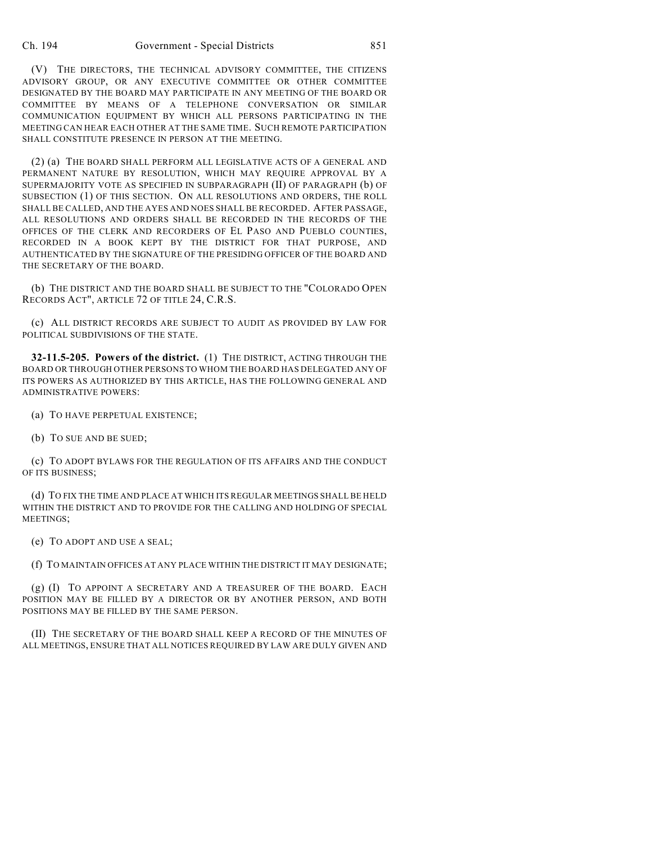(V) THE DIRECTORS, THE TECHNICAL ADVISORY COMMITTEE, THE CITIZENS ADVISORY GROUP, OR ANY EXECUTIVE COMMITTEE OR OTHER COMMITTEE DESIGNATED BY THE BOARD MAY PARTICIPATE IN ANY MEETING OF THE BOARD OR COMMITTEE BY MEANS OF A TELEPHONE CONVERSATION OR SIMILAR COMMUNICATION EQUIPMENT BY WHICH ALL PERSONS PARTICIPATING IN THE MEETING CAN HEAR EACH OTHER AT THE SAME TIME. SUCH REMOTE PARTICIPATION SHALL CONSTITUTE PRESENCE IN PERSON AT THE MEETING.

(2) (a) THE BOARD SHALL PERFORM ALL LEGISLATIVE ACTS OF A GENERAL AND PERMANENT NATURE BY RESOLUTION, WHICH MAY REQUIRE APPROVAL BY A SUPERMAJORITY VOTE AS SPECIFIED IN SUBPARAGRAPH (II) OF PARAGRAPH (b) OF SUBSECTION (1) OF THIS SECTION. ON ALL RESOLUTIONS AND ORDERS, THE ROLL SHALL BE CALLED, AND THE AYES AND NOES SHALL BE RECORDED. AFTER PASSAGE, ALL RESOLUTIONS AND ORDERS SHALL BE RECORDED IN THE RECORDS OF THE OFFICES OF THE CLERK AND RECORDERS OF EL PASO AND PUEBLO COUNTIES, RECORDED IN A BOOK KEPT BY THE DISTRICT FOR THAT PURPOSE, AND AUTHENTICATED BY THE SIGNATURE OF THE PRESIDING OFFICER OF THE BOARD AND THE SECRETARY OF THE BOARD.

(b) THE DISTRICT AND THE BOARD SHALL BE SUBJECT TO THE "COLORADO OPEN RECORDS ACT", ARTICLE 72 OF TITLE 24, C.R.S.

(c) ALL DISTRICT RECORDS ARE SUBJECT TO AUDIT AS PROVIDED BY LAW FOR POLITICAL SUBDIVISIONS OF THE STATE.

**32-11.5-205. Powers of the district.** (1) THE DISTRICT, ACTING THROUGH THE BOARD OR THROUGH OTHER PERSONS TO WHOM THE BOARD HAS DELEGATED ANY OF ITS POWERS AS AUTHORIZED BY THIS ARTICLE, HAS THE FOLLOWING GENERAL AND ADMINISTRATIVE POWERS:

(a) TO HAVE PERPETUAL EXISTENCE;

(b) TO SUE AND BE SUED;

(c) TO ADOPT BYLAWS FOR THE REGULATION OF ITS AFFAIRS AND THE CONDUCT OF ITS BUSINESS;

(d) TO FIX THE TIME AND PLACE AT WHICH ITS REGULAR MEETINGS SHALL BE HELD WITHIN THE DISTRICT AND TO PROVIDE FOR THE CALLING AND HOLDING OF SPECIAL MEETINGS;

(e) TO ADOPT AND USE A SEAL;

(f) TO MAINTAIN OFFICES AT ANY PLACE WITHIN THE DISTRICT IT MAY DESIGNATE;

(g) (I) TO APPOINT A SECRETARY AND A TREASURER OF THE BOARD. EACH POSITION MAY BE FILLED BY A DIRECTOR OR BY ANOTHER PERSON, AND BOTH POSITIONS MAY BE FILLED BY THE SAME PERSON.

(II) THE SECRETARY OF THE BOARD SHALL KEEP A RECORD OF THE MINUTES OF ALL MEETINGS, ENSURE THAT ALL NOTICES REQUIRED BY LAW ARE DULY GIVEN AND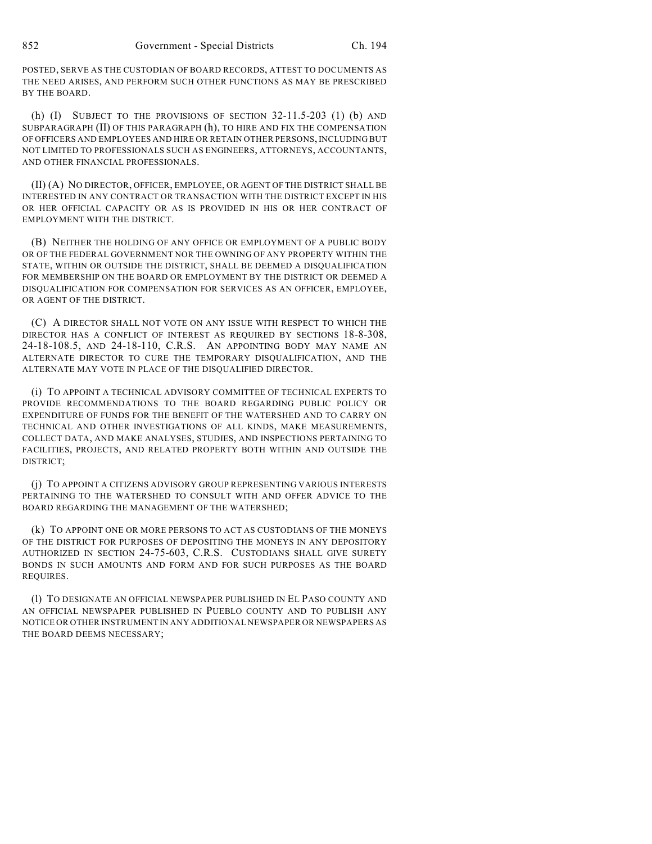POSTED, SERVE AS THE CUSTODIAN OF BOARD RECORDS, ATTEST TO DOCUMENTS AS THE NEED ARISES, AND PERFORM SUCH OTHER FUNCTIONS AS MAY BE PRESCRIBED BY THE BOARD.

(h) (I) SUBJECT TO THE PROVISIONS OF SECTION  $32-11.5-203$  (1) (b) AND SUBPARAGRAPH (II) OF THIS PARAGRAPH (h), TO HIRE AND FIX THE COMPENSATION OF OFFICERS AND EMPLOYEES AND HIRE OR RETAIN OTHER PERSONS, INCLUDING BUT NOT LIMITED TO PROFESSIONALS SUCH AS ENGINEERS, ATTORNEYS, ACCOUNTANTS, AND OTHER FINANCIAL PROFESSIONALS.

(II) (A) NO DIRECTOR, OFFICER, EMPLOYEE, OR AGENT OF THE DISTRICT SHALL BE INTERESTED IN ANY CONTRACT OR TRANSACTION WITH THE DISTRICT EXCEPT IN HIS OR HER OFFICIAL CAPACITY OR AS IS PROVIDED IN HIS OR HER CONTRACT OF EMPLOYMENT WITH THE DISTRICT.

(B) NEITHER THE HOLDING OF ANY OFFICE OR EMPLOYMENT OF A PUBLIC BODY OR OF THE FEDERAL GOVERNMENT NOR THE OWNING OF ANY PROPERTY WITHIN THE STATE, WITHIN OR OUTSIDE THE DISTRICT, SHALL BE DEEMED A DISQUALIFICATION FOR MEMBERSHIP ON THE BOARD OR EMPLOYMENT BY THE DISTRICT OR DEEMED A DISQUALIFICATION FOR COMPENSATION FOR SERVICES AS AN OFFICER, EMPLOYEE, OR AGENT OF THE DISTRICT.

(C) A DIRECTOR SHALL NOT VOTE ON ANY ISSUE WITH RESPECT TO WHICH THE DIRECTOR HAS A CONFLICT OF INTEREST AS REQUIRED BY SECTIONS 18-8-308, 24-18-108.5, AND 24-18-110, C.R.S. AN APPOINTING BODY MAY NAME AN ALTERNATE DIRECTOR TO CURE THE TEMPORARY DISQUALIFICATION, AND THE ALTERNATE MAY VOTE IN PLACE OF THE DISQUALIFIED DIRECTOR.

(i) TO APPOINT A TECHNICAL ADVISORY COMMITTEE OF TECHNICAL EXPERTS TO PROVIDE RECOMMENDATIONS TO THE BOARD REGARDING PUBLIC POLICY OR EXPENDITURE OF FUNDS FOR THE BENEFIT OF THE WATERSHED AND TO CARRY ON TECHNICAL AND OTHER INVESTIGATIONS OF ALL KINDS, MAKE MEASUREMENTS, COLLECT DATA, AND MAKE ANALYSES, STUDIES, AND INSPECTIONS PERTAINING TO FACILITIES, PROJECTS, AND RELATED PROPERTY BOTH WITHIN AND OUTSIDE THE DISTRICT;

(j) TO APPOINT A CITIZENS ADVISORY GROUP REPRESENTING VARIOUS INTERESTS PERTAINING TO THE WATERSHED TO CONSULT WITH AND OFFER ADVICE TO THE BOARD REGARDING THE MANAGEMENT OF THE WATERSHED;

(k) TO APPOINT ONE OR MORE PERSONS TO ACT AS CUSTODIANS OF THE MONEYS OF THE DISTRICT FOR PURPOSES OF DEPOSITING THE MONEYS IN ANY DEPOSITORY AUTHORIZED IN SECTION 24-75-603, C.R.S. CUSTODIANS SHALL GIVE SURETY BONDS IN SUCH AMOUNTS AND FORM AND FOR SUCH PURPOSES AS THE BOARD REQUIRES.

(l) TO DESIGNATE AN OFFICIAL NEWSPAPER PUBLISHED IN EL PASO COUNTY AND AN OFFICIAL NEWSPAPER PUBLISHED IN PUEBLO COUNTY AND TO PUBLISH ANY NOTICE OR OTHER INSTRUMENT IN ANY ADDITIONAL NEWSPAPER OR NEWSPAPERS AS THE BOARD DEEMS NECESSARY;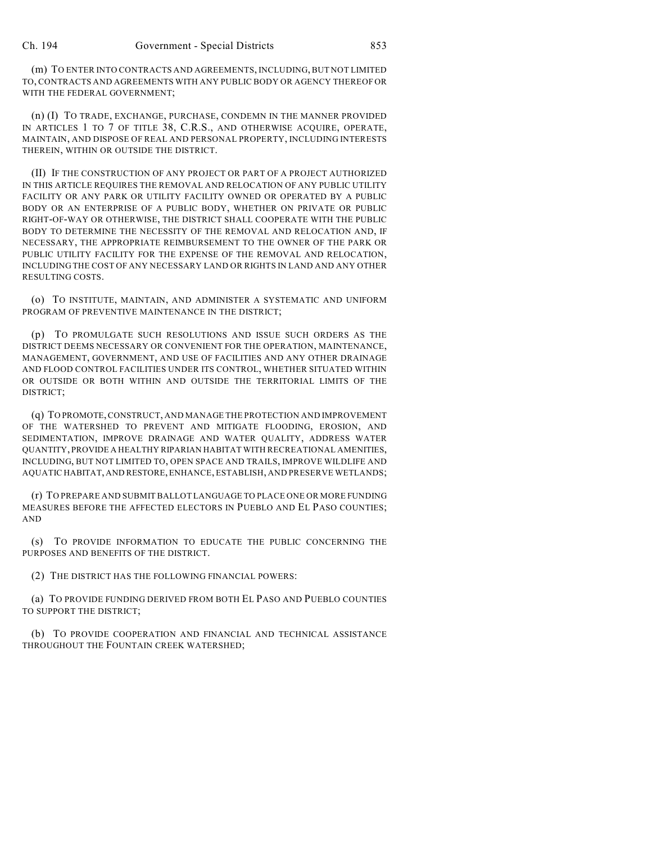(m) TO ENTER INTO CONTRACTS AND AGREEMENTS, INCLUDING, BUT NOT LIMITED TO, CONTRACTS AND AGREEMENTS WITH ANY PUBLIC BODY OR AGENCY THEREOF OR WITH THE FEDERAL GOVERNMENT;

(n) (I) TO TRADE, EXCHANGE, PURCHASE, CONDEMN IN THE MANNER PROVIDED IN ARTICLES 1 TO 7 OF TITLE 38, C.R.S., AND OTHERWISE ACQUIRE, OPERATE, MAINTAIN, AND DISPOSE OF REAL AND PERSONAL PROPERTY, INCLUDING INTERESTS THEREIN, WITHIN OR OUTSIDE THE DISTRICT.

(II) IF THE CONSTRUCTION OF ANY PROJECT OR PART OF A PROJECT AUTHORIZED IN THIS ARTICLE REQUIRES THE REMOVAL AND RELOCATION OF ANY PUBLIC UTILITY FACILITY OR ANY PARK OR UTILITY FACILITY OWNED OR OPERATED BY A PUBLIC BODY OR AN ENTERPRISE OF A PUBLIC BODY, WHETHER ON PRIVATE OR PUBLIC RIGHT-OF-WAY OR OTHERWISE, THE DISTRICT SHALL COOPERATE WITH THE PUBLIC BODY TO DETERMINE THE NECESSITY OF THE REMOVAL AND RELOCATION AND, IF NECESSARY, THE APPROPRIATE REIMBURSEMENT TO THE OWNER OF THE PARK OR PUBLIC UTILITY FACILITY FOR THE EXPENSE OF THE REMOVAL AND RELOCATION, INCLUDING THE COST OF ANY NECESSARY LAND OR RIGHTS IN LAND AND ANY OTHER RESULTING COSTS.

(o) TO INSTITUTE, MAINTAIN, AND ADMINISTER A SYSTEMATIC AND UNIFORM PROGRAM OF PREVENTIVE MAINTENANCE IN THE DISTRICT;

(p) TO PROMULGATE SUCH RESOLUTIONS AND ISSUE SUCH ORDERS AS THE DISTRICT DEEMS NECESSARY OR CONVENIENT FOR THE OPERATION, MAINTENANCE, MANAGEMENT, GOVERNMENT, AND USE OF FACILITIES AND ANY OTHER DRAINAGE AND FLOOD CONTROL FACILITIES UNDER ITS CONTROL, WHETHER SITUATED WITHIN OR OUTSIDE OR BOTH WITHIN AND OUTSIDE THE TERRITORIAL LIMITS OF THE DISTRICT;

(q) TO PROMOTE, CONSTRUCT, AND MANAGE THE PROTECTION AND IMPROVEMENT OF THE WATERSHED TO PREVENT AND MITIGATE FLOODING, EROSION, AND SEDIMENTATION, IMPROVE DRAINAGE AND WATER QUALITY, ADDRESS WATER QUANTITY, PROVIDE A HEALTHY RIPARIAN HABITAT WITH RECREATIONAL AMENITIES, INCLUDING, BUT NOT LIMITED TO, OPEN SPACE AND TRAILS, IMPROVE WILDLIFE AND AQUATIC HABITAT, AND RESTORE, ENHANCE, ESTABLISH, AND PRESERVE WETLANDS;

(r) TO PREPARE AND SUBMIT BALLOT LANGUAGE TO PLACE ONE OR MORE FUNDING MEASURES BEFORE THE AFFECTED ELECTORS IN PUEBLO AND EL PASO COUNTIES; AND

(s) TO PROVIDE INFORMATION TO EDUCATE THE PUBLIC CONCERNING THE PURPOSES AND BENEFITS OF THE DISTRICT.

(2) THE DISTRICT HAS THE FOLLOWING FINANCIAL POWERS:

(a) TO PROVIDE FUNDING DERIVED FROM BOTH EL PASO AND PUEBLO COUNTIES TO SUPPORT THE DISTRICT;

(b) TO PROVIDE COOPERATION AND FINANCIAL AND TECHNICAL ASSISTANCE THROUGHOUT THE FOUNTAIN CREEK WATERSHED;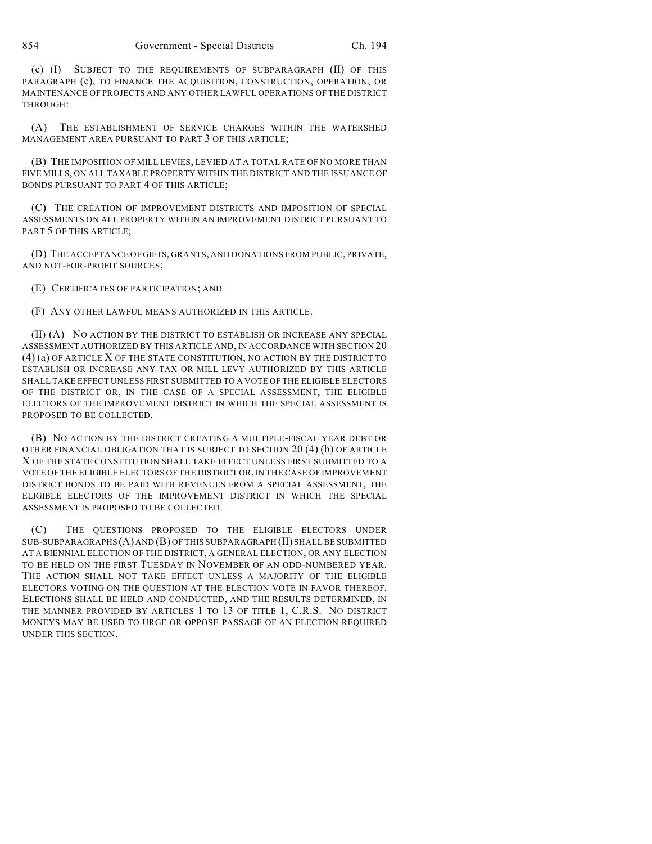(c) (I) SUBJECT TO THE REQUIREMENTS OF SUBPARAGRAPH (II) OF THIS PARAGRAPH (c), TO FINANCE THE ACQUISITION, CONSTRUCTION, OPERATION, OR MAINTENANCE OF PROJECTS AND ANY OTHER LAWFUL OPERATIONS OF THE DISTRICT THROUGH:

(A) THE ESTABLISHMENT OF SERVICE CHARGES WITHIN THE WATERSHED MANAGEMENT AREA PURSUANT TO PART 3 OF THIS ARTICLE;

(B) THE IMPOSITION OF MILL LEVIES, LEVIED AT A TOTAL RATE OF NO MORE THAN FIVE MILLS, ON ALL TAXABLE PROPERTY WITHIN THE DISTRICT AND THE ISSUANCE OF BONDS PURSUANT TO PART 4 OF THIS ARTICLE;

(C) THE CREATION OF IMPROVEMENT DISTRICTS AND IMPOSITION OF SPECIAL ASSESSMENTS ON ALL PROPERTY WITHIN AN IMPROVEMENT DISTRICT PURSUANT TO PART 5 OF THIS ARTICLE;

(D) THE ACCEPTANCE OF GIFTS, GRANTS, AND DONATIONS FROM PUBLIC, PRIVATE, AND NOT-FOR-PROFIT SOURCES;

(E) CERTIFICATES OF PARTICIPATION; AND

(F) ANY OTHER LAWFUL MEANS AUTHORIZED IN THIS ARTICLE.

(II) (A) NO ACTION BY THE DISTRICT TO ESTABLISH OR INCREASE ANY SPECIAL ASSESSMENT AUTHORIZED BY THIS ARTICLE AND, IN ACCORDANCE WITH SECTION 20 (4) (a) OF ARTICLE X OF THE STATE CONSTITUTION, NO ACTION BY THE DISTRICT TO ESTABLISH OR INCREASE ANY TAX OR MILL LEVY AUTHORIZED BY THIS ARTICLE SHALL TAKE EFFECT UNLESS FIRST SUBMITTED TO A VOTE OF THE ELIGIBLE ELECTORS OF THE DISTRICT OR, IN THE CASE OF A SPECIAL ASSESSMENT, THE ELIGIBLE ELECTORS OF THE IMPROVEMENT DISTRICT IN WHICH THE SPECIAL ASSESSMENT IS PROPOSED TO BE COLLECTED.

(B) NO ACTION BY THE DISTRICT CREATING A MULTIPLE-FISCAL YEAR DEBT OR OTHER FINANCIAL OBLIGATION THAT IS SUBJECT TO SECTION 20 (4) (b) OF ARTICLE X OF THE STATE CONSTITUTION SHALL TAKE EFFECT UNLESS FIRST SUBMITTED TO A VOTE OF THE ELIGIBLE ELECTORS OF THE DISTRICT OR, IN THE CASE OF IMPROVEMENT DISTRICT BONDS TO BE PAID WITH REVENUES FROM A SPECIAL ASSESSMENT, THE ELIGIBLE ELECTORS OF THE IMPROVEMENT DISTRICT IN WHICH THE SPECIAL ASSESSMENT IS PROPOSED TO BE COLLECTED.

(C) THE QUESTIONS PROPOSED TO THE ELIGIBLE ELECTORS UNDER SUB-SUBPARAGRAPHS (A) AND (B) OF THIS SUBPARAGRAPH (II) SHALL BE SUBMITTED AT A BIENNIAL ELECTION OF THE DISTRICT, A GENERAL ELECTION, OR ANY ELECTION TO BE HELD ON THE FIRST TUESDAY IN NOVEMBER OF AN ODD-NUMBERED YEAR. THE ACTION SHALL NOT TAKE EFFECT UNLESS A MAJORITY OF THE ELIGIBLE ELECTORS VOTING ON THE QUESTION AT THE ELECTION VOTE IN FAVOR THEREOF. ELECTIONS SHALL BE HELD AND CONDUCTED, AND THE RESULTS DETERMINED, IN THE MANNER PROVIDED BY ARTICLES 1 TO 13 OF TITLE 1, C.R.S. NO DISTRICT MONEYS MAY BE USED TO URGE OR OPPOSE PASSAGE OF AN ELECTION REQUIRED UNDER THIS SECTION.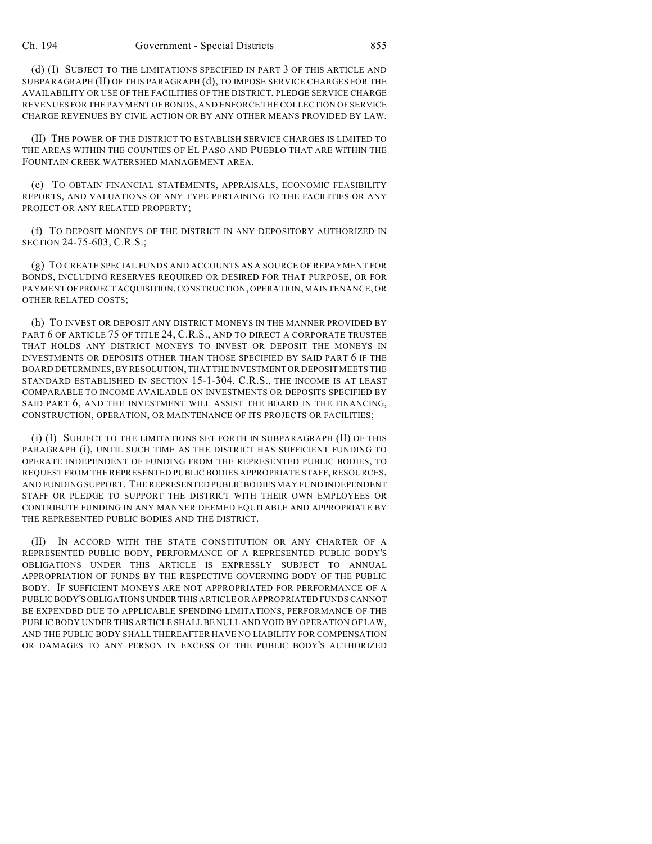(d) (I) SUBJECT TO THE LIMITATIONS SPECIFIED IN PART 3 OF THIS ARTICLE AND SUBPARAGRAPH (II) OF THIS PARAGRAPH (d), TO IMPOSE SERVICE CHARGES FOR THE AVAILABILITY OR USE OF THE FACILITIES OF THE DISTRICT, PLEDGE SERVICE CHARGE REVENUES FOR THE PAYMENT OF BONDS, AND ENFORCE THE COLLECTION OF SERVICE CHARGE REVENUES BY CIVIL ACTION OR BY ANY OTHER MEANS PROVIDED BY LAW.

(II) THE POWER OF THE DISTRICT TO ESTABLISH SERVICE CHARGES IS LIMITED TO THE AREAS WITHIN THE COUNTIES OF EL PASO AND PUEBLO THAT ARE WITHIN THE FOUNTAIN CREEK WATERSHED MANAGEMENT AREA.

(e) TO OBTAIN FINANCIAL STATEMENTS, APPRAISALS, ECONOMIC FEASIBILITY REPORTS, AND VALUATIONS OF ANY TYPE PERTAINING TO THE FACILITIES OR ANY PROJECT OR ANY RELATED PROPERTY;

(f) TO DEPOSIT MONEYS OF THE DISTRICT IN ANY DEPOSITORY AUTHORIZED IN SECTION 24-75-603, C.R.S.;

(g) TO CREATE SPECIAL FUNDS AND ACCOUNTS AS A SOURCE OF REPAYMENT FOR BONDS, INCLUDING RESERVES REQUIRED OR DESIRED FOR THAT PURPOSE, OR FOR PAYMENT OF PROJECT ACQUISITION, CONSTRUCTION, OPERATION, MAINTENANCE, OR OTHER RELATED COSTS;

(h) TO INVEST OR DEPOSIT ANY DISTRICT MONEYS IN THE MANNER PROVIDED BY PART 6 OF ARTICLE 75 OF TITLE 24, C.R.S., AND TO DIRECT A CORPORATE TRUSTEE THAT HOLDS ANY DISTRICT MONEYS TO INVEST OR DEPOSIT THE MONEYS IN INVESTMENTS OR DEPOSITS OTHER THAN THOSE SPECIFIED BY SAID PART 6 IF THE BOARD DETERMINES, BY RESOLUTION, THAT THE INVESTMENT OR DEPOSIT MEETS THE STANDARD ESTABLISHED IN SECTION 15-1-304, C.R.S., THE INCOME IS AT LEAST COMPARABLE TO INCOME AVAILABLE ON INVESTMENTS OR DEPOSITS SPECIFIED BY SAID PART 6, AND THE INVESTMENT WILL ASSIST THE BOARD IN THE FINANCING, CONSTRUCTION, OPERATION, OR MAINTENANCE OF ITS PROJECTS OR FACILITIES;

(i) (I) SUBJECT TO THE LIMITATIONS SET FORTH IN SUBPARAGRAPH (II) OF THIS PARAGRAPH (i), UNTIL SUCH TIME AS THE DISTRICT HAS SUFFICIENT FUNDING TO OPERATE INDEPENDENT OF FUNDING FROM THE REPRESENTED PUBLIC BODIES, TO REQUEST FROM THE REPRESENTED PUBLIC BODIES APPROPRIATE STAFF, RESOURCES, AND FUNDING SUPPORT. THE REPRESENTED PUBLIC BODIES MAY FUND INDEPENDENT STAFF OR PLEDGE TO SUPPORT THE DISTRICT WITH THEIR OWN EMPLOYEES OR CONTRIBUTE FUNDING IN ANY MANNER DEEMED EQUITABLE AND APPROPRIATE BY THE REPRESENTED PUBLIC BODIES AND THE DISTRICT.

(II) IN ACCORD WITH THE STATE CONSTITUTION OR ANY CHARTER OF A REPRESENTED PUBLIC BODY, PERFORMANCE OF A REPRESENTED PUBLIC BODY'S OBLIGATIONS UNDER THIS ARTICLE IS EXPRESSLY SUBJECT TO ANNUAL APPROPRIATION OF FUNDS BY THE RESPECTIVE GOVERNING BODY OF THE PUBLIC BODY. IF SUFFICIENT MONEYS ARE NOT APPROPRIATED FOR PERFORMANCE OF A PUBLIC BODY'S OBLIGATIONS UNDER THIS ARTICLE OR APPROPRIATED FUNDS CANNOT BE EXPENDED DUE TO APPLICABLE SPENDING LIMITATIONS, PERFORMANCE OF THE PUBLIC BODY UNDER THIS ARTICLE SHALL BE NULL AND VOID BY OPERATION OF LAW, AND THE PUBLIC BODY SHALL THEREAFTER HAVE NO LIABILITY FOR COMPENSATION OR DAMAGES TO ANY PERSON IN EXCESS OF THE PUBLIC BODY'S AUTHORIZED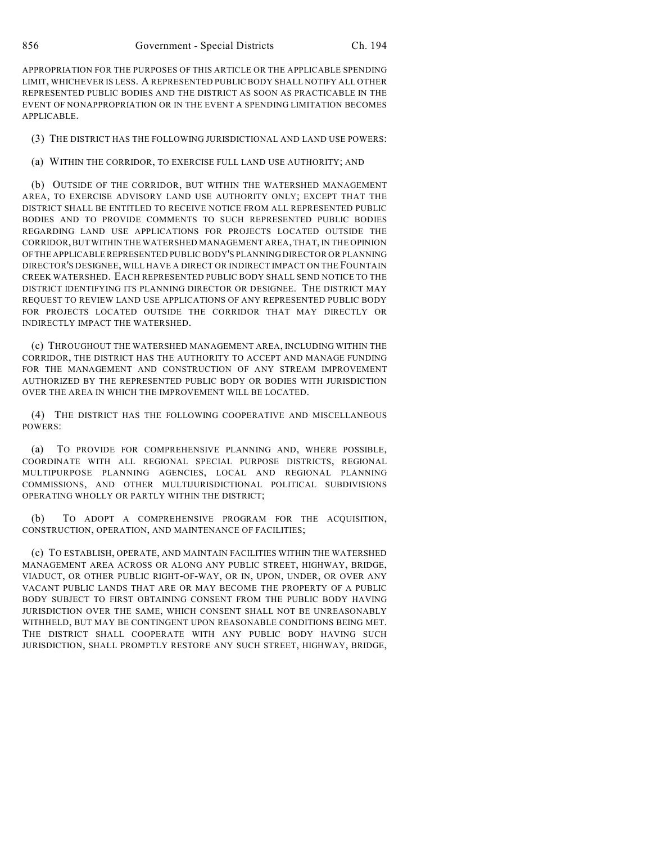APPROPRIATION FOR THE PURPOSES OF THIS ARTICLE OR THE APPLICABLE SPENDING LIMIT, WHICHEVER IS LESS. A REPRESENTED PUBLIC BODY SHALL NOTIFY ALL OTHER REPRESENTED PUBLIC BODIES AND THE DISTRICT AS SOON AS PRACTICABLE IN THE EVENT OF NONAPPROPRIATION OR IN THE EVENT A SPENDING LIMITATION BECOMES APPLICABLE.

(3) THE DISTRICT HAS THE FOLLOWING JURISDICTIONAL AND LAND USE POWERS:

(a) WITHIN THE CORRIDOR, TO EXERCISE FULL LAND USE AUTHORITY; AND

(b) OUTSIDE OF THE CORRIDOR, BUT WITHIN THE WATERSHED MANAGEMENT AREA, TO EXERCISE ADVISORY LAND USE AUTHORITY ONLY; EXCEPT THAT THE DISTRICT SHALL BE ENTITLED TO RECEIVE NOTICE FROM ALL REPRESENTED PUBLIC BODIES AND TO PROVIDE COMMENTS TO SUCH REPRESENTED PUBLIC BODIES REGARDING LAND USE APPLICATIONS FOR PROJECTS LOCATED OUTSIDE THE CORRIDOR, BUT WITHIN THE WATERSHED MANAGEMENT AREA, THAT, IN THE OPINION OF THE APPLICABLE REPRESENTED PUBLIC BODY'S PLANNING DIRECTOR OR PLANNING DIRECTOR'S DESIGNEE, WILL HAVE A DIRECT OR INDIRECT IMPACT ON THE FOUNTAIN CREEK WATERSHED. EACH REPRESENTED PUBLIC BODY SHALL SEND NOTICE TO THE DISTRICT IDENTIFYING ITS PLANNING DIRECTOR OR DESIGNEE. THE DISTRICT MAY REQUEST TO REVIEW LAND USE APPLICATIONS OF ANY REPRESENTED PUBLIC BODY FOR PROJECTS LOCATED OUTSIDE THE CORRIDOR THAT MAY DIRECTLY OR INDIRECTLY IMPACT THE WATERSHED.

(c) THROUGHOUT THE WATERSHED MANAGEMENT AREA, INCLUDING WITHIN THE CORRIDOR, THE DISTRICT HAS THE AUTHORITY TO ACCEPT AND MANAGE FUNDING FOR THE MANAGEMENT AND CONSTRUCTION OF ANY STREAM IMPROVEMENT AUTHORIZED BY THE REPRESENTED PUBLIC BODY OR BODIES WITH JURISDICTION OVER THE AREA IN WHICH THE IMPROVEMENT WILL BE LOCATED.

(4) THE DISTRICT HAS THE FOLLOWING COOPERATIVE AND MISCELLANEOUS POWERS:

(a) TO PROVIDE FOR COMPREHENSIVE PLANNING AND, WHERE POSSIBLE, COORDINATE WITH ALL REGIONAL SPECIAL PURPOSE DISTRICTS, REGIONAL MULTIPURPOSE PLANNING AGENCIES, LOCAL AND REGIONAL PLANNING COMMISSIONS, AND OTHER MULTIJURISDICTIONAL POLITICAL SUBDIVISIONS OPERATING WHOLLY OR PARTLY WITHIN THE DISTRICT;

(b) TO ADOPT A COMPREHENSIVE PROGRAM FOR THE ACQUISITION, CONSTRUCTION, OPERATION, AND MAINTENANCE OF FACILITIES;

(c) TO ESTABLISH, OPERATE, AND MAINTAIN FACILITIES WITHIN THE WATERSHED MANAGEMENT AREA ACROSS OR ALONG ANY PUBLIC STREET, HIGHWAY, BRIDGE, VIADUCT, OR OTHER PUBLIC RIGHT-OF-WAY, OR IN, UPON, UNDER, OR OVER ANY VACANT PUBLIC LANDS THAT ARE OR MAY BECOME THE PROPERTY OF A PUBLIC BODY SUBJECT TO FIRST OBTAINING CONSENT FROM THE PUBLIC BODY HAVING JURISDICTION OVER THE SAME, WHICH CONSENT SHALL NOT BE UNREASONABLY WITHHELD, BUT MAY BE CONTINGENT UPON REASONABLE CONDITIONS BEING MET. THE DISTRICT SHALL COOPERATE WITH ANY PUBLIC BODY HAVING SUCH JURISDICTION, SHALL PROMPTLY RESTORE ANY SUCH STREET, HIGHWAY, BRIDGE,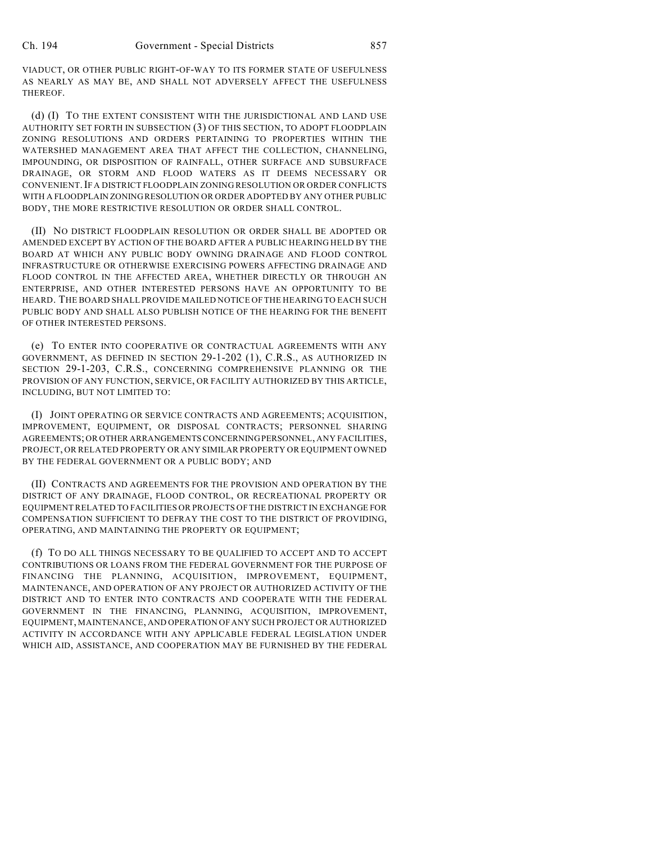VIADUCT, OR OTHER PUBLIC RIGHT-OF-WAY TO ITS FORMER STATE OF USEFULNESS AS NEARLY AS MAY BE, AND SHALL NOT ADVERSELY AFFECT THE USEFULNESS THEREOF.

(d) (I) TO THE EXTENT CONSISTENT WITH THE JURISDICTIONAL AND LAND USE AUTHORITY SET FORTH IN SUBSECTION (3) OF THIS SECTION, TO ADOPT FLOODPLAIN ZONING RESOLUTIONS AND ORDERS PERTAINING TO PROPERTIES WITHIN THE WATERSHED MANAGEMENT AREA THAT AFFECT THE COLLECTION, CHANNELING, IMPOUNDING, OR DISPOSITION OF RAINFALL, OTHER SURFACE AND SUBSURFACE DRAINAGE, OR STORM AND FLOOD WATERS AS IT DEEMS NECESSARY OR CONVENIENT.IF A DISTRICT FLOODPLAIN ZONING RESOLUTION OR ORDER CONFLICTS WITH A FLOODPLAIN ZONING RESOLUTION OR ORDER ADOPTED BY ANY OTHER PUBLIC BODY, THE MORE RESTRICTIVE RESOLUTION OR ORDER SHALL CONTROL.

(II) NO DISTRICT FLOODPLAIN RESOLUTION OR ORDER SHALL BE ADOPTED OR AMENDED EXCEPT BY ACTION OF THE BOARD AFTER A PUBLIC HEARING HELD BY THE BOARD AT WHICH ANY PUBLIC BODY OWNING DRAINAGE AND FLOOD CONTROL INFRASTRUCTURE OR OTHERWISE EXERCISING POWERS AFFECTING DRAINAGE AND FLOOD CONTROL IN THE AFFECTED AREA, WHETHER DIRECTLY OR THROUGH AN ENTERPRISE, AND OTHER INTERESTED PERSONS HAVE AN OPPORTUNITY TO BE HEARD. THE BOARD SHALL PROVIDE MAILED NOTICE OF THE HEARING TO EACH SUCH PUBLIC BODY AND SHALL ALSO PUBLISH NOTICE OF THE HEARING FOR THE BENEFIT OF OTHER INTERESTED PERSONS.

(e) TO ENTER INTO COOPERATIVE OR CONTRACTUAL AGREEMENTS WITH ANY GOVERNMENT, AS DEFINED IN SECTION 29-1-202 (1), C.R.S., AS AUTHORIZED IN SECTION 29-1-203, C.R.S., CONCERNING COMPREHENSIVE PLANNING OR THE PROVISION OF ANY FUNCTION, SERVICE, OR FACILITY AUTHORIZED BY THIS ARTICLE, INCLUDING, BUT NOT LIMITED TO:

(I) JOINT OPERATING OR SERVICE CONTRACTS AND AGREEMENTS; ACQUISITION, IMPROVEMENT, EQUIPMENT, OR DISPOSAL CONTRACTS; PERSONNEL SHARING AGREEMENTS; OR OTHER ARRANGEMENTS CONCERNING PERSONNEL, ANY FACILITIES, PROJECT, OR RELATED PROPERTY OR ANY SIMILAR PROPERTY OR EQUIPMENT OWNED BY THE FEDERAL GOVERNMENT OR A PUBLIC BODY; AND

(II) CONTRACTS AND AGREEMENTS FOR THE PROVISION AND OPERATION BY THE DISTRICT OF ANY DRAINAGE, FLOOD CONTROL, OR RECREATIONAL PROPERTY OR EQUIPMENT RELATED TO FACILITIES OR PROJECTS OF THE DISTRICT IN EXCHANGE FOR COMPENSATION SUFFICIENT TO DEFRAY THE COST TO THE DISTRICT OF PROVIDING, OPERATING, AND MAINTAINING THE PROPERTY OR EQUIPMENT;

(f) TO DO ALL THINGS NECESSARY TO BE QUALIFIED TO ACCEPT AND TO ACCEPT CONTRIBUTIONS OR LOANS FROM THE FEDERAL GOVERNMENT FOR THE PURPOSE OF FINANCING THE PLANNING, ACQUISITION, IMPROVEMENT, EQUIPMENT, MAINTENANCE, AND OPERATION OF ANY PROJECT OR AUTHORIZED ACTIVITY OF THE DISTRICT AND TO ENTER INTO CONTRACTS AND COOPERATE WITH THE FEDERAL GOVERNMENT IN THE FINANCING, PLANNING, ACQUISITION, IMPROVEMENT, EQUIPMENT, MAINTENANCE, AND OPERATION OF ANY SUCH PROJECT OR AUTHORIZED ACTIVITY IN ACCORDANCE WITH ANY APPLICABLE FEDERAL LEGISLATION UNDER WHICH AID, ASSISTANCE, AND COOPERATION MAY BE FURNISHED BY THE FEDERAL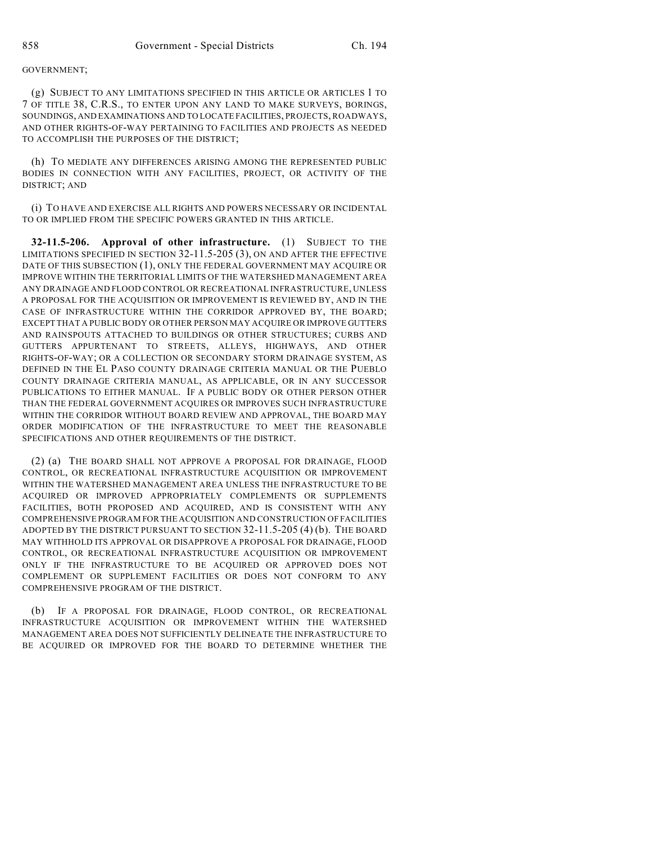#### GOVERNMENT;

(g) SUBJECT TO ANY LIMITATIONS SPECIFIED IN THIS ARTICLE OR ARTICLES 1 TO 7 OF TITLE 38, C.R.S., TO ENTER UPON ANY LAND TO MAKE SURVEYS, BORINGS, SOUNDINGS, AND EXAMINATIONS AND TO LOCATE FACILITIES, PROJECTS, ROADWAYS, AND OTHER RIGHTS-OF-WAY PERTAINING TO FACILITIES AND PROJECTS AS NEEDED TO ACCOMPLISH THE PURPOSES OF THE DISTRICT;

(h) TO MEDIATE ANY DIFFERENCES ARISING AMONG THE REPRESENTED PUBLIC BODIES IN CONNECTION WITH ANY FACILITIES, PROJECT, OR ACTIVITY OF THE DISTRICT; AND

(i) TO HAVE AND EXERCISE ALL RIGHTS AND POWERS NECESSARY OR INCIDENTAL TO OR IMPLIED FROM THE SPECIFIC POWERS GRANTED IN THIS ARTICLE.

**32-11.5-206. Approval of other infrastructure.** (1) SUBJECT TO THE LIMITATIONS SPECIFIED IN SECTION 32-11.5-205 (3), ON AND AFTER THE EFFECTIVE DATE OF THIS SUBSECTION (1), ONLY THE FEDERAL GOVERNMENT MAY ACQUIRE OR IMPROVE WITHIN THE TERRITORIAL LIMITS OF THE WATERSHED MANAGEMENT AREA ANY DRAINAGE AND FLOOD CONTROL OR RECREATIONAL INFRASTRUCTURE, UNLESS A PROPOSAL FOR THE ACQUISITION OR IMPROVEMENT IS REVIEWED BY, AND IN THE CASE OF INFRASTRUCTURE WITHIN THE CORRIDOR APPROVED BY, THE BOARD; EXCEPT THAT A PUBLIC BODY OR OTHER PERSON MAY ACQUIRE OR IMPROVE GUTTERS AND RAINSPOUTS ATTACHED TO BUILDINGS OR OTHER STRUCTURES; CURBS AND GUTTERS APPURTENANT TO STREETS, ALLEYS, HIGHWAYS, AND OTHER RIGHTS-OF-WAY; OR A COLLECTION OR SECONDARY STORM DRAINAGE SYSTEM, AS DEFINED IN THE EL PASO COUNTY DRAINAGE CRITERIA MANUAL OR THE PUEBLO COUNTY DRAINAGE CRITERIA MANUAL, AS APPLICABLE, OR IN ANY SUCCESSOR PUBLICATIONS TO EITHER MANUAL. IF A PUBLIC BODY OR OTHER PERSON OTHER THAN THE FEDERAL GOVERNMENT ACQUIRES OR IMPROVES SUCH INFRASTRUCTURE WITHIN THE CORRIDOR WITHOUT BOARD REVIEW AND APPROVAL, THE BOARD MAY ORDER MODIFICATION OF THE INFRASTRUCTURE TO MEET THE REASONABLE SPECIFICATIONS AND OTHER REQUIREMENTS OF THE DISTRICT.

(2) (a) THE BOARD SHALL NOT APPROVE A PROPOSAL FOR DRAINAGE, FLOOD CONTROL, OR RECREATIONAL INFRASTRUCTURE ACQUISITION OR IMPROVEMENT WITHIN THE WATERSHED MANAGEMENT AREA UNLESS THE INFRASTRUCTURE TO BE ACQUIRED OR IMPROVED APPROPRIATELY COMPLEMENTS OR SUPPLEMENTS FACILITIES, BOTH PROPOSED AND ACQUIRED, AND IS CONSISTENT WITH ANY COMPREHENSIVE PROGRAM FOR THE ACQUISITION AND CONSTRUCTION OF FACILITIES ADOPTED BY THE DISTRICT PURSUANT TO SECTION 32-11.5-205 (4) (b). THE BOARD MAY WITHHOLD ITS APPROVAL OR DISAPPROVE A PROPOSAL FOR DRAINAGE, FLOOD CONTROL, OR RECREATIONAL INFRASTRUCTURE ACQUISITION OR IMPROVEMENT ONLY IF THE INFRASTRUCTURE TO BE ACQUIRED OR APPROVED DOES NOT COMPLEMENT OR SUPPLEMENT FACILITIES OR DOES NOT CONFORM TO ANY COMPREHENSIVE PROGRAM OF THE DISTRICT.

(b) IF A PROPOSAL FOR DRAINAGE, FLOOD CONTROL, OR RECREATIONAL INFRASTRUCTURE ACQUISITION OR IMPROVEMENT WITHIN THE WATERSHED MANAGEMENT AREA DOES NOT SUFFICIENTLY DELINEATE THE INFRASTRUCTURE TO BE ACQUIRED OR IMPROVED FOR THE BOARD TO DETERMINE WHETHER THE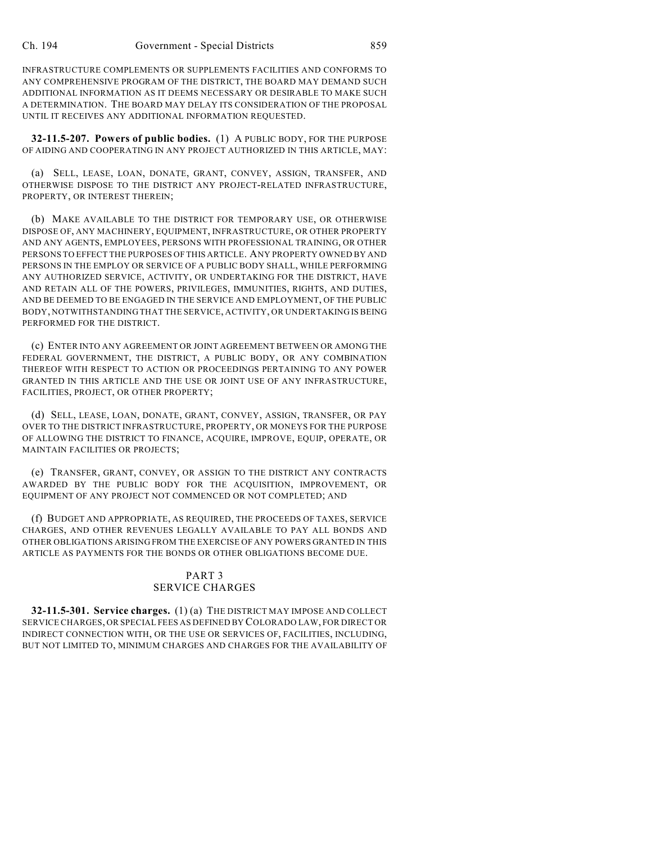INFRASTRUCTURE COMPLEMENTS OR SUPPLEMENTS FACILITIES AND CONFORMS TO ANY COMPREHENSIVE PROGRAM OF THE DISTRICT, THE BOARD MAY DEMAND SUCH ADDITIONAL INFORMATION AS IT DEEMS NECESSARY OR DESIRABLE TO MAKE SUCH A DETERMINATION. THE BOARD MAY DELAY ITS CONSIDERATION OF THE PROPOSAL UNTIL IT RECEIVES ANY ADDITIONAL INFORMATION REQUESTED.

**32-11.5-207. Powers of public bodies.** (1) A PUBLIC BODY, FOR THE PURPOSE OF AIDING AND COOPERATING IN ANY PROJECT AUTHORIZED IN THIS ARTICLE, MAY:

(a) SELL, LEASE, LOAN, DONATE, GRANT, CONVEY, ASSIGN, TRANSFER, AND OTHERWISE DISPOSE TO THE DISTRICT ANY PROJECT-RELATED INFRASTRUCTURE, PROPERTY, OR INTEREST THEREIN;

(b) MAKE AVAILABLE TO THE DISTRICT FOR TEMPORARY USE, OR OTHERWISE DISPOSE OF, ANY MACHINERY, EQUIPMENT, INFRASTRUCTURE, OR OTHER PROPERTY AND ANY AGENTS, EMPLOYEES, PERSONS WITH PROFESSIONAL TRAINING, OR OTHER PERSONS TO EFFECT THE PURPOSES OF THIS ARTICLE. ANY PROPERTY OWNED BY AND PERSONS IN THE EMPLOY OR SERVICE OF A PUBLIC BODY SHALL, WHILE PERFORMING ANY AUTHORIZED SERVICE, ACTIVITY, OR UNDERTAKING FOR THE DISTRICT, HAVE AND RETAIN ALL OF THE POWERS, PRIVILEGES, IMMUNITIES, RIGHTS, AND DUTIES, AND BE DEEMED TO BE ENGAGED IN THE SERVICE AND EMPLOYMENT, OF THE PUBLIC BODY, NOTWITHSTANDING THAT THE SERVICE, ACTIVITY, OR UNDERTAKING IS BEING PERFORMED FOR THE DISTRICT.

(c) ENTER INTO ANY AGREEMENT OR JOINT AGREEMENT BETWEEN OR AMONG THE FEDERAL GOVERNMENT, THE DISTRICT, A PUBLIC BODY, OR ANY COMBINATION THEREOF WITH RESPECT TO ACTION OR PROCEEDINGS PERTAINING TO ANY POWER GRANTED IN THIS ARTICLE AND THE USE OR JOINT USE OF ANY INFRASTRUCTURE, FACILITIES, PROJECT, OR OTHER PROPERTY;

(d) SELL, LEASE, LOAN, DONATE, GRANT, CONVEY, ASSIGN, TRANSFER, OR PAY OVER TO THE DISTRICT INFRASTRUCTURE, PROPERTY, OR MONEYS FOR THE PURPOSE OF ALLOWING THE DISTRICT TO FINANCE, ACQUIRE, IMPROVE, EQUIP, OPERATE, OR MAINTAIN FACILITIES OR PROJECTS;

(e) TRANSFER, GRANT, CONVEY, OR ASSIGN TO THE DISTRICT ANY CONTRACTS AWARDED BY THE PUBLIC BODY FOR THE ACQUISITION, IMPROVEMENT, OR EQUIPMENT OF ANY PROJECT NOT COMMENCED OR NOT COMPLETED; AND

(f) BUDGET AND APPROPRIATE, AS REQUIRED, THE PROCEEDS OF TAXES, SERVICE CHARGES, AND OTHER REVENUES LEGALLY AVAILABLE TO PAY ALL BONDS AND OTHER OBLIGATIONS ARISING FROM THE EXERCISE OF ANY POWERS GRANTED IN THIS ARTICLE AS PAYMENTS FOR THE BONDS OR OTHER OBLIGATIONS BECOME DUE.

#### PART 3 SERVICE CHARGES

**32-11.5-301. Service charges.** (1) (a) THE DISTRICT MAY IMPOSE AND COLLECT SERVICE CHARGES, OR SPECIAL FEES AS DEFINED BY COLORADO LAW, FOR DIRECT OR INDIRECT CONNECTION WITH, OR THE USE OR SERVICES OF, FACILITIES, INCLUDING, BUT NOT LIMITED TO, MINIMUM CHARGES AND CHARGES FOR THE AVAILABILITY OF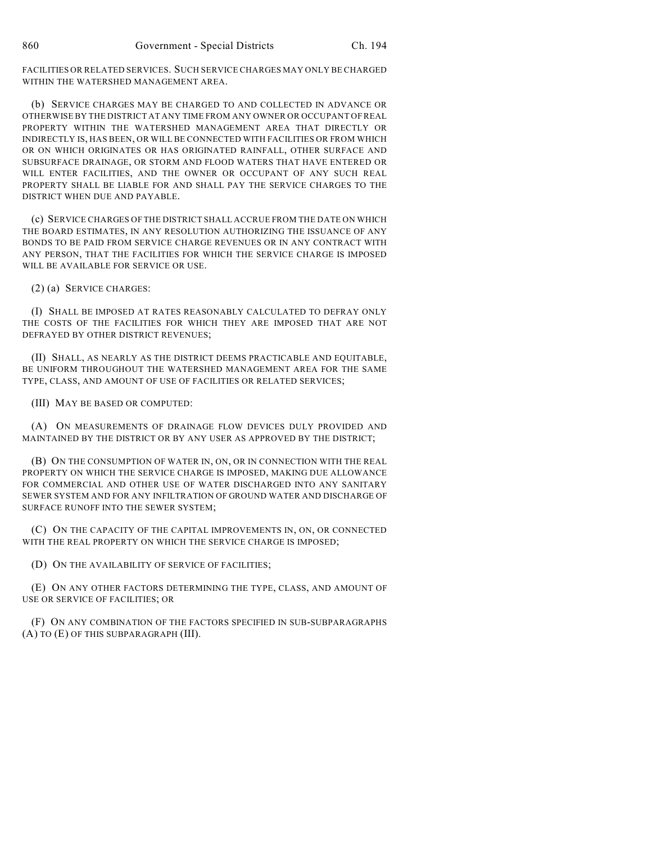FACILITIES OR RELATED SERVICES. SUCH SERVICE CHARGES MAY ONLY BE CHARGED WITHIN THE WATERSHED MANAGEMENT AREA.

(b) SERVICE CHARGES MAY BE CHARGED TO AND COLLECTED IN ADVANCE OR OTHERWISE BY THE DISTRICT AT ANY TIME FROM ANY OWNER OR OCCUPANT OF REAL PROPERTY WITHIN THE WATERSHED MANAGEMENT AREA THAT DIRECTLY OR INDIRECTLY IS, HAS BEEN, OR WILL BE CONNECTED WITH FACILITIES OR FROM WHICH OR ON WHICH ORIGINATES OR HAS ORIGINATED RAINFALL, OTHER SURFACE AND SUBSURFACE DRAINAGE, OR STORM AND FLOOD WATERS THAT HAVE ENTERED OR WILL ENTER FACILITIES, AND THE OWNER OR OCCUPANT OF ANY SUCH REAL PROPERTY SHALL BE LIABLE FOR AND SHALL PAY THE SERVICE CHARGES TO THE DISTRICT WHEN DUE AND PAYABLE.

(c) SERVICE CHARGES OF THE DISTRICT SHALL ACCRUE FROM THE DATE ON WHICH THE BOARD ESTIMATES, IN ANY RESOLUTION AUTHORIZING THE ISSUANCE OF ANY BONDS TO BE PAID FROM SERVICE CHARGE REVENUES OR IN ANY CONTRACT WITH ANY PERSON, THAT THE FACILITIES FOR WHICH THE SERVICE CHARGE IS IMPOSED WILL BE AVAILABLE FOR SERVICE OR USE.

(2) (a) SERVICE CHARGES:

(I) SHALL BE IMPOSED AT RATES REASONABLY CALCULATED TO DEFRAY ONLY THE COSTS OF THE FACILITIES FOR WHICH THEY ARE IMPOSED THAT ARE NOT DEFRAYED BY OTHER DISTRICT REVENUES;

(II) SHALL, AS NEARLY AS THE DISTRICT DEEMS PRACTICABLE AND EQUITABLE, BE UNIFORM THROUGHOUT THE WATERSHED MANAGEMENT AREA FOR THE SAME TYPE, CLASS, AND AMOUNT OF USE OF FACILITIES OR RELATED SERVICES;

(III) MAY BE BASED OR COMPUTED:

(A) ON MEASUREMENTS OF DRAINAGE FLOW DEVICES DULY PROVIDED AND MAINTAINED BY THE DISTRICT OR BY ANY USER AS APPROVED BY THE DISTRICT;

(B) ON THE CONSUMPTION OF WATER IN, ON, OR IN CONNECTION WITH THE REAL PROPERTY ON WHICH THE SERVICE CHARGE IS IMPOSED, MAKING DUE ALLOWANCE FOR COMMERCIAL AND OTHER USE OF WATER DISCHARGED INTO ANY SANITARY SEWER SYSTEM AND FOR ANY INFILTRATION OF GROUND WATER AND DISCHARGE OF SURFACE RUNOFF INTO THE SEWER SYSTEM;

(C) ON THE CAPACITY OF THE CAPITAL IMPROVEMENTS IN, ON, OR CONNECTED WITH THE REAL PROPERTY ON WHICH THE SERVICE CHARGE IS IMPOSED;

(D) ON THE AVAILABILITY OF SERVICE OF FACILITIES;

(E) ON ANY OTHER FACTORS DETERMINING THE TYPE, CLASS, AND AMOUNT OF USE OR SERVICE OF FACILITIES; OR

(F) ON ANY COMBINATION OF THE FACTORS SPECIFIED IN SUB-SUBPARAGRAPHS (A) TO (E) OF THIS SUBPARAGRAPH (III).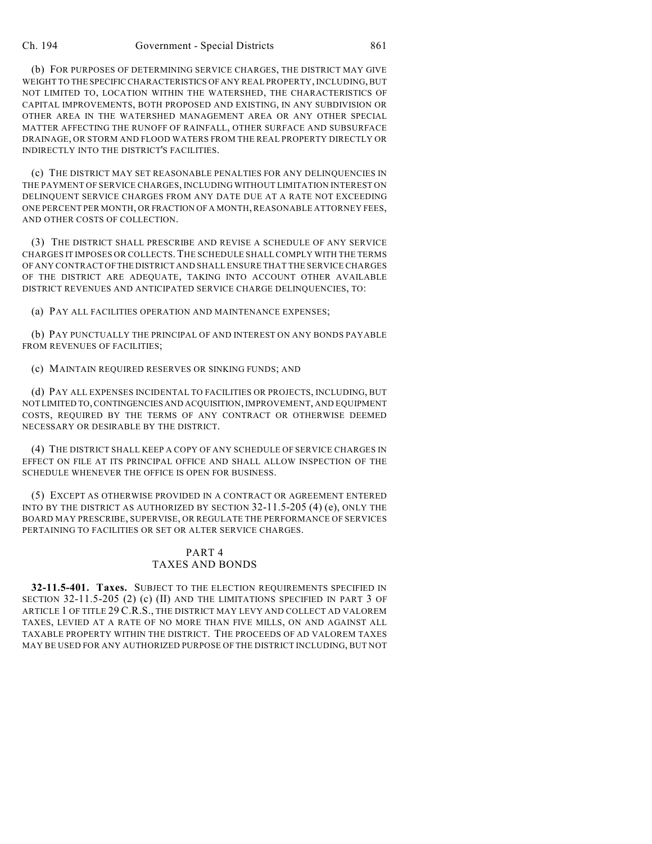(b) FOR PURPOSES OF DETERMINING SERVICE CHARGES, THE DISTRICT MAY GIVE WEIGHT TO THE SPECIFIC CHARACTERISTICS OF ANY REAL PROPERTY, INCLUDING, BUT NOT LIMITED TO, LOCATION WITHIN THE WATERSHED, THE CHARACTERISTICS OF CAPITAL IMPROVEMENTS, BOTH PROPOSED AND EXISTING, IN ANY SUBDIVISION OR OTHER AREA IN THE WATERSHED MANAGEMENT AREA OR ANY OTHER SPECIAL MATTER AFFECTING THE RUNOFF OF RAINFALL, OTHER SURFACE AND SUBSURFACE DRAINAGE, OR STORM AND FLOOD WATERS FROM THE REAL PROPERTY DIRECTLY OR INDIRECTLY INTO THE DISTRICT'S FACILITIES.

(c) THE DISTRICT MAY SET REASONABLE PENALTIES FOR ANY DELINQUENCIES IN THE PAYMENT OF SERVICE CHARGES, INCLUDING WITHOUT LIMITATION INTEREST ON DELINQUENT SERVICE CHARGES FROM ANY DATE DUE AT A RATE NOT EXCEEDING ONE PERCENT PER MONTH, OR FRACTION OF A MONTH, REASONABLE ATTORNEY FEES, AND OTHER COSTS OF COLLECTION.

(3) THE DISTRICT SHALL PRESCRIBE AND REVISE A SCHEDULE OF ANY SERVICE CHARGES IT IMPOSES OR COLLECTS.THE SCHEDULE SHALL COMPLY WITH THE TERMS OF ANY CONTRACT OF THE DISTRICT AND SHALL ENSURE THAT THE SERVICE CHARGES OF THE DISTRICT ARE ADEQUATE, TAKING INTO ACCOUNT OTHER AVAILABLE DISTRICT REVENUES AND ANTICIPATED SERVICE CHARGE DELINQUENCIES, TO:

(a) PAY ALL FACILITIES OPERATION AND MAINTENANCE EXPENSES;

(b) PAY PUNCTUALLY THE PRINCIPAL OF AND INTEREST ON ANY BONDS PAYABLE FROM REVENUES OF FACILITIES;

(c) MAINTAIN REQUIRED RESERVES OR SINKING FUNDS; AND

(d) PAY ALL EXPENSES INCIDENTAL TO FACILITIES OR PROJECTS, INCLUDING, BUT NOT LIMITED TO, CONTINGENCIES AND ACQUISITION, IMPROVEMENT, AND EQUIPMENT COSTS, REQUIRED BY THE TERMS OF ANY CONTRACT OR OTHERWISE DEEMED NECESSARY OR DESIRABLE BY THE DISTRICT.

(4) THE DISTRICT SHALL KEEP A COPY OF ANY SCHEDULE OF SERVICE CHARGES IN EFFECT ON FILE AT ITS PRINCIPAL OFFICE AND SHALL ALLOW INSPECTION OF THE SCHEDULE WHENEVER THE OFFICE IS OPEN FOR BUSINESS.

(5) EXCEPT AS OTHERWISE PROVIDED IN A CONTRACT OR AGREEMENT ENTERED INTO BY THE DISTRICT AS AUTHORIZED BY SECTION 32-11.5-205 (4) (e), ONLY THE BOARD MAY PRESCRIBE, SUPERVISE, OR REGULATE THE PERFORMANCE OF SERVICES PERTAINING TO FACILITIES OR SET OR ALTER SERVICE CHARGES.

### PART 4 TAXES AND BONDS

**32-11.5-401. Taxes.** SUBJECT TO THE ELECTION REQUIREMENTS SPECIFIED IN SECTION 32-11.5-205 (2) (c) (II) AND THE LIMITATIONS SPECIFIED IN PART 3 OF ARTICLE 1 OF TITLE 29 C.R.S., THE DISTRICT MAY LEVY AND COLLECT AD VALOREM TAXES, LEVIED AT A RATE OF NO MORE THAN FIVE MILLS, ON AND AGAINST ALL TAXABLE PROPERTY WITHIN THE DISTRICT. THE PROCEEDS OF AD VALOREM TAXES MAY BE USED FOR ANY AUTHORIZED PURPOSE OF THE DISTRICT INCLUDING, BUT NOT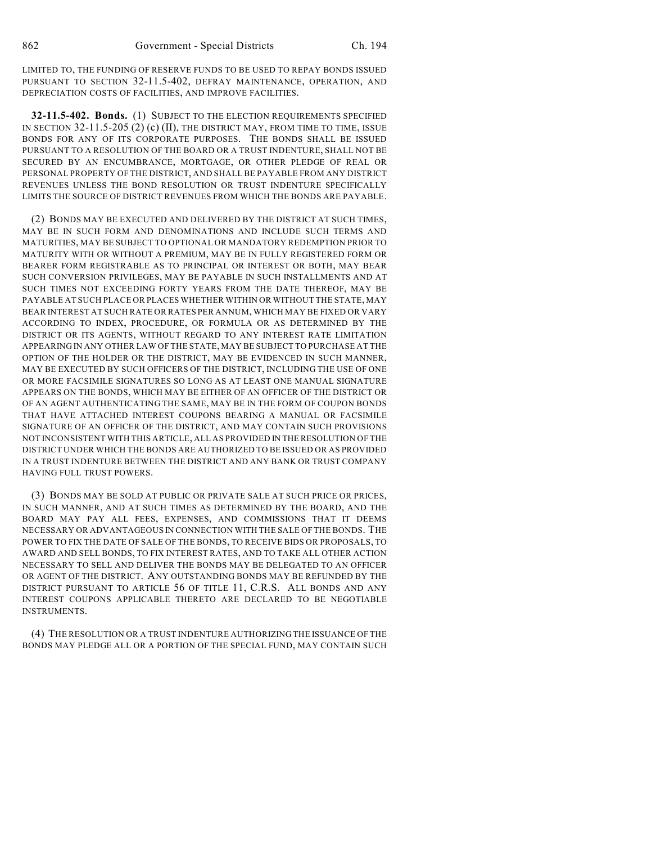LIMITED TO, THE FUNDING OF RESERVE FUNDS TO BE USED TO REPAY BONDS ISSUED PURSUANT TO SECTION 32-11.5-402, DEFRAY MAINTENANCE, OPERATION, AND DEPRECIATION COSTS OF FACILITIES, AND IMPROVE FACILITIES.

**32-11.5-402. Bonds.** (1) SUBJECT TO THE ELECTION REQUIREMENTS SPECIFIED IN SECTION 32-11.5-205 (2) (c) (II), THE DISTRICT MAY, FROM TIME TO TIME, ISSUE BONDS FOR ANY OF ITS CORPORATE PURPOSES. THE BONDS SHALL BE ISSUED PURSUANT TO A RESOLUTION OF THE BOARD OR A TRUST INDENTURE, SHALL NOT BE SECURED BY AN ENCUMBRANCE, MORTGAGE, OR OTHER PLEDGE OF REAL OR PERSONAL PROPERTY OF THE DISTRICT, AND SHALL BE PAYABLE FROM ANY DISTRICT REVENUES UNLESS THE BOND RESOLUTION OR TRUST INDENTURE SPECIFICALLY LIMITS THE SOURCE OF DISTRICT REVENUES FROM WHICH THE BONDS ARE PAYABLE.

(2) BONDS MAY BE EXECUTED AND DELIVERED BY THE DISTRICT AT SUCH TIMES, MAY BE IN SUCH FORM AND DENOMINATIONS AND INCLUDE SUCH TERMS AND MATURITIES, MAY BE SUBJECT TO OPTIONAL OR MANDATORY REDEMPTION PRIOR TO MATURITY WITH OR WITHOUT A PREMIUM, MAY BE IN FULLY REGISTERED FORM OR BEARER FORM REGISTRABLE AS TO PRINCIPAL OR INTEREST OR BOTH, MAY BEAR SUCH CONVERSION PRIVILEGES, MAY BE PAYABLE IN SUCH INSTALLMENTS AND AT SUCH TIMES NOT EXCEEDING FORTY YEARS FROM THE DATE THEREOF, MAY BE PAYABLE AT SUCH PLACE OR PLACES WHETHER WITHIN OR WITHOUT THE STATE, MAY BEAR INTEREST AT SUCH RATE OR RATES PER ANNUM, WHICH MAY BE FIXED OR VARY ACCORDING TO INDEX, PROCEDURE, OR FORMULA OR AS DETERMINED BY THE DISTRICT OR ITS AGENTS, WITHOUT REGARD TO ANY INTEREST RATE LIMITATION APPEARING IN ANY OTHER LAW OF THE STATE, MAY BE SUBJECT TO PURCHASE AT THE OPTION OF THE HOLDER OR THE DISTRICT, MAY BE EVIDENCED IN SUCH MANNER, MAY BE EXECUTED BY SUCH OFFICERS OF THE DISTRICT, INCLUDING THE USE OF ONE OR MORE FACSIMILE SIGNATURES SO LONG AS AT LEAST ONE MANUAL SIGNATURE APPEARS ON THE BONDS, WHICH MAY BE EITHER OF AN OFFICER OF THE DISTRICT OR OF AN AGENT AUTHENTICATING THE SAME, MAY BE IN THE FORM OF COUPON BONDS THAT HAVE ATTACHED INTEREST COUPONS BEARING A MANUAL OR FACSIMILE SIGNATURE OF AN OFFICER OF THE DISTRICT, AND MAY CONTAIN SUCH PROVISIONS NOT INCONSISTENT WITH THIS ARTICLE, ALL AS PROVIDED IN THE RESOLUTION OF THE DISTRICT UNDER WHICH THE BONDS ARE AUTHORIZED TO BE ISSUED OR AS PROVIDED IN A TRUST INDENTURE BETWEEN THE DISTRICT AND ANY BANK OR TRUST COMPANY HAVING FULL TRUST POWERS.

(3) BONDS MAY BE SOLD AT PUBLIC OR PRIVATE SALE AT SUCH PRICE OR PRICES, IN SUCH MANNER, AND AT SUCH TIMES AS DETERMINED BY THE BOARD, AND THE BOARD MAY PAY ALL FEES, EXPENSES, AND COMMISSIONS THAT IT DEEMS NECESSARY OR ADVANTAGEOUS IN CONNECTION WITH THE SALE OF THE BONDS. THE POWER TO FIX THE DATE OF SALE OF THE BONDS, TO RECEIVE BIDS OR PROPOSALS, TO AWARD AND SELL BONDS, TO FIX INTEREST RATES, AND TO TAKE ALL OTHER ACTION NECESSARY TO SELL AND DELIVER THE BONDS MAY BE DELEGATED TO AN OFFICER OR AGENT OF THE DISTRICT. ANY OUTSTANDING BONDS MAY BE REFUNDED BY THE DISTRICT PURSUANT TO ARTICLE 56 OF TITLE 11, C.R.S. ALL BONDS AND ANY INTEREST COUPONS APPLICABLE THERETO ARE DECLARED TO BE NEGOTIABLE INSTRUMENTS.

(4) THE RESOLUTION OR A TRUST INDENTURE AUTHORIZING THE ISSUANCE OF THE BONDS MAY PLEDGE ALL OR A PORTION OF THE SPECIAL FUND, MAY CONTAIN SUCH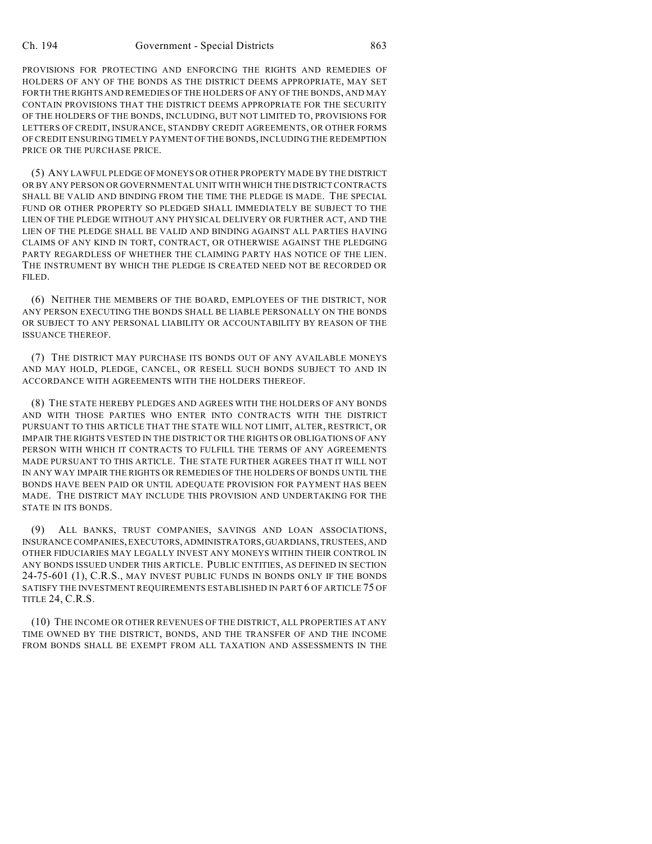PROVISIONS FOR PROTECTING AND ENFORCING THE RIGHTS AND REMEDIES OF HOLDERS OF ANY OF THE BONDS AS THE DISTRICT DEEMS APPROPRIATE, MAY SET FORTH THE RIGHTS AND REMEDIES OF THE HOLDERS OF ANY OF THE BONDS, AND MAY CONTAIN PROVISIONS THAT THE DISTRICT DEEMS APPROPRIATE FOR THE SECURITY OF THE HOLDERS OF THE BONDS, INCLUDING, BUT NOT LIMITED TO, PROVISIONS FOR LETTERS OF CREDIT, INSURANCE, STANDBY CREDIT AGREEMENTS, OR OTHER FORMS OFCREDIT ENSURING TIMELY PAYMENT OF THE BONDS, INCLUDING THE REDEMPTION PRICE OR THE PURCHASE PRICE.

(5) ANY LAWFUL PLEDGE OF MONEYS OR OTHER PROPERTY MADE BY THE DISTRICT OR BY ANY PERSON OR GOVERNMENTAL UNIT WITH WHICH THE DISTRICT CONTRACTS SHALL BE VALID AND BINDING FROM THE TIME THE PLEDGE IS MADE. THE SPECIAL FUND OR OTHER PROPERTY SO PLEDGED SHALL IMMEDIATELY BE SUBJECT TO THE LIEN OF THE PLEDGE WITHOUT ANY PHYSICAL DELIVERY OR FURTHER ACT, AND THE LIEN OF THE PLEDGE SHALL BE VALID AND BINDING AGAINST ALL PARTIES HAVING CLAIMS OF ANY KIND IN TORT, CONTRACT, OR OTHERWISE AGAINST THE PLEDGING PARTY REGARDLESS OF WHETHER THE CLAIMING PARTY HAS NOTICE OF THE LIEN. THE INSTRUMENT BY WHICH THE PLEDGE IS CREATED NEED NOT BE RECORDED OR FILED.

(6) NEITHER THE MEMBERS OF THE BOARD, EMPLOYEES OF THE DISTRICT, NOR ANY PERSON EXECUTING THE BONDS SHALL BE LIABLE PERSONALLY ON THE BONDS OR SUBJECT TO ANY PERSONAL LIABILITY OR ACCOUNTABILITY BY REASON OF THE ISSUANCE THEREOF.

(7) THE DISTRICT MAY PURCHASE ITS BONDS OUT OF ANY AVAILABLE MONEYS AND MAY HOLD, PLEDGE, CANCEL, OR RESELL SUCH BONDS SUBJECT TO AND IN ACCORDANCE WITH AGREEMENTS WITH THE HOLDERS THEREOF.

(8) THE STATE HEREBY PLEDGES AND AGREES WITH THE HOLDERS OF ANY BONDS AND WITH THOSE PARTIES WHO ENTER INTO CONTRACTS WITH THE DISTRICT PURSUANT TO THIS ARTICLE THAT THE STATE WILL NOT LIMIT, ALTER, RESTRICT, OR IMPAIR THE RIGHTS VESTED IN THE DISTRICT OR THE RIGHTS OR OBLIGATIONS OF ANY PERSON WITH WHICH IT CONTRACTS TO FULFILL THE TERMS OF ANY AGREEMENTS MADE PURSUANT TO THIS ARTICLE. THE STATE FURTHER AGREES THAT IT WILL NOT IN ANY WAY IMPAIR THE RIGHTS OR REMEDIES OF THE HOLDERS OF BONDS UNTIL THE BONDS HAVE BEEN PAID OR UNTIL ADEQUATE PROVISION FOR PAYMENT HAS BEEN MADE. THE DISTRICT MAY INCLUDE THIS PROVISION AND UNDERTAKING FOR THE STATE IN ITS BONDS.

(9) ALL BANKS, TRUST COMPANIES, SAVINGS AND LOAN ASSOCIATIONS, INSURANCE COMPANIES, EXECUTORS, ADMINISTRATORS, GUARDIANS, TRUSTEES, AND OTHER FIDUCIARIES MAY LEGALLY INVEST ANY MONEYS WITHIN THEIR CONTROL IN ANY BONDS ISSUED UNDER THIS ARTICLE. PUBLIC ENTITIES, AS DEFINED IN SECTION 24-75-601 (1), C.R.S., MAY INVEST PUBLIC FUNDS IN BONDS ONLY IF THE BONDS SATISFY THE INVESTMENT REQUIREMENTS ESTABLISHED IN PART 6 OF ARTICLE 75 OF TITLE 24, C.R.S.

(10) THE INCOME OR OTHER REVENUES OF THE DISTRICT, ALL PROPERTIES AT ANY TIME OWNED BY THE DISTRICT, BONDS, AND THE TRANSFER OF AND THE INCOME FROM BONDS SHALL BE EXEMPT FROM ALL TAXATION AND ASSESSMENTS IN THE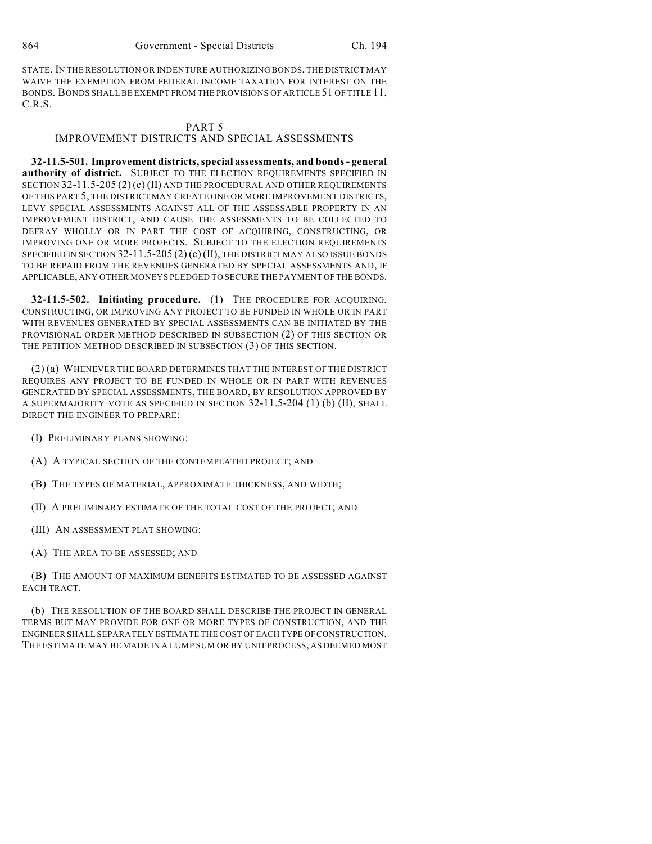STATE. IN THE RESOLUTION OR INDENTURE AUTHORIZING BONDS, THE DISTRICT MAY WAIVE THE EXEMPTION FROM FEDERAL INCOME TAXATION FOR INTEREST ON THE BONDS. BONDS SHALLBE EXEMPT FROM THE PROVISIONS OF ARTICLE 51 OF TITLE 11, C.R.S.

#### PART 5 IMPROVEMENT DISTRICTS AND SPECIAL ASSESSMENTS

**32-11.5-501. Improvement districts, special assessments, and bonds - general authority of district.** SUBJECT TO THE ELECTION REQUIREMENTS SPECIFIED IN SECTION 32-11.5-205 (2) (c) (II) AND THE PROCEDURAL AND OTHER REQUIREMENTS OF THIS PART 5, THE DISTRICT MAY CREATE ONE OR MORE IMPROVEMENT DISTRICTS, LEVY SPECIAL ASSESSMENTS AGAINST ALL OF THE ASSESSABLE PROPERTY IN AN IMPROVEMENT DISTRICT, AND CAUSE THE ASSESSMENTS TO BE COLLECTED TO DEFRAY WHOLLY OR IN PART THE COST OF ACQUIRING, CONSTRUCTING, OR IMPROVING ONE OR MORE PROJECTS. SUBJECT TO THE ELECTION REQUIREMENTS SPECIFIED IN SECTION 32-11.5-205 (2) (c) (II), THE DISTRICT MAY ALSO ISSUE BONDS TO BE REPAID FROM THE REVENUES GENERATED BY SPECIAL ASSESSMENTS AND, IF APPLICABLE, ANY OTHER MONEYS PLEDGED TO SECURE THE PAYMENT OF THE BONDS.

**32-11.5-502. Initiating procedure.** (1) THE PROCEDURE FOR ACQUIRING, CONSTRUCTING, OR IMPROVING ANY PROJECT TO BE FUNDED IN WHOLE OR IN PART WITH REVENUES GENERATED BY SPECIAL ASSESSMENTS CAN BE INITIATED BY THE PROVISIONAL ORDER METHOD DESCRIBED IN SUBSECTION (2) OF THIS SECTION OR THE PETITION METHOD DESCRIBED IN SUBSECTION (3) OF THIS SECTION.

(2) (a) WHENEVER THE BOARD DETERMINES THAT THE INTEREST OF THE DISTRICT REQUIRES ANY PROJECT TO BE FUNDED IN WHOLE OR IN PART WITH REVENUES GENERATED BY SPECIAL ASSESSMENTS, THE BOARD, BY RESOLUTION APPROVED BY A SUPERMAJORITY VOTE AS SPECIFIED IN SECTION 32-11.5-204 (1) (b) (II), SHALL DIRECT THE ENGINEER TO PREPARE:

(I) PRELIMINARY PLANS SHOWING:

(A) A TYPICAL SECTION OF THE CONTEMPLATED PROJECT; AND

(B) THE TYPES OF MATERIAL, APPROXIMATE THICKNESS, AND WIDTH;

(II) A PRELIMINARY ESTIMATE OF THE TOTAL COST OF THE PROJECT; AND

(III) AN ASSESSMENT PLAT SHOWING:

(A) THE AREA TO BE ASSESSED; AND

(B) THE AMOUNT OF MAXIMUM BENEFITS ESTIMATED TO BE ASSESSED AGAINST EACH TRACT.

(b) THE RESOLUTION OF THE BOARD SHALL DESCRIBE THE PROJECT IN GENERAL TERMS BUT MAY PROVIDE FOR ONE OR MORE TYPES OF CONSTRUCTION, AND THE ENGINEER SHALL SEPARATELY ESTIMATE THE COST OF EACH TYPE OF CONSTRUCTION. THE ESTIMATE MAY BE MADE IN A LUMP SUM OR BY UNIT PROCESS, AS DEEMED MOST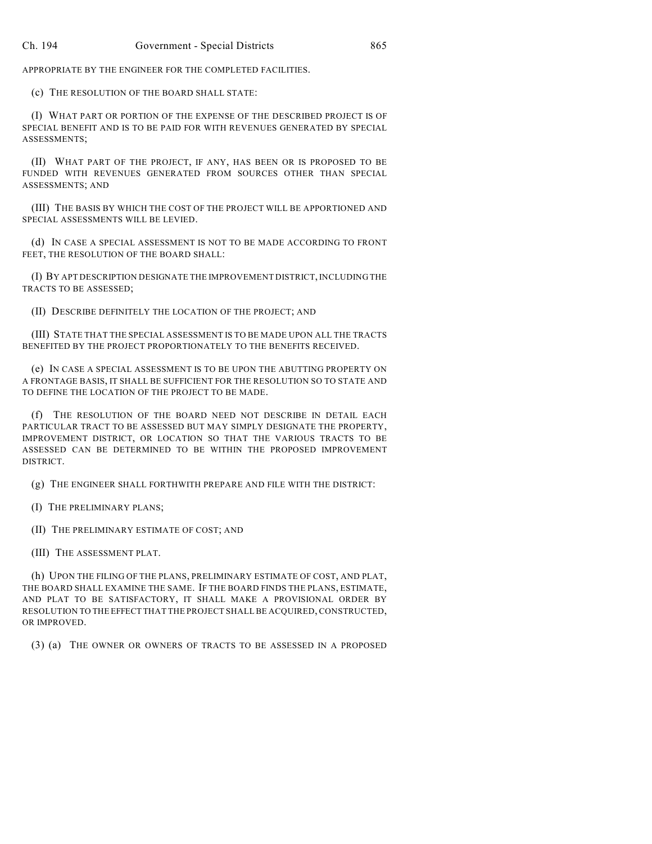APPROPRIATE BY THE ENGINEER FOR THE COMPLETED FACILITIES.

(c) THE RESOLUTION OF THE BOARD SHALL STATE:

(I) WHAT PART OR PORTION OF THE EXPENSE OF THE DESCRIBED PROJECT IS OF SPECIAL BENEFIT AND IS TO BE PAID FOR WITH REVENUES GENERATED BY SPECIAL ASSESSMENTS;

(II) WHAT PART OF THE PROJECT, IF ANY, HAS BEEN OR IS PROPOSED TO BE FUNDED WITH REVENUES GENERATED FROM SOURCES OTHER THAN SPECIAL ASSESSMENTS; AND

(III) THE BASIS BY WHICH THE COST OF THE PROJECT WILL BE APPORTIONED AND SPECIAL ASSESSMENTS WILL BE LEVIED.

(d) IN CASE A SPECIAL ASSESSMENT IS NOT TO BE MADE ACCORDING TO FRONT FEET, THE RESOLUTION OF THE BOARD SHALL:

(I) BY APT DESCRIPTION DESIGNATE THE IMPROVEMENT DISTRICT, INCLUDING THE TRACTS TO BE ASSESSED;

(II) DESCRIBE DEFINITELY THE LOCATION OF THE PROJECT; AND

(III) STATE THAT THE SPECIAL ASSESSMENT IS TO BE MADE UPON ALL THE TRACTS BENEFITED BY THE PROJECT PROPORTIONATELY TO THE BENEFITS RECEIVED.

(e) IN CASE A SPECIAL ASSESSMENT IS TO BE UPON THE ABUTTING PROPERTY ON A FRONTAGE BASIS, IT SHALL BE SUFFICIENT FOR THE RESOLUTION SO TO STATE AND TO DEFINE THE LOCATION OF THE PROJECT TO BE MADE.

(f) THE RESOLUTION OF THE BOARD NEED NOT DESCRIBE IN DETAIL EACH PARTICULAR TRACT TO BE ASSESSED BUT MAY SIMPLY DESIGNATE THE PROPERTY, IMPROVEMENT DISTRICT, OR LOCATION SO THAT THE VARIOUS TRACTS TO BE ASSESSED CAN BE DETERMINED TO BE WITHIN THE PROPOSED IMPROVEMENT DISTRICT.

(g) THE ENGINEER SHALL FORTHWITH PREPARE AND FILE WITH THE DISTRICT:

(I) THE PRELIMINARY PLANS;

(II) THE PRELIMINARY ESTIMATE OF COST; AND

(III) THE ASSESSMENT PLAT.

(h) UPON THE FILING OF THE PLANS, PRELIMINARY ESTIMATE OF COST, AND PLAT, THE BOARD SHALL EXAMINE THE SAME. IF THE BOARD FINDS THE PLANS, ESTIMATE, AND PLAT TO BE SATISFACTORY, IT SHALL MAKE A PROVISIONAL ORDER BY RESOLUTION TO THE EFFECT THAT THE PROJECT SHALL BE ACQUIRED, CONSTRUCTED, OR IMPROVED.

(3) (a) THE OWNER OR OWNERS OF TRACTS TO BE ASSESSED IN A PROPOSED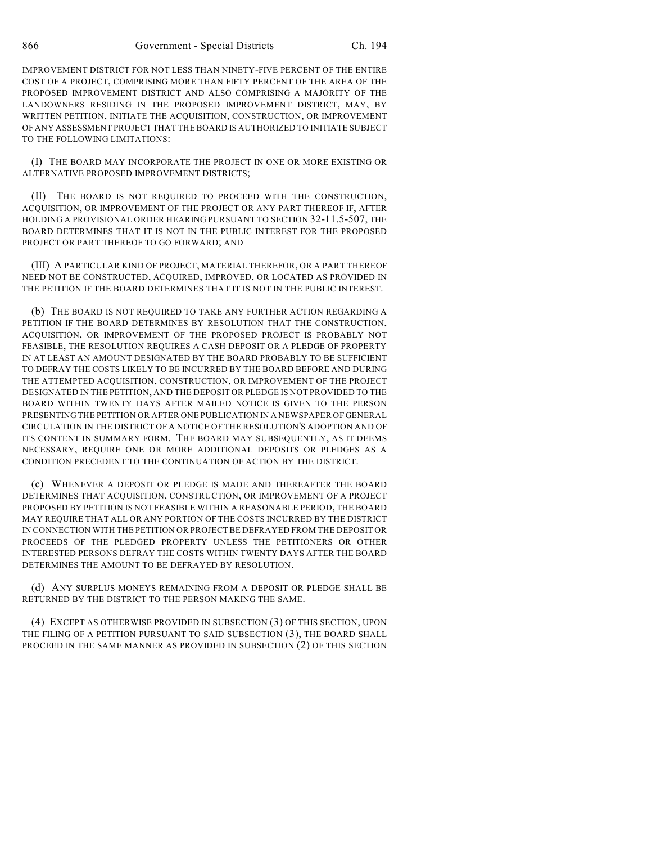IMPROVEMENT DISTRICT FOR NOT LESS THAN NINETY-FIVE PERCENT OF THE ENTIRE COST OF A PROJECT, COMPRISING MORE THAN FIFTY PERCENT OF THE AREA OF THE PROPOSED IMPROVEMENT DISTRICT AND ALSO COMPRISING A MAJORITY OF THE LANDOWNERS RESIDING IN THE PROPOSED IMPROVEMENT DISTRICT, MAY, BY WRITTEN PETITION, INITIATE THE ACQUISITION, CONSTRUCTION, OR IMPROVEMENT OF ANY ASSESSMENT PROJECT THAT THE BOARD IS AUTHORIZED TO INITIATE SUBJECT TO THE FOLLOWING LIMITATIONS:

(I) THE BOARD MAY INCORPORATE THE PROJECT IN ONE OR MORE EXISTING OR ALTERNATIVE PROPOSED IMPROVEMENT DISTRICTS;

(II) THE BOARD IS NOT REQUIRED TO PROCEED WITH THE CONSTRUCTION, ACQUISITION, OR IMPROVEMENT OF THE PROJECT OR ANY PART THEREOF IF, AFTER HOLDING A PROVISIONAL ORDER HEARING PURSUANT TO SECTION 32-11.5-507, THE BOARD DETERMINES THAT IT IS NOT IN THE PUBLIC INTEREST FOR THE PROPOSED PROJECT OR PART THEREOF TO GO FORWARD; AND

(III) A PARTICULAR KIND OF PROJECT, MATERIAL THEREFOR, OR A PART THEREOF NEED NOT BE CONSTRUCTED, ACQUIRED, IMPROVED, OR LOCATED AS PROVIDED IN THE PETITION IF THE BOARD DETERMINES THAT IT IS NOT IN THE PUBLIC INTEREST.

(b) THE BOARD IS NOT REQUIRED TO TAKE ANY FURTHER ACTION REGARDING A PETITION IF THE BOARD DETERMINES BY RESOLUTION THAT THE CONSTRUCTION, ACQUISITION, OR IMPROVEMENT OF THE PROPOSED PROJECT IS PROBABLY NOT FEASIBLE, THE RESOLUTION REQUIRES A CASH DEPOSIT OR A PLEDGE OF PROPERTY IN AT LEAST AN AMOUNT DESIGNATED BY THE BOARD PROBABLY TO BE SUFFICIENT TO DEFRAY THE COSTS LIKELY TO BE INCURRED BY THE BOARD BEFORE AND DURING THE ATTEMPTED ACQUISITION, CONSTRUCTION, OR IMPROVEMENT OF THE PROJECT DESIGNATED IN THE PETITION, AND THE DEPOSIT OR PLEDGE IS NOT PROVIDED TO THE BOARD WITHIN TWENTY DAYS AFTER MAILED NOTICE IS GIVEN TO THE PERSON PRESENTING THE PETITION OR AFTER ONE PUBLICATION IN A NEWSPAPER OF GENERAL CIRCULATION IN THE DISTRICT OF A NOTICE OF THE RESOLUTION'S ADOPTION AND OF ITS CONTENT IN SUMMARY FORM. THE BOARD MAY SUBSEQUENTLY, AS IT DEEMS NECESSARY, REQUIRE ONE OR MORE ADDITIONAL DEPOSITS OR PLEDGES AS A CONDITION PRECEDENT TO THE CONTINUATION OF ACTION BY THE DISTRICT.

(c) WHENEVER A DEPOSIT OR PLEDGE IS MADE AND THEREAFTER THE BOARD DETERMINES THAT ACQUISITION, CONSTRUCTION, OR IMPROVEMENT OF A PROJECT PROPOSED BY PETITION IS NOT FEASIBLE WITHIN A REASONABLE PERIOD, THE BOARD MAY REQUIRE THAT ALL OR ANY PORTION OF THE COSTS INCURRED BY THE DISTRICT IN CONNECTION WITH THE PETITION OR PROJECT BE DEFRAYED FROM THE DEPOSIT OR PROCEEDS OF THE PLEDGED PROPERTY UNLESS THE PETITIONERS OR OTHER INTERESTED PERSONS DEFRAY THE COSTS WITHIN TWENTY DAYS AFTER THE BOARD DETERMINES THE AMOUNT TO BE DEFRAYED BY RESOLUTION.

(d) ANY SURPLUS MONEYS REMAINING FROM A DEPOSIT OR PLEDGE SHALL BE RETURNED BY THE DISTRICT TO THE PERSON MAKING THE SAME.

(4) EXCEPT AS OTHERWISE PROVIDED IN SUBSECTION (3) OF THIS SECTION, UPON THE FILING OF A PETITION PURSUANT TO SAID SUBSECTION (3), THE BOARD SHALL PROCEED IN THE SAME MANNER AS PROVIDED IN SUBSECTION (2) OF THIS SECTION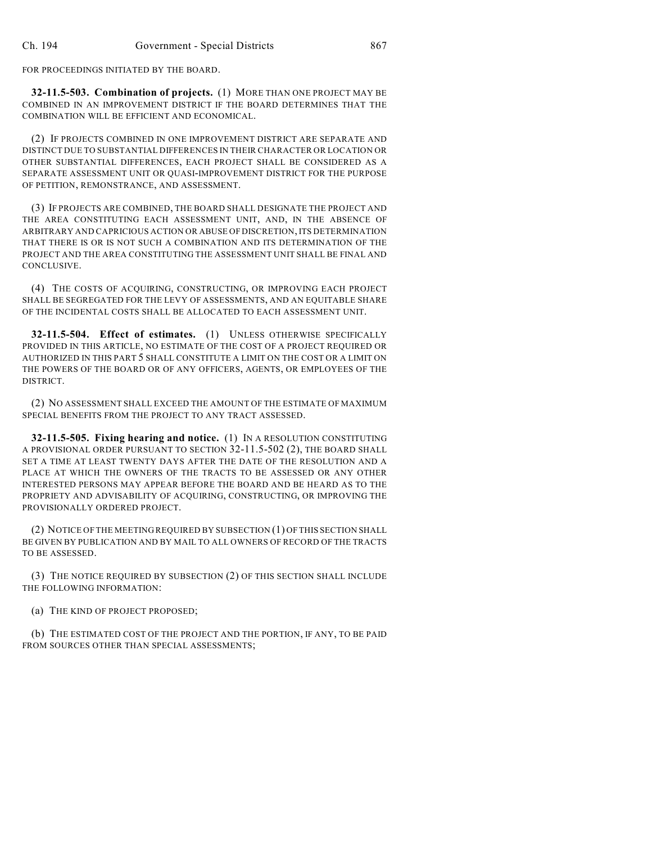FOR PROCEEDINGS INITIATED BY THE BOARD.

**32-11.5-503. Combination of projects.** (1) MORE THAN ONE PROJECT MAY BE COMBINED IN AN IMPROVEMENT DISTRICT IF THE BOARD DETERMINES THAT THE COMBINATION WILL BE EFFICIENT AND ECONOMICAL.

(2) IF PROJECTS COMBINED IN ONE IMPROVEMENT DISTRICT ARE SEPARATE AND DISTINCT DUE TO SUBSTANTIAL DIFFERENCES IN THEIR CHARACTER OR LOCATION OR OTHER SUBSTANTIAL DIFFERENCES, EACH PROJECT SHALL BE CONSIDERED AS A SEPARATE ASSESSMENT UNIT OR QUASI-IMPROVEMENT DISTRICT FOR THE PURPOSE OF PETITION, REMONSTRANCE, AND ASSESSMENT.

(3) IF PROJECTS ARE COMBINED, THE BOARD SHALL DESIGNATE THE PROJECT AND THE AREA CONSTITUTING EACH ASSESSMENT UNIT, AND, IN THE ABSENCE OF ARBITRARY AND CAPRICIOUS ACTION OR ABUSE OF DISCRETION, ITS DETERMINATION THAT THERE IS OR IS NOT SUCH A COMBINATION AND ITS DETERMINATION OF THE PROJECT AND THE AREA CONSTITUTING THE ASSESSMENT UNIT SHALL BE FINAL AND CONCLUSIVE.

(4) THE COSTS OF ACQUIRING, CONSTRUCTING, OR IMPROVING EACH PROJECT SHALL BE SEGREGATED FOR THE LEVY OF ASSESSMENTS, AND AN EQUITABLE SHARE OF THE INCIDENTAL COSTS SHALL BE ALLOCATED TO EACH ASSESSMENT UNIT.

**32-11.5-504. Effect of estimates.** (1) UNLESS OTHERWISE SPECIFICALLY PROVIDED IN THIS ARTICLE, NO ESTIMATE OF THE COST OF A PROJECT REQUIRED OR AUTHORIZED IN THIS PART 5 SHALL CONSTITUTE A LIMIT ON THE COST OR A LIMIT ON THE POWERS OF THE BOARD OR OF ANY OFFICERS, AGENTS, OR EMPLOYEES OF THE DISTRICT.

(2) NO ASSESSMENT SHALL EXCEED THE AMOUNT OF THE ESTIMATE OF MAXIMUM SPECIAL BENEFITS FROM THE PROJECT TO ANY TRACT ASSESSED.

**32-11.5-505. Fixing hearing and notice.** (1) IN A RESOLUTION CONSTITUTING A PROVISIONAL ORDER PURSUANT TO SECTION 32-11.5-502 (2), THE BOARD SHALL SET A TIME AT LEAST TWENTY DAYS AFTER THE DATE OF THE RESOLUTION AND A PLACE AT WHICH THE OWNERS OF THE TRACTS TO BE ASSESSED OR ANY OTHER INTERESTED PERSONS MAY APPEAR BEFORE THE BOARD AND BE HEARD AS TO THE PROPRIETY AND ADVISABILITY OF ACQUIRING, CONSTRUCTING, OR IMPROVING THE PROVISIONALLY ORDERED PROJECT.

(2) NOTICE OF THE MEETING REQUIRED BY SUBSECTION (1) OF THIS SECTION SHALL BE GIVEN BY PUBLICATION AND BY MAIL TO ALL OWNERS OF RECORD OF THE TRACTS TO BE ASSESSED.

(3) THE NOTICE REQUIRED BY SUBSECTION (2) OF THIS SECTION SHALL INCLUDE THE FOLLOWING INFORMATION:

(a) THE KIND OF PROJECT PROPOSED;

(b) THE ESTIMATED COST OF THE PROJECT AND THE PORTION, IF ANY, TO BE PAID FROM SOURCES OTHER THAN SPECIAL ASSESSMENTS;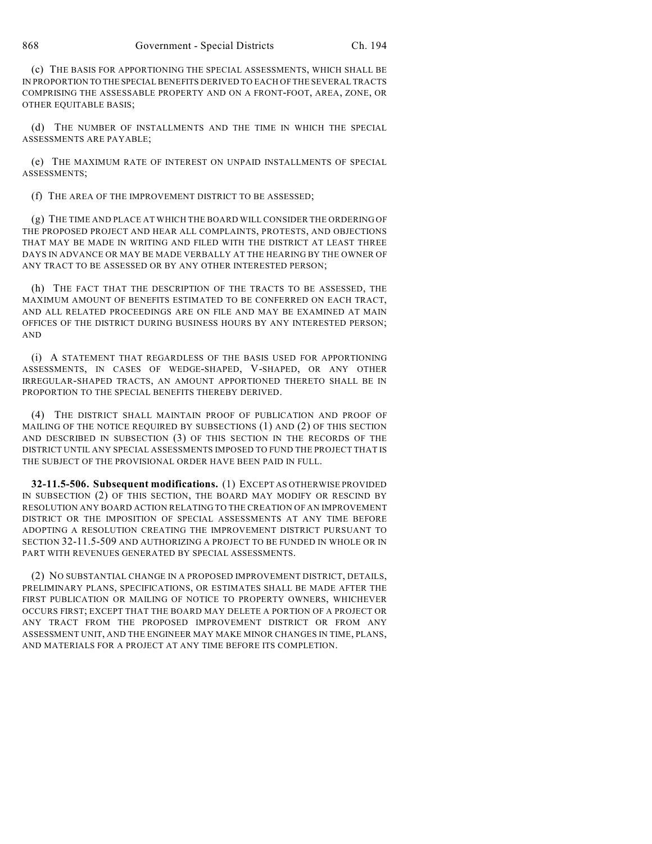(c) THE BASIS FOR APPORTIONING THE SPECIAL ASSESSMENTS, WHICH SHALL BE IN PROPORTION TO THE SPECIAL BENEFITS DERIVED TO EACH OF THE SEVERAL TRACTS COMPRISING THE ASSESSABLE PROPERTY AND ON A FRONT-FOOT, AREA, ZONE, OR OTHER EQUITABLE BASIS;

(d) THE NUMBER OF INSTALLMENTS AND THE TIME IN WHICH THE SPECIAL ASSESSMENTS ARE PAYABLE;

(e) THE MAXIMUM RATE OF INTEREST ON UNPAID INSTALLMENTS OF SPECIAL ASSESSMENTS;

(f) THE AREA OF THE IMPROVEMENT DISTRICT TO BE ASSESSED;

(g) THE TIME AND PLACE AT WHICH THE BOARD WILL CONSIDER THE ORDERING OF THE PROPOSED PROJECT AND HEAR ALL COMPLAINTS, PROTESTS, AND OBJECTIONS THAT MAY BE MADE IN WRITING AND FILED WITH THE DISTRICT AT LEAST THREE DAYS IN ADVANCE OR MAY BE MADE VERBALLY AT THE HEARING BY THE OWNER OF ANY TRACT TO BE ASSESSED OR BY ANY OTHER INTERESTED PERSON;

(h) THE FACT THAT THE DESCRIPTION OF THE TRACTS TO BE ASSESSED, THE MAXIMUM AMOUNT OF BENEFITS ESTIMATED TO BE CONFERRED ON EACH TRACT, AND ALL RELATED PROCEEDINGS ARE ON FILE AND MAY BE EXAMINED AT MAIN OFFICES OF THE DISTRICT DURING BUSINESS HOURS BY ANY INTERESTED PERSON; AND

(i) A STATEMENT THAT REGARDLESS OF THE BASIS USED FOR APPORTIONING ASSESSMENTS, IN CASES OF WEDGE-SHAPED, V-SHAPED, OR ANY OTHER IRREGULAR-SHAPED TRACTS, AN AMOUNT APPORTIONED THERETO SHALL BE IN PROPORTION TO THE SPECIAL BENEFITS THEREBY DERIVED.

(4) THE DISTRICT SHALL MAINTAIN PROOF OF PUBLICATION AND PROOF OF MAILING OF THE NOTICE REQUIRED BY SUBSECTIONS (1) AND (2) OF THIS SECTION AND DESCRIBED IN SUBSECTION (3) OF THIS SECTION IN THE RECORDS OF THE DISTRICT UNTIL ANY SPECIAL ASSESSMENTS IMPOSED TO FUND THE PROJECT THAT IS THE SUBJECT OF THE PROVISIONAL ORDER HAVE BEEN PAID IN FULL.

**32-11.5-506. Subsequent modifications.** (1) EXCEPT AS OTHERWISE PROVIDED IN SUBSECTION (2) OF THIS SECTION, THE BOARD MAY MODIFY OR RESCIND BY RESOLUTION ANY BOARD ACTION RELATING TO THE CREATION OF AN IMPROVEMENT DISTRICT OR THE IMPOSITION OF SPECIAL ASSESSMENTS AT ANY TIME BEFORE ADOPTING A RESOLUTION CREATING THE IMPROVEMENT DISTRICT PURSUANT TO SECTION 32-11.5-509 AND AUTHORIZING A PROJECT TO BE FUNDED IN WHOLE OR IN PART WITH REVENUES GENERATED BY SPECIAL ASSESSMENTS.

(2) NO SUBSTANTIAL CHANGE IN A PROPOSED IMPROVEMENT DISTRICT, DETAILS, PRELIMINARY PLANS, SPECIFICATIONS, OR ESTIMATES SHALL BE MADE AFTER THE FIRST PUBLICATION OR MAILING OF NOTICE TO PROPERTY OWNERS, WHICHEVER OCCURS FIRST; EXCEPT THAT THE BOARD MAY DELETE A PORTION OF A PROJECT OR ANY TRACT FROM THE PROPOSED IMPROVEMENT DISTRICT OR FROM ANY ASSESSMENT UNIT, AND THE ENGINEER MAY MAKE MINOR CHANGES IN TIME, PLANS, AND MATERIALS FOR A PROJECT AT ANY TIME BEFORE ITS COMPLETION.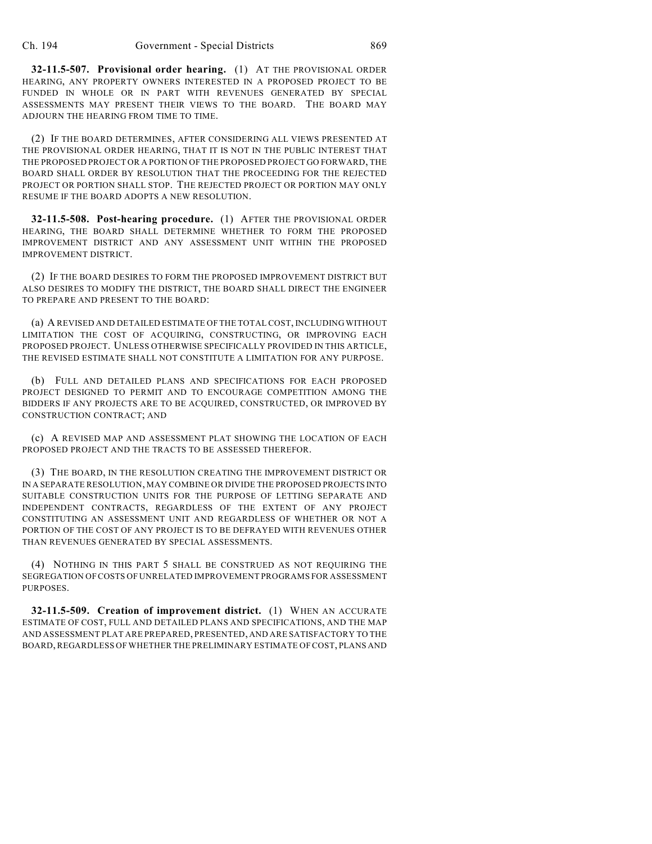**32-11.5-507. Provisional order hearing.** (1) AT THE PROVISIONAL ORDER HEARING, ANY PROPERTY OWNERS INTERESTED IN A PROPOSED PROJECT TO BE FUNDED IN WHOLE OR IN PART WITH REVENUES GENERATED BY SPECIAL ASSESSMENTS MAY PRESENT THEIR VIEWS TO THE BOARD. THE BOARD MAY ADJOURN THE HEARING FROM TIME TO TIME.

(2) IF THE BOARD DETERMINES, AFTER CONSIDERING ALL VIEWS PRESENTED AT THE PROVISIONAL ORDER HEARING, THAT IT IS NOT IN THE PUBLIC INTEREST THAT THE PROPOSED PROJECT OR A PORTION OFTHE PROPOSED PROJECT GO FORWARD, THE BOARD SHALL ORDER BY RESOLUTION THAT THE PROCEEDING FOR THE REJECTED PROJECT OR PORTION SHALL STOP. THE REJECTED PROJECT OR PORTION MAY ONLY RESUME IF THE BOARD ADOPTS A NEW RESOLUTION.

**32-11.5-508. Post-hearing procedure.** (1) AFTER THE PROVISIONAL ORDER HEARING, THE BOARD SHALL DETERMINE WHETHER TO FORM THE PROPOSED IMPROVEMENT DISTRICT AND ANY ASSESSMENT UNIT WITHIN THE PROPOSED IMPROVEMENT DISTRICT.

(2) IF THE BOARD DESIRES TO FORM THE PROPOSED IMPROVEMENT DISTRICT BUT ALSO DESIRES TO MODIFY THE DISTRICT, THE BOARD SHALL DIRECT THE ENGINEER TO PREPARE AND PRESENT TO THE BOARD:

(a) A REVISED AND DETAILED ESTIMATE OF THE TOTAL COST, INCLUDING WITHOUT LIMITATION THE COST OF ACQUIRING, CONSTRUCTING, OR IMPROVING EACH PROPOSED PROJECT. UNLESS OTHERWISE SPECIFICALLY PROVIDED IN THIS ARTICLE, THE REVISED ESTIMATE SHALL NOT CONSTITUTE A LIMITATION FOR ANY PURPOSE.

(b) FULL AND DETAILED PLANS AND SPECIFICATIONS FOR EACH PROPOSED PROJECT DESIGNED TO PERMIT AND TO ENCOURAGE COMPETITION AMONG THE BIDDERS IF ANY PROJECTS ARE TO BE ACQUIRED, CONSTRUCTED, OR IMPROVED BY CONSTRUCTION CONTRACT; AND

(c) A REVISED MAP AND ASSESSMENT PLAT SHOWING THE LOCATION OF EACH PROPOSED PROJECT AND THE TRACTS TO BE ASSESSED THEREFOR.

(3) THE BOARD, IN THE RESOLUTION CREATING THE IMPROVEMENT DISTRICT OR IN A SEPARATE RESOLUTION, MAY COMBINE OR DIVIDE THE PROPOSED PROJECTS INTO SUITABLE CONSTRUCTION UNITS FOR THE PURPOSE OF LETTING SEPARATE AND INDEPENDENT CONTRACTS, REGARDLESS OF THE EXTENT OF ANY PROJECT CONSTITUTING AN ASSESSMENT UNIT AND REGARDLESS OF WHETHER OR NOT A PORTION OF THE COST OF ANY PROJECT IS TO BE DEFRAYED WITH REVENUES OTHER THAN REVENUES GENERATED BY SPECIAL ASSESSMENTS.

(4) NOTHING IN THIS PART 5 SHALL BE CONSTRUED AS NOT REQUIRING THE SEGREGATION OF COSTS OF UNRELATED IMPROVEMENT PROGRAMS FOR ASSESSMENT PURPOSES.

**32-11.5-509. Creation of improvement district.** (1) WHEN AN ACCURATE ESTIMATE OF COST, FULL AND DETAILED PLANS AND SPECIFICATIONS, AND THE MAP AND ASSESSMENT PLAT ARE PREPARED, PRESENTED, AND ARE SATISFACTORY TO THE BOARD, REGARDLESS OF WHETHER THE PRELIMINARY ESTIMATE OF COST, PLANS AND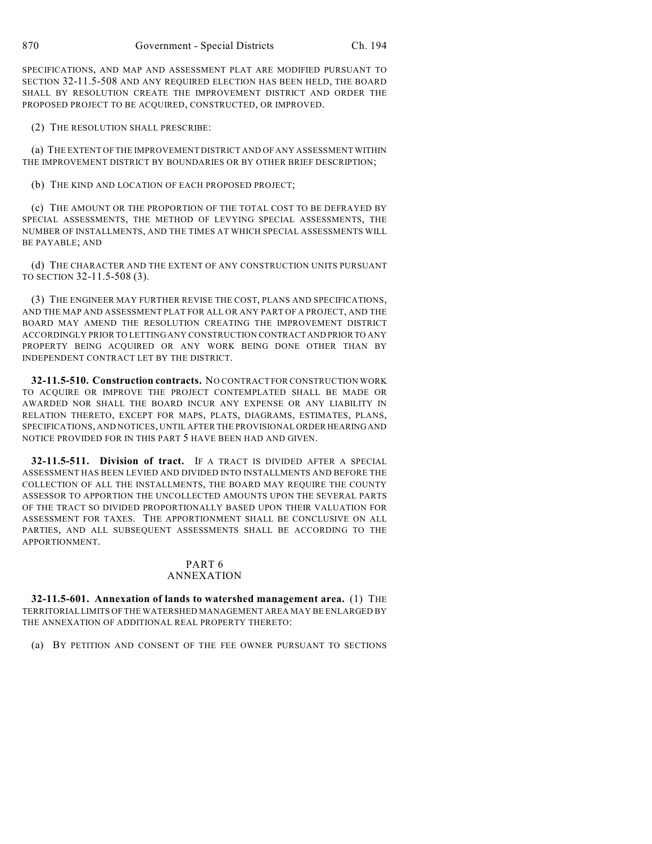SPECIFICATIONS, AND MAP AND ASSESSMENT PLAT ARE MODIFIED PURSUANT TO SECTION 32-11.5-508 AND ANY REQUIRED ELECTION HAS BEEN HELD, THE BOARD SHALL BY RESOLUTION CREATE THE IMPROVEMENT DISTRICT AND ORDER THE PROPOSED PROJECT TO BE ACQUIRED, CONSTRUCTED, OR IMPROVED.

(2) THE RESOLUTION SHALL PRESCRIBE:

(a) THE EXTENT OF THE IMPROVEMENT DISTRICT AND OF ANY ASSESSMENT WITHIN THE IMPROVEMENT DISTRICT BY BOUNDARIES OR BY OTHER BRIEF DESCRIPTION;

(b) THE KIND AND LOCATION OF EACH PROPOSED PROJECT;

(c) THE AMOUNT OR THE PROPORTION OF THE TOTAL COST TO BE DEFRAYED BY SPECIAL ASSESSMENTS, THE METHOD OF LEVYING SPECIAL ASSESSMENTS, THE NUMBER OF INSTALLMENTS, AND THE TIMES AT WHICH SPECIAL ASSESSMENTS WILL BE PAYABLE; AND

(d) THE CHARACTER AND THE EXTENT OF ANY CONSTRUCTION UNITS PURSUANT TO SECTION 32-11.5-508 (3).

(3) THE ENGINEER MAY FURTHER REVISE THE COST, PLANS AND SPECIFICATIONS, AND THE MAP AND ASSESSMENT PLAT FOR ALL OR ANY PART OF A PROJECT, AND THE BOARD MAY AMEND THE RESOLUTION CREATING THE IMPROVEMENT DISTRICT ACCORDINGLY PRIOR TO LETTING ANY CONSTRUCTION CONTRACT AND PRIOR TO ANY PROPERTY BEING ACQUIRED OR ANY WORK BEING DONE OTHER THAN BY INDEPENDENT CONTRACT LET BY THE DISTRICT.

**32-11.5-510. Construction contracts.** NO CONTRACT FOR CONSTRUCTION WORK TO ACQUIRE OR IMPROVE THE PROJECT CONTEMPLATED SHALL BE MADE OR AWARDED NOR SHALL THE BOARD INCUR ANY EXPENSE OR ANY LIABILITY IN RELATION THERETO, EXCEPT FOR MAPS, PLATS, DIAGRAMS, ESTIMATES, PLANS, SPECIFICATIONS, AND NOTICES, UNTIL AFTER THE PROVISIONAL ORDER HEARING AND NOTICE PROVIDED FOR IN THIS PART 5 HAVE BEEN HAD AND GIVEN.

**32-11.5-511. Division of tract.** IF A TRACT IS DIVIDED AFTER A SPECIAL ASSESSMENT HAS BEEN LEVIED AND DIVIDED INTO INSTALLMENTS AND BEFORE THE COLLECTION OF ALL THE INSTALLMENTS, THE BOARD MAY REQUIRE THE COUNTY ASSESSOR TO APPORTION THE UNCOLLECTED AMOUNTS UPON THE SEVERAL PARTS OF THE TRACT SO DIVIDED PROPORTIONALLY BASED UPON THEIR VALUATION FOR ASSESSMENT FOR TAXES. THE APPORTIONMENT SHALL BE CONCLUSIVE ON ALL PARTIES, AND ALL SUBSEQUENT ASSESSMENTS SHALL BE ACCORDING TO THE APPORTIONMENT.

## PART 6 ANNEXATION

**32-11.5-601. Annexation of lands to watershed management area.** (1) THE TERRITORIAL LIMITS OF THE WATERSHED MANAGEMENT AREA MAY BE ENLARGED BY THE ANNEXATION OF ADDITIONAL REAL PROPERTY THERETO:

(a) BY PETITION AND CONSENT OF THE FEE OWNER PURSUANT TO SECTIONS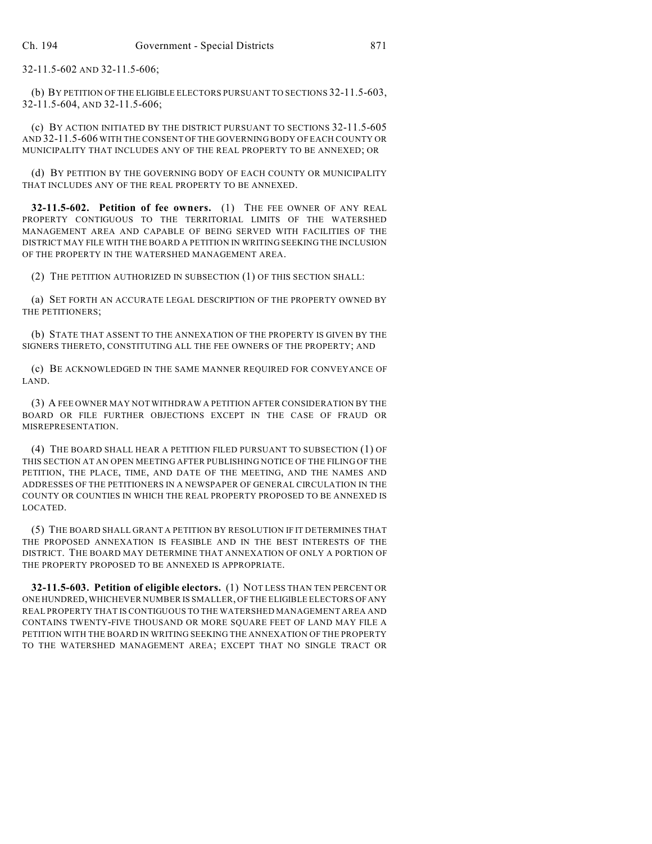32-11.5-602 AND 32-11.5-606;

(b) BY PETITION OF THE ELIGIBLE ELECTORS PURSUANT TO SECTIONS 32-11.5-603, 32-11.5-604, AND 32-11.5-606;

(c) BY ACTION INITIATED BY THE DISTRICT PURSUANT TO SECTIONS 32-11.5-605 AND 32-11.5-606 WITH THE CONSENT OFTHE GOVERNING BODY OF EACH COUNTY OR MUNICIPALITY THAT INCLUDES ANY OF THE REAL PROPERTY TO BE ANNEXED; OR

(d) BY PETITION BY THE GOVERNING BODY OF EACH COUNTY OR MUNICIPALITY THAT INCLUDES ANY OF THE REAL PROPERTY TO BE ANNEXED.

**32-11.5-602. Petition of fee owners.** (1) THE FEE OWNER OF ANY REAL PROPERTY CONTIGUOUS TO THE TERRITORIAL LIMITS OF THE WATERSHED MANAGEMENT AREA AND CAPABLE OF BEING SERVED WITH FACILITIES OF THE DISTRICT MAY FILE WITH THE BOARD A PETITION IN WRITING SEEKING THE INCLUSION OF THE PROPERTY IN THE WATERSHED MANAGEMENT AREA.

(2) THE PETITION AUTHORIZED IN SUBSECTION (1) OF THIS SECTION SHALL:

(a) SET FORTH AN ACCURATE LEGAL DESCRIPTION OF THE PROPERTY OWNED BY THE PETITIONERS;

(b) STATE THAT ASSENT TO THE ANNEXATION OF THE PROPERTY IS GIVEN BY THE SIGNERS THERETO, CONSTITUTING ALL THE FEE OWNERS OF THE PROPERTY; AND

(c) BE ACKNOWLEDGED IN THE SAME MANNER REQUIRED FOR CONVEYANCE OF LAND.

(3) A FEE OWNER MAY NOT WITHDRAW A PETITION AFTER CONSIDERATION BY THE BOARD OR FILE FURTHER OBJECTIONS EXCEPT IN THE CASE OF FRAUD OR MISREPRESENTATION.

(4) THE BOARD SHALL HEAR A PETITION FILED PURSUANT TO SUBSECTION (1) OF THIS SECTION AT AN OPEN MEETING AFTER PUBLISHING NOTICE OF THE FILING OF THE PETITION, THE PLACE, TIME, AND DATE OF THE MEETING, AND THE NAMES AND ADDRESSES OF THE PETITIONERS IN A NEWSPAPER OF GENERAL CIRCULATION IN THE COUNTY OR COUNTIES IN WHICH THE REAL PROPERTY PROPOSED TO BE ANNEXED IS LOCATED.

(5) THE BOARD SHALL GRANT A PETITION BY RESOLUTION IF IT DETERMINES THAT THE PROPOSED ANNEXATION IS FEASIBLE AND IN THE BEST INTERESTS OF THE DISTRICT. THE BOARD MAY DETERMINE THAT ANNEXATION OF ONLY A PORTION OF THE PROPERTY PROPOSED TO BE ANNEXED IS APPROPRIATE.

**32-11.5-603. Petition of eligible electors.** (1) NOT LESS THAN TEN PERCENT OR ONE HUNDRED, WHICHEVER NUMBER IS SMALLER, OF THE ELIGIBLE ELECTORS OF ANY REAL PROPERTY THAT IS CONTIGUOUS TO THE WATERSHED MANAGEMENT AREA AND CONTAINS TWENTY-FIVE THOUSAND OR MORE SQUARE FEET OF LAND MAY FILE A PETITION WITH THE BOARD IN WRITING SEEKING THE ANNEXATION OF THE PROPERTY TO THE WATERSHED MANAGEMENT AREA; EXCEPT THAT NO SINGLE TRACT OR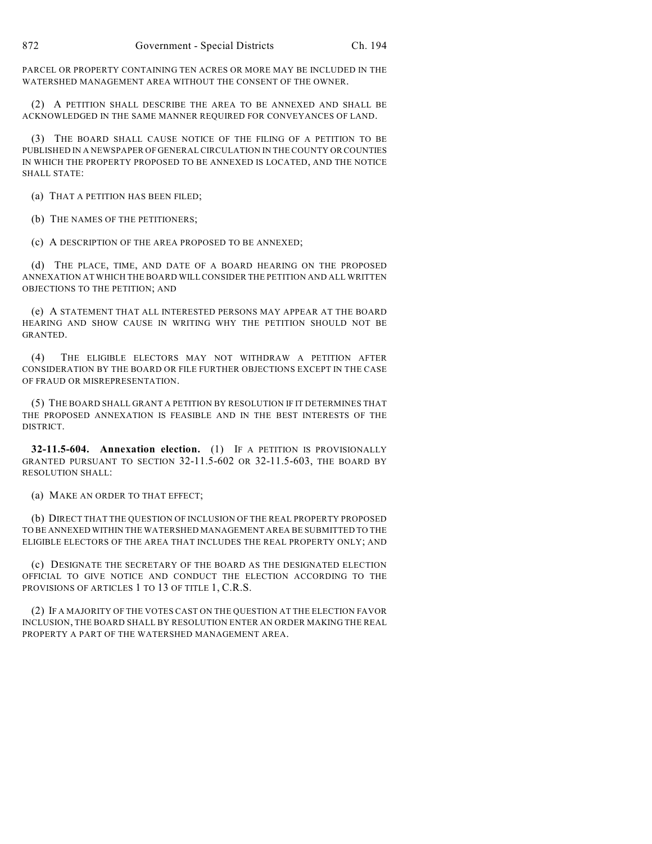PARCEL OR PROPERTY CONTAINING TEN ACRES OR MORE MAY BE INCLUDED IN THE WATERSHED MANAGEMENT AREA WITHOUT THE CONSENT OF THE OWNER.

(2) A PETITION SHALL DESCRIBE THE AREA TO BE ANNEXED AND SHALL BE ACKNOWLEDGED IN THE SAME MANNER REQUIRED FOR CONVEYANCES OF LAND.

(3) THE BOARD SHALL CAUSE NOTICE OF THE FILING OF A PETITION TO BE PUBLISHED IN A NEWSPAPER OF GENERAL CIRCULATION IN THE COUNTY OR COUNTIES IN WHICH THE PROPERTY PROPOSED TO BE ANNEXED IS LOCATED, AND THE NOTICE SHALL STATE:

(a) THAT A PETITION HAS BEEN FILED;

(b) THE NAMES OF THE PETITIONERS;

(c) A DESCRIPTION OF THE AREA PROPOSED TO BE ANNEXED;

(d) THE PLACE, TIME, AND DATE OF A BOARD HEARING ON THE PROPOSED ANNEXATION AT WHICH THE BOARD WILL CONSIDER THE PETITION AND ALL WRITTEN OBJECTIONS TO THE PETITION; AND

(e) A STATEMENT THAT ALL INTERESTED PERSONS MAY APPEAR AT THE BOARD HEARING AND SHOW CAUSE IN WRITING WHY THE PETITION SHOULD NOT BE GRANTED.

(4) THE ELIGIBLE ELECTORS MAY NOT WITHDRAW A PETITION AFTER CONSIDERATION BY THE BOARD OR FILE FURTHER OBJECTIONS EXCEPT IN THE CASE OF FRAUD OR MISREPRESENTATION.

(5) THE BOARD SHALL GRANT A PETITION BY RESOLUTION IF IT DETERMINES THAT THE PROPOSED ANNEXATION IS FEASIBLE AND IN THE BEST INTERESTS OF THE DISTRICT.

**32-11.5-604. Annexation election.** (1) IF A PETITION IS PROVISIONALLY GRANTED PURSUANT TO SECTION 32-11.5-602 OR 32-11.5-603, THE BOARD BY RESOLUTION SHALL:

(a) MAKE AN ORDER TO THAT EFFECT;

(b) DIRECT THAT THE QUESTION OF INCLUSION OF THE REAL PROPERTY PROPOSED TO BE ANNEXED WITHIN THE WATERSHED MANAGEMENT AREA BE SUBMITTED TO THE ELIGIBLE ELECTORS OF THE AREA THAT INCLUDES THE REAL PROPERTY ONLY; AND

(c) DESIGNATE THE SECRETARY OF THE BOARD AS THE DESIGNATED ELECTION OFFICIAL TO GIVE NOTICE AND CONDUCT THE ELECTION ACCORDING TO THE PROVISIONS OF ARTICLES 1 TO 13 OF TITLE 1, C.R.S.

(2) IF A MAJORITY OF THE VOTES CAST ON THE QUESTION AT THE ELECTION FAVOR INCLUSION, THE BOARD SHALL BY RESOLUTION ENTER AN ORDER MAKING THE REAL PROPERTY A PART OF THE WATERSHED MANAGEMENT AREA.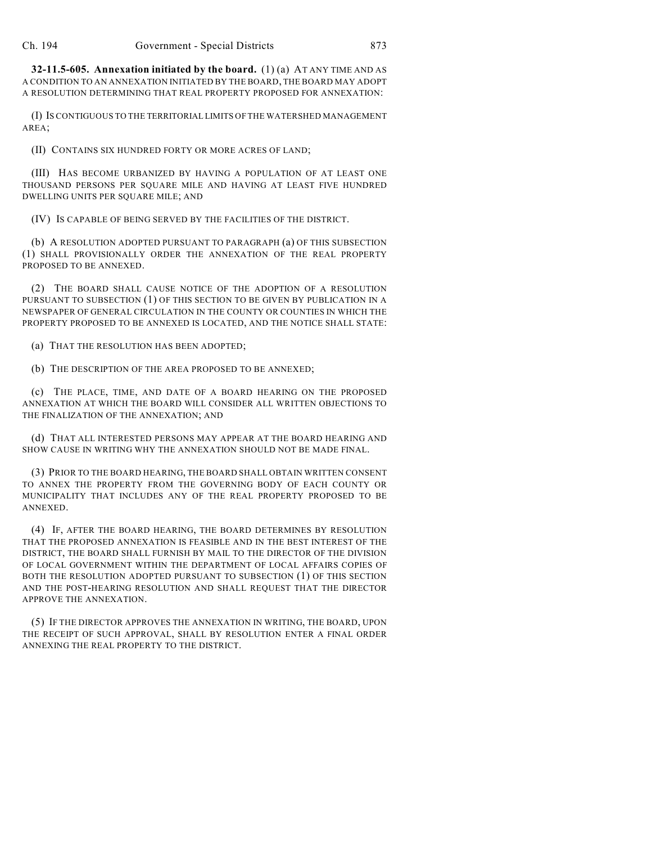**32-11.5-605. Annexation initiated by the board.** (1) (a) AT ANY TIME AND AS A CONDITION TO AN ANNEXATION INITIATED BY THE BOARD, THE BOARD MAY ADOPT A RESOLUTION DETERMINING THAT REAL PROPERTY PROPOSED FOR ANNEXATION:

(I) IS CONTIGUOUS TO THE TERRITORIAL LIMITS OF THE WATERSHED MANAGEMENT AREA;

(II) CONTAINS SIX HUNDRED FORTY OR MORE ACRES OF LAND;

(III) HAS BECOME URBANIZED BY HAVING A POPULATION OF AT LEAST ONE THOUSAND PERSONS PER SQUARE MILE AND HAVING AT LEAST FIVE HUNDRED DWELLING UNITS PER SQUARE MILE; AND

(IV) IS CAPABLE OF BEING SERVED BY THE FACILITIES OF THE DISTRICT.

(b) A RESOLUTION ADOPTED PURSUANT TO PARAGRAPH (a) OF THIS SUBSECTION (1) SHALL PROVISIONALLY ORDER THE ANNEXATION OF THE REAL PROPERTY PROPOSED TO BE ANNEXED.

(2) THE BOARD SHALL CAUSE NOTICE OF THE ADOPTION OF A RESOLUTION PURSUANT TO SUBSECTION (1) OF THIS SECTION TO BE GIVEN BY PUBLICATION IN A NEWSPAPER OF GENERAL CIRCULATION IN THE COUNTY OR COUNTIES IN WHICH THE PROPERTY PROPOSED TO BE ANNEXED IS LOCATED, AND THE NOTICE SHALL STATE:

(a) THAT THE RESOLUTION HAS BEEN ADOPTED;

(b) THE DESCRIPTION OF THE AREA PROPOSED TO BE ANNEXED;

(c) THE PLACE, TIME, AND DATE OF A BOARD HEARING ON THE PROPOSED ANNEXATION AT WHICH THE BOARD WILL CONSIDER ALL WRITTEN OBJECTIONS TO THE FINALIZATION OF THE ANNEXATION; AND

(d) THAT ALL INTERESTED PERSONS MAY APPEAR AT THE BOARD HEARING AND SHOW CAUSE IN WRITING WHY THE ANNEXATION SHOULD NOT BE MADE FINAL.

(3) PRIOR TO THE BOARD HEARING, THE BOARD SHALL OBTAIN WRITTEN CONSENT TO ANNEX THE PROPERTY FROM THE GOVERNING BODY OF EACH COUNTY OR MUNICIPALITY THAT INCLUDES ANY OF THE REAL PROPERTY PROPOSED TO BE ANNEXED.

(4) IF, AFTER THE BOARD HEARING, THE BOARD DETERMINES BY RESOLUTION THAT THE PROPOSED ANNEXATION IS FEASIBLE AND IN THE BEST INTEREST OF THE DISTRICT, THE BOARD SHALL FURNISH BY MAIL TO THE DIRECTOR OF THE DIVISION OF LOCAL GOVERNMENT WITHIN THE DEPARTMENT OF LOCAL AFFAIRS COPIES OF BOTH THE RESOLUTION ADOPTED PURSUANT TO SUBSECTION (1) OF THIS SECTION AND THE POST-HEARING RESOLUTION AND SHALL REQUEST THAT THE DIRECTOR APPROVE THE ANNEXATION.

(5) IF THE DIRECTOR APPROVES THE ANNEXATION IN WRITING, THE BOARD, UPON THE RECEIPT OF SUCH APPROVAL, SHALL BY RESOLUTION ENTER A FINAL ORDER ANNEXING THE REAL PROPERTY TO THE DISTRICT.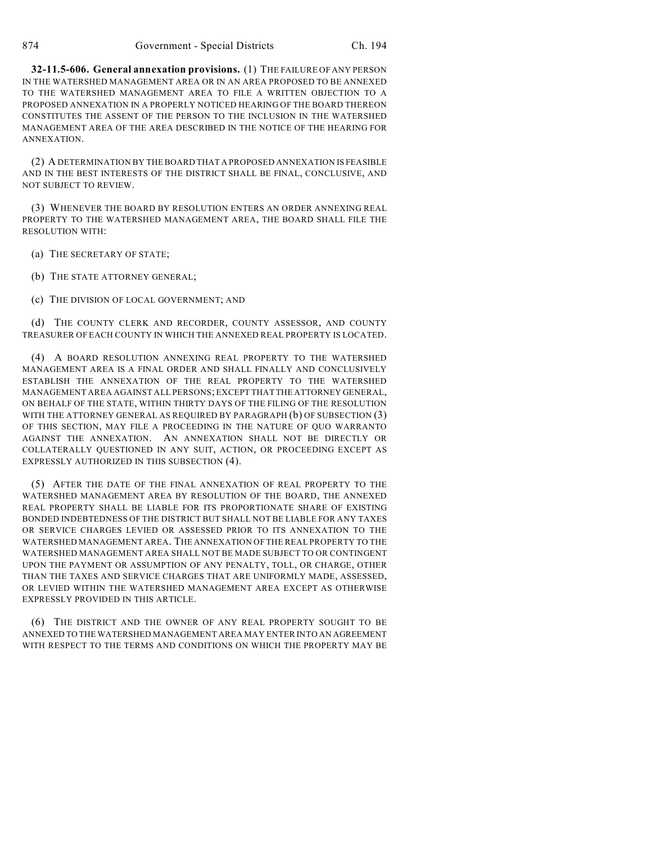**32-11.5-606. General annexation provisions.** (1) THE FAILURE OF ANY PERSON IN THE WATERSHED MANAGEMENT AREA OR IN AN AREA PROPOSED TO BE ANNEXED TO THE WATERSHED MANAGEMENT AREA TO FILE A WRITTEN OBJECTION TO A PROPOSED ANNEXATION IN A PROPERLY NOTICED HEARING OF THE BOARD THEREON CONSTITUTES THE ASSENT OF THE PERSON TO THE INCLUSION IN THE WATERSHED MANAGEMENT AREA OF THE AREA DESCRIBED IN THE NOTICE OF THE HEARING FOR ANNEXATION.

(2) A DETERMINATION BY THE BOARD THAT A PROPOSED ANNEXATION IS FEASIBLE AND IN THE BEST INTERESTS OF THE DISTRICT SHALL BE FINAL, CONCLUSIVE, AND NOT SUBJECT TO REVIEW.

(3) WHENEVER THE BOARD BY RESOLUTION ENTERS AN ORDER ANNEXING REAL PROPERTY TO THE WATERSHED MANAGEMENT AREA, THE BOARD SHALL FILE THE RESOLUTION WITH:

(a) THE SECRETARY OF STATE;

- (b) THE STATE ATTORNEY GENERAL;
- (c) THE DIVISION OF LOCAL GOVERNMENT; AND

(d) THE COUNTY CLERK AND RECORDER, COUNTY ASSESSOR, AND COUNTY TREASURER OF EACH COUNTY IN WHICH THE ANNEXED REAL PROPERTY IS LOCATED.

(4) A BOARD RESOLUTION ANNEXING REAL PROPERTY TO THE WATERSHED MANAGEMENT AREA IS A FINAL ORDER AND SHALL FINALLY AND CONCLUSIVELY ESTABLISH THE ANNEXATION OF THE REAL PROPERTY TO THE WATERSHED MANAGEMENT AREA AGAINST ALL PERSONS; EXCEPT THAT THE ATTORNEY GENERAL, ON BEHALF OF THE STATE, WITHIN THIRTY DAYS OF THE FILING OF THE RESOLUTION WITH THE ATTORNEY GENERAL AS REQUIRED BY PARAGRAPH (b) OF SUBSECTION (3) OF THIS SECTION, MAY FILE A PROCEEDING IN THE NATURE OF QUO WARRANTO AGAINST THE ANNEXATION. AN ANNEXATION SHALL NOT BE DIRECTLY OR COLLATERALLY QUESTIONED IN ANY SUIT, ACTION, OR PROCEEDING EXCEPT AS EXPRESSLY AUTHORIZED IN THIS SUBSECTION (4).

(5) AFTER THE DATE OF THE FINAL ANNEXATION OF REAL PROPERTY TO THE WATERSHED MANAGEMENT AREA BY RESOLUTION OF THE BOARD, THE ANNEXED REAL PROPERTY SHALL BE LIABLE FOR ITS PROPORTIONATE SHARE OF EXISTING BONDED INDEBTEDNESS OF THE DISTRICT BUT SHALL NOT BE LIABLE FOR ANY TAXES OR SERVICE CHARGES LEVIED OR ASSESSED PRIOR TO ITS ANNEXATION TO THE WATERSHED MANAGEMENT AREA. THE ANNEXATION OF THE REAL PROPERTY TO THE WATERSHED MANAGEMENT AREA SHALL NOT BE MADE SUBJECT TO OR CONTINGENT UPON THE PAYMENT OR ASSUMPTION OF ANY PENALTY, TOLL, OR CHARGE, OTHER THAN THE TAXES AND SERVICE CHARGES THAT ARE UNIFORMLY MADE, ASSESSED, OR LEVIED WITHIN THE WATERSHED MANAGEMENT AREA EXCEPT AS OTHERWISE EXPRESSLY PROVIDED IN THIS ARTICLE.

(6) THE DISTRICT AND THE OWNER OF ANY REAL PROPERTY SOUGHT TO BE ANNEXED TO THE WATERSHED MANAGEMENT AREA MAY ENTER INTO AN AGREEMENT WITH RESPECT TO THE TERMS AND CONDITIONS ON WHICH THE PROPERTY MAY BE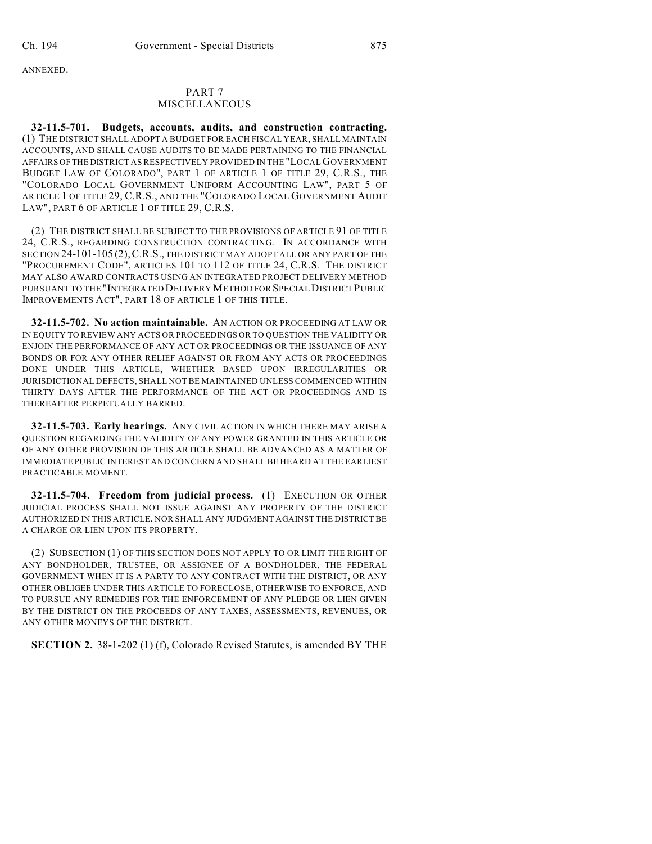ANNEXED.

#### PART 7 MISCELLANEOUS

**32-11.5-701. Budgets, accounts, audits, and construction contracting.** (1) THE DISTRICT SHALL ADOPT A BUDGET FOR EACH FISCAL YEAR, SHALL MAINTAIN ACCOUNTS, AND SHALL CAUSE AUDITS TO BE MADE PERTAINING TO THE FINANCIAL AFFAIRS OF THE DISTRICT AS RESPECTIVELY PROVIDED IN THE "LOCAL GOVERNMENT BUDGET LAW OF COLORADO", PART 1 OF ARTICLE 1 OF TITLE 29, C.R.S., THE "COLORADO LOCAL GOVERNMENT UNIFORM ACCOUNTING LAW", PART 5 OF ARTICLE 1 OF TITLE 29, C.R.S., AND THE "COLORADO LOCAL GOVERNMENT AUDIT LAW", PART 6 OF ARTICLE 1 OF TITLE 29, C.R.S.

(2) THE DISTRICT SHALL BE SUBJECT TO THE PROVISIONS OF ARTICLE 91 OF TITLE 24, C.R.S., REGARDING CONSTRUCTION CONTRACTING. IN ACCORDANCE WITH SECTION 24-101-105 (2), C.R.S., THE DISTRICT MAY ADOPT ALL OR ANY PART OF THE "PROCUREMENT CODE", ARTICLES 101 TO 112 OF TITLE 24, C.R.S. THE DISTRICT MAY ALSO AWARD CONTRACTS USING AN INTEGRATED PROJECT DELIVERY METHOD PURSUANT TO THE "INTEGRATED DELIVERY METHOD FOR SPECIAL DISTRICT PUBLIC IMPROVEMENTS ACT", PART 18 OF ARTICLE 1 OF THIS TITLE.

**32-11.5-702. No action maintainable.** AN ACTION OR PROCEEDING AT LAW OR IN EQUITY TO REVIEW ANY ACTS OR PROCEEDINGS OR TO QUESTION THE VALIDITY OR ENJOIN THE PERFORMANCE OF ANY ACT OR PROCEEDINGS OR THE ISSUANCE OF ANY BONDS OR FOR ANY OTHER RELIEF AGAINST OR FROM ANY ACTS OR PROCEEDINGS DONE UNDER THIS ARTICLE, WHETHER BASED UPON IRREGULARITIES OR JURISDICTIONAL DEFECTS, SHALL NOT BE MAINTAINED UNLESS COMMENCED WITHIN THIRTY DAYS AFTER THE PERFORMANCE OF THE ACT OR PROCEEDINGS AND IS THEREAFTER PERPETUALLY BARRED.

**32-11.5-703. Early hearings.** ANY CIVIL ACTION IN WHICH THERE MAY ARISE A QUESTION REGARDING THE VALIDITY OF ANY POWER GRANTED IN THIS ARTICLE OR OF ANY OTHER PROVISION OF THIS ARTICLE SHALL BE ADVANCED AS A MATTER OF IMMEDIATE PUBLIC INTEREST AND CONCERN AND SHALL BE HEARD AT THE EARLIEST PRACTICABLE MOMENT.

**32-11.5-704. Freedom from judicial process.** (1) EXECUTION OR OTHER JUDICIAL PROCESS SHALL NOT ISSUE AGAINST ANY PROPERTY OF THE DISTRICT AUTHORIZED IN THIS ARTICLE, NOR SHALL ANY JUDGMENT AGAINST THE DISTRICT BE A CHARGE OR LIEN UPON ITS PROPERTY.

(2) SUBSECTION (1) OF THIS SECTION DOES NOT APPLY TO OR LIMIT THE RIGHT OF ANY BONDHOLDER, TRUSTEE, OR ASSIGNEE OF A BONDHOLDER, THE FEDERAL GOVERNMENT WHEN IT IS A PARTY TO ANY CONTRACT WITH THE DISTRICT, OR ANY OTHER OBLIGEE UNDER THIS ARTICLE TO FORECLOSE, OTHERWISE TO ENFORCE, AND TO PURSUE ANY REMEDIES FOR THE ENFORCEMENT OF ANY PLEDGE OR LIEN GIVEN BY THE DISTRICT ON THE PROCEEDS OF ANY TAXES, ASSESSMENTS, REVENUES, OR ANY OTHER MONEYS OF THE DISTRICT.

**SECTION 2.** 38-1-202 (1) (f), Colorado Revised Statutes, is amended BY THE